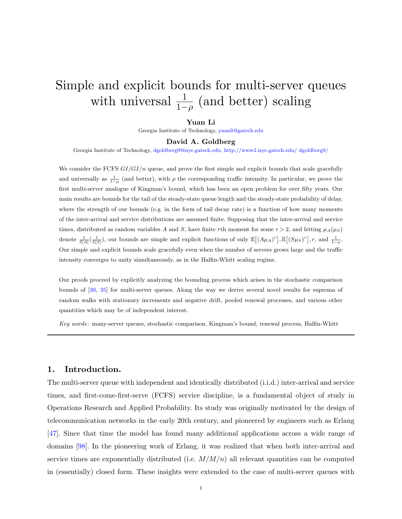# Simple and explicit bounds for multi-server queues with universal  $\frac{1}{1-\rho}$  (and better) scaling

### Yuan Li

Georgia Institute of Technology, [yuanli@gatech.edu](mailto:yuanli@gatech.edu)

#### David A. Goldberg

Georgia Institute of Technology, [dgoldberg9@isye.gatech.edu,](mailto:dgoldberg9@isye.gatech.edu) [http://www2.isye.gatech.edu/ dgoldberg9/](http://www2.isye.gatech.edu/~dgoldberg9/)

We consider the FCFS  $GI/GI/n$  queue, and prove the first simple and explicit bounds that scale gracefully and universally as  $\frac{1}{1-\rho}$  (and better), with  $\rho$  the corresponding traffic intensity. In particular, we prove the first multi-server analogue of Kingman's bound, which has been an open problem for over fifty years. Our main results are bounds for the tail of the steady-state queue length and the steady-state probability of delay, where the strength of our bounds (e.g. in the form of tail decay rate) is a function of how many moments of the inter-arrival and service distributions are assumed finite. Supposing that the inter-arrival and service times, distributed as random variables A and S, have finite rth moment for some  $r > 2$ , and letting  $\mu_A(\mu_S)$ denote  $\frac{1}{\mathbb{E}[A]}(\frac{1}{\mathbb{E}[S]}),$  our bounds are simple and explicit functions of only  $\mathbb{E}[(A\mu_A)^r], \mathbb{E}[(S\mu_S)^r], r$ , and  $\frac{1}{1-\rho}$ . Our simple and explicit bounds scale gracefully even when the number of servers grows large and the traffic intensity converges to unity simultaneously, as in the Halfin-Whitt scaling regime.

Our proofs proceed by explicitly analyzing the bounding process which arises in the stochastic comparison bounds of [\[30,](#page-51-0) [35\]](#page-51-1) for multi-server queues. Along the way we derive several novel results for suprema of random walks with stationary increments and negative drift, pooled renewal processes, and various other quantities which may be of independent interest.

Key words: many-server queues, stochastic comparison, Kingman's bound, renewal process, Halfin-Whitt

### 1. Introduction.

The multi-server queue with independent and identically distributed (i.i.d.) inter-arrival and service times, and first-come-first-serve (FCFS) service discipline, is a fundamental object of study in Operations Research and Applied Probability. Its study was originally motivated by the design of telecommunication networks in the early 20th century, and pioneered by engineers such as Erlang [\[47\]](#page-52-0). Since that time the model has found many additional applications across a wide range of domains [\[98\]](#page-55-0). In the pioneering work of Erlang, it was realized that when both inter-arrival and service times are exponentially distributed (i.e.  $M/M/n$ ) all relevant quantities can be computed in (essentially) closed form. These insights were extended to the case of multi-server queues with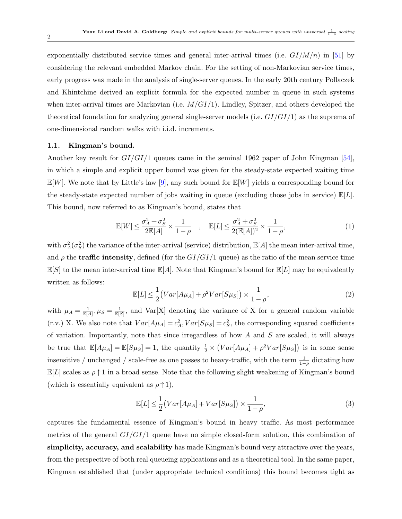exponentially distributed service times and general inter-arrival times (i.e.  $GI/M/n$ ) in [\[51\]](#page-52-1) by considering the relevant embedded Markov chain. For the setting of non-Markovian service times, early progress was made in the analysis of single-server queues. In the early 20th century Pollaczek and Khintchine derived an explicit formula for the expected number in queue in such systems when inter-arrival times are Markovian (i.e.  $M/GI/1$ ). Lindley, Spitzer, and others developed the theoretical foundation for analyzing general single-server models (i.e.  $GI/GI/1$ ) as the suprema of one-dimensional random walks with i.i.d. increments.

#### 1.1. Kingman's bound.

Another key result for  $GI/GI/1$  queues came in the seminal 1962 paper of John Kingman [\[54\]](#page-52-2), in which a simple and explicit upper bound was given for the steady-state expected waiting time  $\mathbb{E}[W]$ . We note that by Little's law [\[9\]](#page-50-0), any such bound for  $\mathbb{E}[W]$  yields a corresponding bound for the steady-state expected number of jobs waiting in queue (excluding those jobs in service)  $\mathbb{E}[L]$ . This bound, now referred to as Kingman's bound, states that

$$
\mathbb{E}[W] \le \frac{\sigma_A^2 + \sigma_S^2}{2\mathbb{E}[A]} \times \frac{1}{1-\rho} \quad , \quad \mathbb{E}[L] \le \frac{\sigma_A^2 + \sigma_S^2}{2(\mathbb{E}[A])^2} \times \frac{1}{1-\rho}, \tag{1}
$$

with  $\sigma_A^2(\sigma_S^2)$  the variance of the inter-arrival (service) distribution,  $\mathbb{E}[A]$  the mean inter-arrival time, and  $\rho$  the **traffic intensity**, defined (for the  $GI/GI/1$  queue) as the ratio of the mean service time  $\mathbb{E}[S]$  to the mean inter-arrival time  $\mathbb{E}[A]$ . Note that Kingman's bound for  $\mathbb{E}[L]$  may be equivalently written as follows:

$$
\mathbb{E}[L] \le \frac{1}{2} \left( Var[A\mu_A] + \rho^2 Var[S\mu_S] \right) \times \frac{1}{1 - \rho},\tag{2}
$$

with  $\mu_A = \frac{1}{\mathbb{E}[A]}, \mu_S = \frac{1}{\mathbb{E}[S]},$  and Var[X] denoting the variance of X for a general random variable (r.v.) X. We also note that  $Var[A\mu_A] = c_A^2$ ,  $Var[S\mu_S] = c_S^2$ , the corresponding squared coefficients of variation. Importantly, note that since irregardless of how  $A$  and  $S$  are scaled, it will always be true that  $\mathbb{E}[A\mu_A] = \mathbb{E}[S\mu_S] = 1$ , the quantity  $\frac{1}{2} \times (Var[A\mu_A] + \rho^2 Var[S\mu_S])$  is in some sense insensitive / unchanged / scale-free as one passes to heavy-traffic, with the term  $\frac{1}{1-\rho}$  dictating how  $\mathbb{E}[L]$  scales as  $\rho \uparrow 1$  in a broad sense. Note that the following slight weakening of Kingman's bound (which is essentially equivalent as  $\rho \uparrow 1$ ),

<span id="page-1-0"></span>
$$
\mathbb{E}[L] \le \frac{1}{2} \left( Var[A\mu_A] + Var[S\mu_S] \right) \times \frac{1}{1 - \rho},\tag{3}
$$

captures the fundamental essence of Kingman's bound in heavy traffic. As most performance metrics of the general  $GI/GI/1$  queue have no simple closed-form solution, this combination of simplicity, accuracy, and scalability has made Kingman's bound very attractive over the years, from the perspective of both real queueing applications and as a theoretical tool. In the same paper, Kingman established that (under appropriate technical conditions) this bound becomes tight as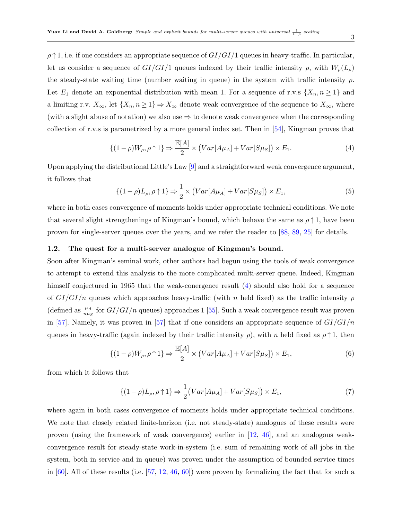$\rho \uparrow 1$ , i.e. if one considers an appropriate sequence of  $GI/GI/1$  queues in heavy-traffic. In particular, let us consider a sequence of  $GI/GI/1$  queues indexed by their traffic intensity  $\rho$ , with  $W_{\rho}(L_{\rho})$ the steady-state waiting time (number waiting in queue) in the system with traffic intensity  $\rho$ . Let  $E_1$  denote an exponential distribution with mean 1. For a sequence of r.v.s  $\{X_n, n \geq 1\}$  and a limiting r.v.  $X_{\infty}$ , let  $\{X_n, n \geq 1\} \Rightarrow X_{\infty}$  denote weak convergence of the sequence to  $X_{\infty}$ , where (with a slight abuse of notation) we also use  $\Rightarrow$  to denote weak convergence when the corresponding collection of r.v.s is parametrized by a more general index set. Then in [\[54\]](#page-52-2), Kingman proves that

<span id="page-2-0"></span>
$$
\{(1-\rho)W_{\rho}, \rho \uparrow 1\} \Rightarrow \frac{\mathbb{E}[A]}{2} \times (Var[A\mu_A] + Var[S\mu_S]) \times E_1.
$$
 (4)

Upon applying the distributional Little's Law [\[9\]](#page-50-0) and a straightforward weak convergence argument, it follows that

$$
\{(1-\rho)L_{\rho}, \rho \uparrow 1\} \Rightarrow \frac{1}{2} \times \left( Var[A\mu_A] + Var[S\mu_S] \right) \times E_1,\tag{5}
$$

where in both cases convergence of moments holds under appropriate technical conditions. We note that several slight strengthenings of Kingman's bound, which behave the same as  $\rho \uparrow 1$ , have been proven for single-server queues over the years, and we refer the reader to [\[88,](#page-54-0) [89,](#page-54-1) [25\]](#page-50-1) for details.

#### 1.2. The quest for a multi-server analogue of Kingman's bound.

Soon after Kingman's seminal work, other authors had begun using the tools of weak convergence to attempt to extend this analysis to the more complicated multi-server queue. Indeed, Kingman himself conjectured in 1965 that the weak-conergence result [\(4\)](#page-2-0) should also hold for a sequence of  $GI/GI/n$  queues which approaches heavy-traffic (with n held fixed) as the traffic intensity  $\rho$ (defined as  $\frac{\mu_A}{n\mu_S}$  for  $GI/GI/n$  queues) approaches 1 [\[55\]](#page-52-3). Such a weak convergence result was proven in [\[57\]](#page-52-4). Namely, it was proven in [57] that if one considers an appropriate sequence of  $GI/GI/n$ queues in heavy-traffic (again indexed by their traffic intensity  $\rho$ ), with n held fixed as  $\rho \uparrow 1$ , then

<span id="page-2-1"></span>
$$
\{(1-\rho)W_{\rho}, \rho \uparrow 1\} \Rightarrow \frac{\mathbb{E}[A]}{2} \times \left(Var[A\mu_A] + Var[S\mu_S]\right) \times E_1,\tag{6}
$$

from which it follows that

<span id="page-2-2"></span>
$$
\{(1-\rho)L_{\rho}, \rho \uparrow 1\} \Rightarrow \frac{1}{2} \big( Var[A\mu_A] + Var[S\mu_S] \big) \times E_1,\tag{7}
$$

where again in both cases convergence of moments holds under appropriate technical conditions. We note that closely related finite-horizon (i.e. not steady-state) analogues of these results were proven (using the framework of weak convergence) earlier in [\[12,](#page-50-2) [46\]](#page-52-5), and an analogous weakconvergence result for steady-state work-in-system (i.e. sum of remaining work of all jobs in the system, both in service and in queue) was proven under the assumption of bounded service times in  $[60]$ . All of these results (i.e.  $[57, 12, 46, 60]$  $[57, 12, 46, 60]$  $[57, 12, 46, 60]$  $[57, 12, 46, 60]$  $[57, 12, 46, 60]$  $[57, 12, 46, 60]$  $[57, 12, 46, 60]$ ) were proven by formalizing the fact that for such a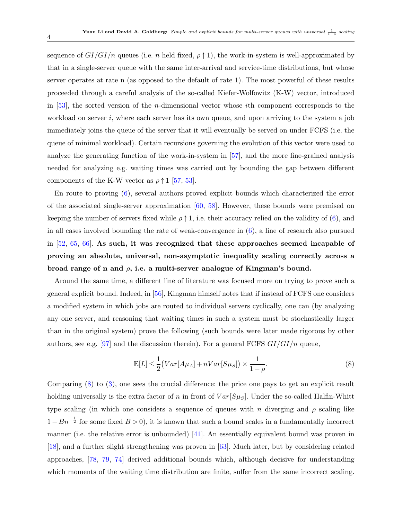sequence of  $GI/GI/n$  queues (i.e. n held fixed,  $\rho \uparrow 1$ ), the work-in-system is well-approximated by that in a single-server queue with the same inter-arrival and service-time distributions, but whose server operates at rate n (as opposed to the default of rate 1). The most powerful of these results proceeded through a careful analysis of the so-called Kiefer-Wolfowitz (K-W) vector, introduced in [\[53\]](#page-52-6), the sorted version of the n-dimensional vector whose ith component corresponds to the workload on server  $i$ , where each server has its own queue, and upon arriving to the system a job immediately joins the queue of the server that it will eventually be served on under FCFS (i.e. the queue of minimal workload). Certain recursions governing the evolution of this vector were used to analyze the generating function of the work-in-system in [\[57\]](#page-52-4), and the more fine-grained analysis needed for analyzing e.g. waiting times was carried out by bounding the gap between different components of the K-W vector as  $\rho \uparrow 1$  [\[57,](#page-52-4) [53\]](#page-52-6).

En route to proving [\(6\)](#page-2-1), several authors proved explicit bounds which characterized the error of the associated single-server approximation [\[60,](#page-53-0) [58\]](#page-52-7). However, these bounds were premised on keeping the number of servers fixed while  $\rho \uparrow 1$ , i.e. their accuracy relied on the validity of [\(6\)](#page-2-1), and in all cases involved bounding the rate of weak-convergence in  $(6)$ , a line of research also pursued in [\[52,](#page-52-8) [65,](#page-53-1) [66\]](#page-53-2). As such, it was recognized that these approaches seemed incapable of proving an absolute, universal, non-asymptotic inequality scaling correctly across a broad range of n and  $\rho$ , i.e. a multi-server analogue of Kingman's bound.

Around the same time, a different line of literature was focused more on trying to prove such a general explicit bound. Indeed, in [\[56\]](#page-52-9), Kingman himself notes that if instead of FCFS one considers a modified system in which jobs are routed to individual servers cyclically, one can (by analyzing any one server, and reasoning that waiting times in such a system must be stochastically larger than in the original system) prove the following (such bounds were later made rigorous by other authors, see e.g. [\[97\]](#page-55-1) and the discussion therein). For a general FCFS  $GI/GI/n$  queue,

<span id="page-3-0"></span>
$$
\mathbb{E}[L] \le \frac{1}{2} \left( Var[A\mu_A] + nVar[S\mu_S] \right) \times \frac{1}{1 - \rho}.\tag{8}
$$

Comparing [\(8\)](#page-3-0) to [\(3\)](#page-1-0), one sees the crucial difference: the price one pays to get an explicit result holding universally is the extra factor of n in front of  $Var[S_{\mu_S}]$ . Under the so-called Halfin-Whitt type scaling (in which one considers a sequence of queues with n diverging and  $\rho$  scaling like  $1 - Bn^{-\frac{1}{2}}$  for some fixed  $B > 0$ , it is known that such a bound scales in a fundamentally incorrect manner (i.e. the relative error is unbounded)  $[41]$ . An essentially equivalent bound was proven in [\[18\]](#page-50-3), and a further slight strengthening was proven in [\[63\]](#page-53-3). Much later, but by considering related approaches, [\[78,](#page-54-2) [79,](#page-54-3) [74\]](#page-53-4) derived additional bounds which, although decisive for understanding which moments of the waiting time distribution are finite, suffer from the same incorrect scaling.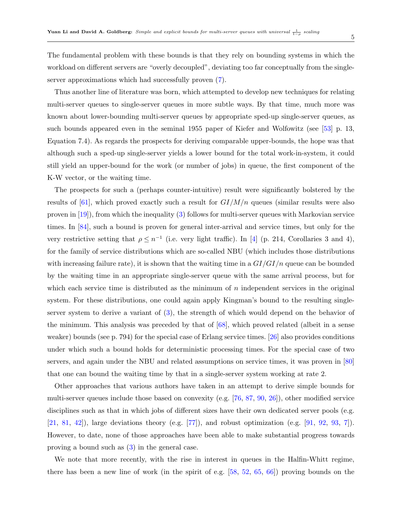The fundamental problem with these bounds is that they rely on bounding systems in which the workload on different servers are "overly decoupled", deviating too far conceptually from the singleserver approximations which had successfully proven [\(7\)](#page-2-2).

Thus another line of literature was born, which attempted to develop new techniques for relating multi-server queues to single-server queues in more subtle ways. By that time, much more was known about lower-bounding multi-server queues by appropriate sped-up single-server queues, as such bounds appeared even in the seminal 1955 paper of Kiefer and Wolfowitz (see [\[53\]](#page-52-6) p. 13, Equation 7.4). As regards the prospects for deriving comparable upper-bounds, the hope was that although such a sped-up single-server yields a lower bound for the total work-in-system, it could still yield an upper-bound for the work (or number of jobs) in queue, the first component of the K-W vector, or the waiting time.

The prospects for such a (perhaps counter-intuitive) result were significantly bolstered by the results of [\[61\]](#page-53-5), which proved exactly such a result for  $GI/M/n$  queues (similar results were also proven in [\[19\]](#page-50-4)), from which the inequality [\(3\)](#page-1-0) follows for multi-server queues with Markovian service times. In [\[84\]](#page-54-4), such a bound is proven for general inter-arrival and service times, but only for the very restrictive setting that  $\rho \leq n^{-1}$  (i.e. very light traffic). In [\[4\]](#page-49-0) (p. 214, Corollaries 3 and 4), for the family of service distributions which are so-called NBU (which includes those distributions with increasing failure rate), it is shown that the waiting time in a  $GI/GI/n$  queue can be bounded by the waiting time in an appropriate single-server queue with the same arrival process, but for which each service time is distributed as the minimum of  $n$  independent services in the original system. For these distributions, one could again apply Kingman's bound to the resulting singleserver system to derive a variant of [\(3\)](#page-1-0), the strength of which would depend on the behavior of the minimum. This analysis was preceded by that of [\[68\]](#page-53-6), which proved related (albeit in a sense weaker) bounds (see p. 794) for the special case of Erlang service times. [\[26\]](#page-50-5) also provides conditions under which such a bound holds for deterministic processing times. For the special case of two servers, and again under the NBU and related assumptions on service times, it was proven in [\[80\]](#page-54-5) that one can bound the waiting time by that in a single-server system working at rate 2.

Other approaches that various authors have taken in an attempt to derive simple bounds for multi-server queues include those based on convexity (e.g. [\[76,](#page-53-7) [87,](#page-54-6) [90,](#page-54-7) [26\]](#page-50-5)), other modified service disciplines such as that in which jobs of different sizes have their own dedicated server pools (e.g.  $[21, 81, 42]$  $[21, 81, 42]$  $[21, 81, 42]$  $[21, 81, 42]$  $[21, 81, 42]$ , large deviations theory (e.g.  $[77]$ ), and robust optimization (e.g.  $[91, 92, 93, 7]$  $[91, 92, 93, 7]$  $[91, 92, 93, 7]$  $[91, 92, 93, 7]$  $[91, 92, 93, 7]$  $[91, 92, 93, 7]$  $[91, 92, 93, 7]$ ). However, to date, none of those approaches have been able to make substantial progress towards proving a bound such as [\(3\)](#page-1-0) in the general case.

We note that more recently, with the rise in interest in queues in the Halfin-Whitt regime, there has been a new line of work (in the spirit of e.g. [\[58,](#page-52-7) [52,](#page-52-8) [65,](#page-53-1) [66\]](#page-53-2)) proving bounds on the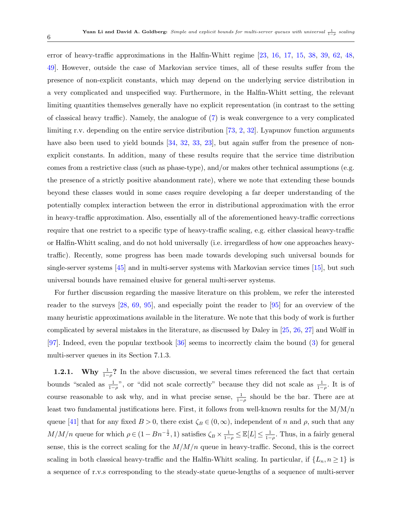error of heavy-traffic approximations in the Halfin-Whitt regime [\[23,](#page-50-7) [16,](#page-50-8) [17,](#page-50-9) [15,](#page-50-10) [38,](#page-51-4) [39,](#page-51-5) [62,](#page-53-8) [48,](#page-52-10) [49\]](#page-52-11). However, outside the case of Markovian service times, all of these results suffer from the presence of non-explicit constants, which may depend on the underlying service distribution in a very complicated and unspecified way. Furthermore, in the Halfin-Whitt setting, the relevant limiting quantities themselves generally have no explicit representation (in contrast to the setting of classical heavy traffic). Namely, the analogue of [\(7\)](#page-2-2) is weak convergence to a very complicated limiting r.v. depending on the entire service distribution [\[73,](#page-53-9) [2,](#page-49-2) [32\]](#page-51-6). Lyapunov function arguments have also been used to yield bounds [\[34,](#page-51-7) [32,](#page-51-6) [33,](#page-51-8) [23\]](#page-50-7), but again suffer from the presence of nonexplicit constants. In addition, many of these results require that the service time distribution comes from a restrictive class (such as phase-type), and/or makes other technical assumptions (e.g. the presence of a strictly positive abandonment rate), where we note that extending these bounds beyond these classes would in some cases require developing a far deeper understanding of the potentially complex interaction between the error in distributional approximation with the error in heavy-traffic approximation. Also, essentially all of the aforementioned heavy-traffic corrections require that one restrict to a specific type of heavy-traffic scaling, e.g. either classical heavy-traffic or Halfin-Whitt scaling, and do not hold universally (i.e. irregardless of how one approaches heavytraffic). Recently, some progress has been made towards developing such universal bounds for single-server systems [\[45\]](#page-52-12) and in multi-server systems with Markovian service times [\[15\]](#page-50-10), but such universal bounds have remained elusive for general multi-server systems.

For further discussion regarding the massive literature on this problem, we refer the interested reader to the surveys [\[28,](#page-51-9) [69,](#page-53-10) [95\]](#page-55-2), and especially point the reader to [\[95\]](#page-55-2) for an overview of the many heuristic approximations available in the literature. We note that this body of work is further complicated by several mistakes in the literature, as discussed by Daley in [\[25,](#page-50-1) [26,](#page-50-5) [27\]](#page-51-10) and Wolff in [\[97\]](#page-55-1). Indeed, even the popular textbook [\[36\]](#page-51-11) seems to incorrectly claim the bound [\(3\)](#page-1-0) for general multi-server queues in its Section 7.1.3.

**1.2.1.** Why  $\frac{1}{1-\rho}$ ? In the above discussion, we several times referenced the fact that certain bounds "scaled as  $\frac{1}{1-\rho}$ ", or "did not scale correctly" because they did not scale as  $\frac{1}{1-\rho}$ . It is of course reasonable to ask why, and in what precise sense,  $\frac{1}{1-\rho}$  should be the bar. There are at least two fundamental justifications here. First, it follows from well-known results for the  $M/M/n$ queue [\[41\]](#page-51-2) that for any fixed  $B > 0$ , there exist  $\zeta_B \in (0, \infty)$ , independent of n and  $\rho$ , such that any  $M/M/n$  queue for which  $\rho \in (1 - Bn^{-\frac{1}{2}}, 1)$  satisfies  $\zeta_B \times \frac{1}{1-\rho} \leq \mathbb{E}[L] \leq \frac{1}{1-\rho}$ . Thus, in a fairly general sense, this is the correct scaling for the  $M/M/n$  queue in heavy-traffic. Second, this is the correct scaling in both classical heavy-traffic and the Halfin-Whitt scaling. In particular, if  $\{L_n, n \geq 1\}$  is a sequence of r.v.s corresponding to the steady-state queue-lengths of a sequence of multi-server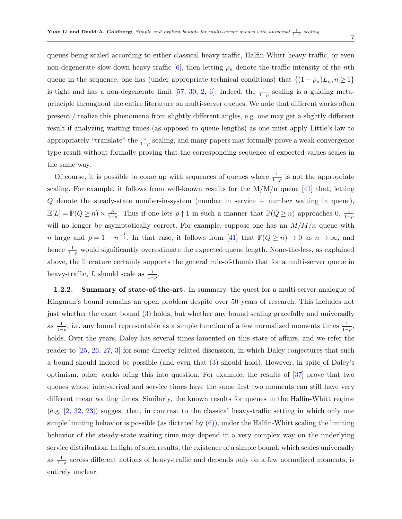7

queues being scaled according to either classical heavy-traffic, Halfin-Whitt heavy-traffic, or even non-degenerate slow-down heavy-traffic [\[6\]](#page-49-3), then letting  $\rho_n$  denote the traffic intensity of the *n*th queue in the sequence, one has (under appropriate technical conditions) that  $\{(1 - \rho_n)L_n, n \geq 1\}$ is tight and has a non-degenerate limit [\[57,](#page-52-4) [30,](#page-51-0) [2,](#page-49-2) [6\]](#page-49-3). Indeed, the  $\frac{1}{1-\rho}$  scaling is a guiding metaprinciple throughout the entire literature on multi-server queues. We note that different works often present / realize this phenomena from slightly different angles, e.g. one may get a slightly different result if analyzing waiting times (as opposed to queue lengths) as one must apply Little's law to appropriately "translate" the  $\frac{1}{1-\rho}$  scaling, and many papers may formally prove a weak-convergence type result without formally proving that the corresponding sequence of expected values scales in the same way.

Of course, it is possible to come up with sequences of queues where  $\frac{1}{1-\rho}$  is not the appropriate scaling. For example, it follows from well-known results for the  $M/M/n$  queue [\[41\]](#page-51-2) that, letting Q denote the steady-state number-in-system (number in service + number waiting in queue),  $\mathbb{E}[L] = \mathbb{P}(Q \geq n) \times \frac{\rho}{1 - \rho}$  $\frac{\rho}{1-\rho}$ . Thus if one lets  $\rho \uparrow 1$  in such a manner that  $\mathbb{P}(Q \geq n)$  approaches 0,  $\frac{1}{1-\rho}$ will no longer be asymptotically correct. For example, suppose one has an  $M/M/n$  queue with n large and  $\rho = 1 - n^{-\frac{1}{4}}$ . In that case, it follows from [\[41\]](#page-51-2) that  $\mathbb{P}(Q \ge n) \to 0$  as  $n \to \infty$ , and hence  $\frac{1}{1-\rho}$  would significantly overestimate the expected queue length. None-the-less, as explained above, the literature certainly supports the general rule-of-thumb that for a multi-server queue in heavy-traffic, L should scale as  $\frac{1}{1-\rho}$ .

1.2.2. Summary of state-of-the-art. In summary, the quest for a multi-server analogue of Kingman's bound remains an open problem despite over 50 years of research. This includes not just whether the exact bound [\(3\)](#page-1-0) holds, but whether any bound scaling gracefully and universally as  $\frac{1}{1-\rho}$ , i.e. any bound representable as a simple function of a few normalized moments times  $\frac{1}{1-\rho}$ , holds. Over the years, Daley has several times lamented on this state of affairs, and we refer the reader to [\[25,](#page-50-1) [26,](#page-50-5) [27,](#page-51-10) [3\]](#page-49-4) for some directly related discussion, in which Daley conjectures that such a bound should indeed be possible (and even that [\(3\)](#page-1-0) should hold). However, in spite of Daley's optimism, other works bring this into question. For example, the results of [\[37\]](#page-51-12) prove that two queues whose inter-arrival and service times have the same first two moments can still have very different mean waiting times. Similarly, the known results for queues in the Halfin-Whitt regime (e.g. [\[2,](#page-49-2) [32,](#page-51-6) [23\]](#page-50-7)) suggest that, in contrast to the classical heavy-traffic setting in which only one simple limiting behavior is possible (as dictated by  $(6)$ ), under the Halfin-Whitt scaling the limiting behavior of the steady-state waiting time may depend in a very complex way on the underlying service distribution. In light of such results, the existence of a simple bound, which scales universally as  $\frac{1}{1-\rho}$  across different notions of heavy-traffic and depends only on a few normalized moments, is entirely unclear.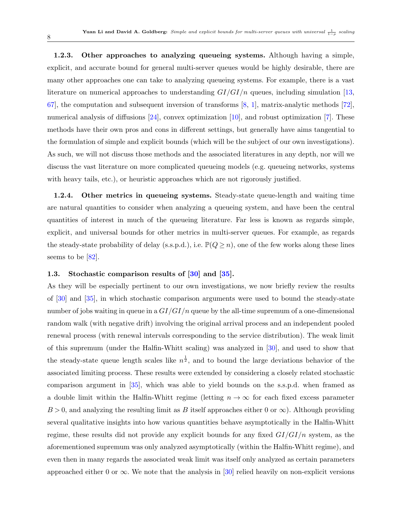1.2.3. Other approaches to analyzing queueing systems. Although having a simple, explicit, and accurate bound for general multi-server queues would be highly desirable, there are many other approaches one can take to analyzing queueing systems. For example, there is a vast literature on numerical approaches to understanding  $GI/GI/n$  queues, including simulation [\[13,](#page-50-11) [67\]](#page-53-11), the computation and subsequent inversion of transforms  $[8, 1]$  $[8, 1]$  $[8, 1]$ , matrix-analytic methods  $[72]$ , numerical analysis of diffusions [\[24\]](#page-50-12), convex optimization [\[10\]](#page-50-13), and robust optimization [\[7\]](#page-49-1). These methods have their own pros and cons in different settings, but generally have aims tangential to the formulation of simple and explicit bounds (which will be the subject of our own investigations). As such, we will not discuss those methods and the associated literatures in any depth, nor will we discuss the vast literature on more complicated queueing models (e.g. queueing networks, systems with heavy tails, etc.), or heuristic approaches which are not rigorously justified.

1.2.4. Other metrics in queueing systems. Steady-state queue-length and waiting time are natural quantities to consider when analyzing a queueing system, and have been the central quantities of interest in much of the queueing literature. Far less is known as regards simple, explicit, and universal bounds for other metrics in multi-server queues. For example, as regards the steady-state probability of delay (s.s.p.d.), i.e.  $\mathbb{P}(Q \geq n)$ , one of the few works along these lines seems to be [\[82\]](#page-54-13).

### 1.3. Stochastic comparison results of [\[30\]](#page-51-0) and [\[35\]](#page-51-1).

As they will be especially pertinent to our own investigations, we now briefly review the results of [\[30\]](#page-51-0) and [\[35\]](#page-51-1), in which stochastic comparison arguments were used to bound the steady-state number of jobs waiting in queue in a  $GI/GI/n$  queue by the all-time supremum of a one-dimensional random walk (with negative drift) involving the original arrival process and an independent pooled renewal process (with renewal intervals corresponding to the service distribution). The weak limit of this supremum (under the Halfin-Whitt scaling) was analyzed in [\[30\]](#page-51-0), and used to show that the steady-state queue length scales like  $n^{\frac{1}{2}}$ , and to bound the large deviations behavior of the associated limiting process. These results were extended by considering a closely related stochastic comparison argument in [\[35\]](#page-51-1), which was able to yield bounds on the s.s.p.d. when framed as a double limit within the Halfin-Whitt regime (letting  $n \to \infty$  for each fixed excess parameter  $B > 0$ , and analyzing the resulting limit as B itself approaches either 0 or  $\infty$ ). Although providing several qualitative insights into how various quantities behave asymptotically in the Halfin-Whitt regime, these results did not provide any explicit bounds for any fixed  $GI/GI/n$  system, as the aforementioned supremum was only analyzed asymptotically (within the Halfin-Whitt regime), and even then in many regards the associated weak limit was itself only analyzed as certain parameters approached either 0 or  $\infty$ . We note that the analysis in [\[30\]](#page-51-0) relied heavily on non-explicit versions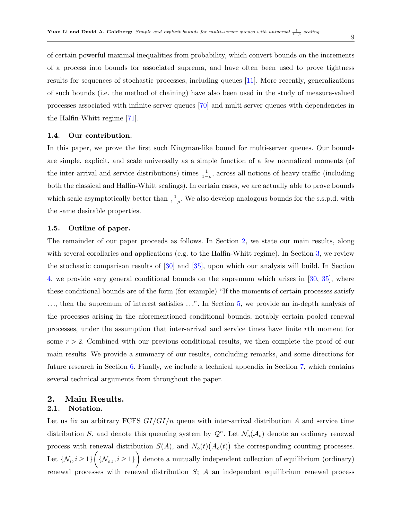of certain powerful maximal inequalities from probability, which convert bounds on the increments of a process into bounds for associated suprema, and have often been used to prove tightness results for sequences of stochastic processes, including queues [\[11\]](#page-50-14). More recently, generalizations of such bounds (i.e. the method of chaining) have also been used in the study of measure-valued processes associated with infinite-server queues [\[70\]](#page-53-13) and multi-server queues with dependencies in the Halfin-Whitt regime [\[71\]](#page-53-14).

#### 1.4. Our contribution.

In this paper, we prove the first such Kingman-like bound for multi-server queues. Our bounds are simple, explicit, and scale universally as a simple function of a few normalized moments (of the inter-arrival and service distributions) times  $\frac{1}{1-\rho}$ , across all notions of heavy traffic (including both the classical and Halfin-Whitt scalings). In certain cases, we are actually able to prove bounds which scale asymptotically better than  $\frac{1}{1-\rho}$ . We also develop analogous bounds for the s.s.p.d. with the same desirable properties.

### 1.5. Outline of paper.

The remainder of our paper proceeds as follows. In Section [2,](#page-8-0) we state our main results, along with several corollaries and applications (e.g. to the Halfin-Whitt regime). In Section [3,](#page-15-0) we review the stochastic comparison results of [\[30\]](#page-51-0) and [\[35\]](#page-51-1), upon which our analysis will build. In Section [4,](#page-15-1) we provide very general conditional bounds on the supremum which arises in [\[30,](#page-51-0) [35\]](#page-51-1), where these conditional bounds are of the form (for example) "If the moments of certain processes satisfy ..., then the supremum of interest satisfies ...". In Section [5,](#page-25-0) we provide an in-depth analysis of the processes arising in the aforementioned conditional bounds, notably certain pooled renewal processes, under the assumption that inter-arrival and service times have finite rth moment for some  $r > 2$ . Combined with our previous conditional results, we then complete the proof of our main results. We provide a summary of our results, concluding remarks, and some directions for future research in Section [6.](#page-36-0) Finally, we include a technical appendix in Section [7,](#page-39-0) which contains several technical arguments from throughout the paper.

### <span id="page-8-0"></span>2. Main Results. 2.1. Notation.

Let us fix an arbitrary FCFS  $GI/GI/n$  queue with inter-arrival distribution A and service time distribution S, and denote this queueing system by  $\mathcal{Q}^n$ . Let  $\mathcal{N}_o(\mathcal{A}_o)$  denote an ordinary renewal process with renewal distribution  $S(A)$ , and  $N_o(t)(A_o(t))$  the corresponding counting processes. Let  $\{N_i, i \geq 1\}$   $\Big(\{\mathcal{N}_{o,i}, i \geq 1\}\Big)$  denote a mutually independent collection of equilibrium (ordinary) renewal processes with renewal distribution  $S$ ;  $\mathcal A$  an independent equilibrium renewal process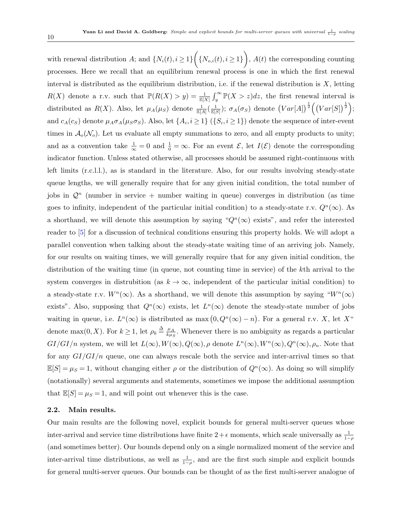with renewal distribution A; and  $\{N_i(t), i \geq 1\}$   $\Big(\{N_{o,i}(t), i \geq 1\}\Big)$ ,  $A(t)$  the corresponding counting processes. Here we recall that an equilibrium renewal process is one in which the first renewal interval is distributed as the equilibrium distribution, i.e. if the renewal distribution is  $X$ , letting  $R(X)$  denote a r.v. such that  $\mathbb{P}(R(X) > y) = \frac{1}{\mathbb{E}[X]} \int_{y}^{\infty} \mathbb{P}(X > z) dz$ , the first renewal interval is distributed as  $R(X)$ . Also, let  $\mu_A(\mu_S)$  denote  $\frac{1}{\mathbb{E}[A]}(\frac{1}{\mathbb{E}[S]})$ ;  $\sigma_A(\sigma_S)$  denote  $(Var[A])^{\frac{1}{2}}((Var[S])^{\frac{1}{2}})$ ; and  $c_A(c_S)$  denote  $\mu_A \sigma_A(\mu_S \sigma_S)$ . Also, let  $\{A_i, i \geq 1\}$   $(\{S_i, i \geq 1\})$  denote the sequence of inter-event times in  $\mathcal{A}_{o}(\mathcal{N}_{o})$ . Let us evaluate all empty summations to zero, and all empty products to unity; and as a convention take  $\frac{1}{\infty} = 0$  and  $\frac{1}{0} = \infty$ . For an event  $\mathcal{E}$ , let  $I(\mathcal{E})$  denote the corresponding indicator function. Unless stated otherwise, all processes should be assumed right-continuous with left limits (r.c.l.l.), as is standard in the literature. Also, for our results involving steady-state queue lengths, we will generally require that for any given initial condition, the total number of jobs in  $\mathcal{Q}^n$  (number in service + number waiting in queue) converges in distribution (as time goes to infinity, independent of the particular initial condition) to a steady-state r.v.  $Q^{n}(\infty)$ . As a shorthand, we will denote this assumption by saying " $Q<sup>n</sup>(\infty)$  exists", and refer the interested reader to [\[5\]](#page-49-7) for a discussion of technical conditions ensuring this property holds. We will adopt a parallel convention when talking about the steady-state waiting time of an arriving job. Namely, for our results on waiting times, we will generally require that for any given initial condition, the distribution of the waiting time (in queue, not counting time in service) of the kth arrival to the system converges in distrubition (as  $k \to \infty$ , independent of the particular initial condition) to a steady-state r.v.  $W^{n}(\infty)$ . As a shorthand, we will denote this assumption by saying " $W^{n}(\infty)$ exists". Also, supposing that  $Q^{n}(\infty)$  exists, let  $L^{n}(\infty)$  denote the steady-state number of jobs waiting in queue, i.e.  $L^{n}(\infty)$  is distributed as max  $(0, Q^{n}(\infty) - n)$ . For a general r.v. X, let  $X^{+}$ denote max $(0, X)$ . For  $k \geq 1$ , let  $\rho_k \stackrel{\Delta}{=} \frac{\mu_A}{k \mu_A}$  $\frac{\mu_A}{k_{\mu_S}}$ . Whenever there is no ambiguity as regards a particular  $GI/GI/n$  system, we will let  $L(\infty), W(\infty), Q(\infty), \rho$  denote  $L^n(\infty), W^n(\infty), Q^n(\infty), \rho_n$ . Note that for any  $GI/GI/n$  queue, one can always rescale both the service and inter-arrival times so that  $\mathbb{E}[S] = \mu_S = 1$ , without changing either  $\rho$  or the distribution of  $Q^n(\infty)$ . As doing so will simplify (notationally) several arguments and statements, sometimes we impose the additional assumption that  $\mathbb{E}[S] = \mu_S = 1$ , and will point out whenever this is the case.

### 2.2. Main results.

Our main results are the following novel, explicit bounds for general multi-server queues whose inter-arrival and service time distributions have finite  $2 + \epsilon$  moments, which scale universally as  $\frac{1}{1-\rho}$ (and sometimes better). Our bounds depend only on a single normalized moment of the service and inter-arrival time distributions, as well as  $\frac{1}{1-\rho}$ , and are the first such simple and explicit bounds for general multi-server queues. Our bounds can be thought of as the first multi-server analogue of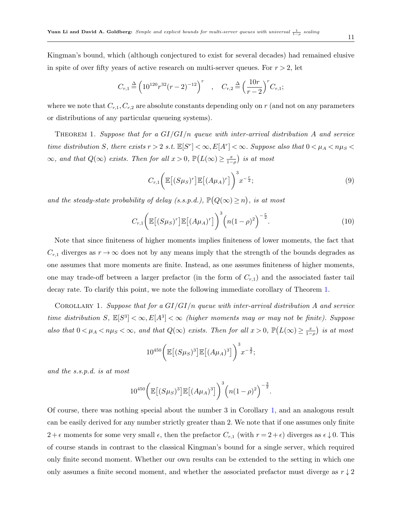Kingman's bound, which (although conjectured to exist for several decades) had remained elusive in spite of over fifty years of active research on multi-server queues. For  $r > 2$ , let

$$
C_{r,1} \stackrel{\Delta}{=} \left(10^{120}r^{32}(r-2)^{-12}\right)^r , \quad C_{r,2} \stackrel{\Delta}{=} \left(\frac{10r}{r-2}\right)^r C_{r,1};
$$

where we note that  $C_{r,1}, C_{r,2}$  are absolute constants depending only on r (and not on any parameters or distributions of any particular queueing systems).

<span id="page-10-0"></span>THEOREM 1. Suppose that for a  $GI/GI/n$  queue with inter-arrival distribution A and service time distribution S, there exists  $r > 2$  s.t.  $\mathbb{E}[S^r] < \infty$ ,  $E[A^r] < \infty$ . Suppose also that  $0 < \mu_A < n\mu_S <$  $\infty$ , and that  $Q(\infty)$  exists. Then for all  $x > 0$ ,  $\mathbb{P}\left(L(\infty) \ge \frac{x}{1-\rho}\right)$  is at most

<span id="page-10-2"></span>
$$
C_{r,1}\bigg(\mathbb{E}\big[(S\mu_S)^r\big]\mathbb{E}\big[(A\mu_A)^r\big]\bigg)^3 x^{-\frac{r}{2}};
$$
\n(9)

and the steady-state probability of delay (s.s.p.d.),  $\mathbb{P}(Q(\infty) \geq n)$ , is at most

<span id="page-10-3"></span>
$$
C_{r,1}\bigg(\mathbb{E}\big[(S\mu_S)^r\big]\mathbb{E}\big[(A\mu_A)^r\big]\bigg)^3\bigg(n(1-\rho)^2\bigg)^{-\frac{r}{2}}.\tag{10}
$$

Note that since finiteness of higher moments implies finiteness of lower moments, the fact that  $C_{r,1}$  diverges as  $r \to \infty$  does not by any means imply that the strength of the bounds degrades as one assumes that more moments are finite. Instead, as one assumes finiteness of higher moments, one may trade-off between a larger prefactor (in the form of  $C_{r,1}$ ) and the associated faster tail decay rate. To clarify this point, we note the following immediate corollary of Theorem [1.](#page-10-0)

COROLLARY 1. Suppose that for a  $GI/GI/n$  queue with inter-arrival distribution A and service time distribution S,  $\mathbb{E}[S^3] < \infty$ ,  $E[A^3] < \infty$  (higher moments may or may not be finite). Suppose also that  $0 < \mu_A < n\mu_S < \infty$ , and that  $Q(\infty)$  exists. Then for all  $x > 0$ ,  $\mathbb{P}\left(L(\infty) \geq \frac{x}{1-\rho}\right)$  is at most

<span id="page-10-1"></span>
$$
10^{450} \bigg( \mathbb{E} \big[ (S\mu_S)^3 \big] \mathbb{E} \big[ (A\mu_A)^3 \big] \bigg)^3 x^{-\frac{3}{2}};
$$

and the s.s.p.d. is at most

$$
10^{450} \bigg( \mathbb{E} \big[ (S\mu_S)^3 \big] \mathbb{E} \big[ (A\mu_A)^3 \big] \bigg)^3 \bigg( n(1-\rho)^2 \bigg)^{-\frac{3}{2}}.
$$

Of course, there was nothing special about the number 3 in Corollary [1,](#page-10-1) and an analogous result can be easily derived for any number strictly greater than 2. We note that if one assumes only finite  $2 + \epsilon$  moments for some very small  $\epsilon$ , then the prefactor  $C_{r,1}$  (with  $r = 2 + \epsilon$ ) diverges as  $\epsilon \downarrow 0$ . This of course stands in contrast to the classical Kingman's bound for a single server, which required only finite second moment. Whether our own results can be extended to the setting in which one only assumes a finite second moment, and whether the associated prefactor must diverge as  $r \downarrow 2$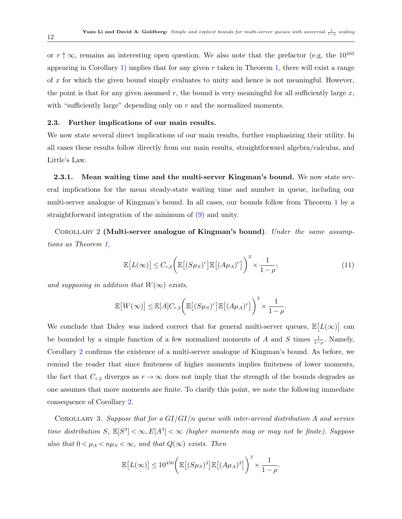or  $r \uparrow \infty$ , remains an interesting open question. We also note that the prefactor (e.g. the 10<sup>450</sup>) appearing in Corollary [1\)](#page-10-1) implies that for any given  $r$  taken in Theorem [1,](#page-10-0) there will exist a range of x for which the given bound simply evaluates to unity and hence is not meaningful. However, the point is that for any given assumed r, the bound is very meaningful for all sufficiently large x, with "sufficiently large" depending only on  $r$  and the normalized moments.

### 2.3. Further implications of our main results.

We now state several direct implications of our main results, further emphasizing their utility. In all cases these results follow directly from our main results, straightforward algebra/calculus, and Little's Law.

2.3.1. Mean waiting time and the multi-server Kingman's bound. We now state several implications for the mean steady-state waiting time and number in queue, including our multi-server analogue of Kingman's bound. In all cases, our bounds follow from Theorem [1](#page-10-0) by a straightforward integration of the minimum of [\(9\)](#page-10-2) and unity.

<span id="page-11-0"></span>COROLLARY 2 (Multi-server analogue of Kingman's bound). Under the same assumptions as Theorem [1,](#page-10-0)

$$
\mathbb{E}\left[L(\infty)\right] \leq C_{r,2}\left(\mathbb{E}\left[(S\mu_S)^r\right]\mathbb{E}\left[(A\mu_A)^r\right]\right)^3 \times \frac{1}{1-\rho};\tag{11}
$$

and supposing in addition that  $W(\infty)$  exists,

$$
\mathbb{E}\big[W(\infty)\big] \leq \mathbb{E}[A]C_{r,2}\bigg(\mathbb{E}\big[(S\mu_S)^r\big]\mathbb{E}\big[(A\mu_A)^r\big]\bigg)^3 \times \frac{1}{1-\rho}.
$$

We conclude that Daley was indeed correct that for general multi-server queues,  $\mathbb{E}[L(\infty)]$  can be bounded by a simple function of a few normalized moments of A and S times  $\frac{1}{1-\rho}$ . Namely, Corollary [2](#page-11-0) confirms the existence of a multi-server analogue of Kingman's bound. As before, we remind the reader that since finiteness of higher moments implies finiteness of lower moments, the fact that  $C_{r,2}$  diverges as  $r \to \infty$  does not imply that the strength of the bounds degrades as one assumes that more moments are finite. To clarify this point, we note the following immediate consequence of Corollary [2.](#page-11-0)

COROLLARY 3. Suppose that for a  $GI/GI/n$  queue with inter-arrival distribution A and service time distribution S,  $\mathbb{E}[S^3] < \infty$ ,  $E[A^3] < \infty$  (higher moments may or may not be finite). Suppose also that  $0 < \mu_A < n\mu_S < \infty$ , and that  $Q(\infty)$  exists. Then

$$
\mathbb{E}\left[L(\infty)\right] \leq 10^{450} \left(\mathbb{E}\left[(S\mu_S)^3\right]\mathbb{E}\left[(A\mu_A)^3\right]\right)^3 \times \frac{1}{1-\rho}.
$$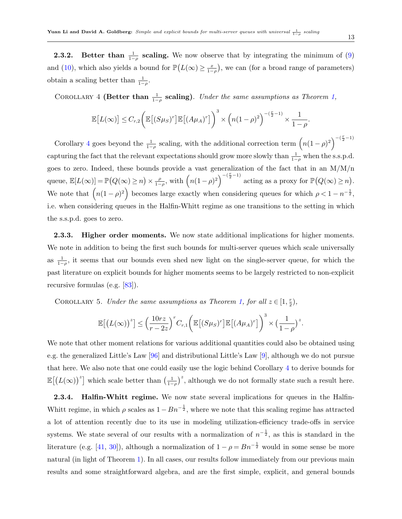**2.3.2.** Better than  $\frac{1}{1-\rho}$  scaling. We now observe that by integrating the minimum of [\(9\)](#page-10-2) and [\(10\)](#page-10-3), which also yields a bound for  $\mathbb{P}(L(\infty) \geq \frac{x}{1-\rho})$ , we can (for a broad range of parameters) obtain a scaling better than  $\frac{1}{1-\rho}$ .

<span id="page-12-0"></span>COROLLARY 4 (Better than  $\frac{1}{1-\rho}$  scaling). Under the same assumptions as Theorem [1,](#page-10-0)

$$
\mathbb{E}\big[L(\infty)\big] \leq C_{r,2}\bigg(\mathbb{E}\big[(S\mu_S)^r\big]\mathbb{E}\big[(A\mu_A)^r\big]\bigg)^3 \times \bigg(n(1-\rho)^2\bigg)^{-(\frac{r}{2}-1)} \times \frac{1}{1-\rho}.
$$

Corollary [4](#page-12-0) goes beyond the  $\frac{1}{1-\rho}$  scaling, with the additional correction term  $\left(n(1-\rho)^2\right)^{-(\frac{r}{2}-1)}$ capturing the fact that the relevant expectations should grow more slowly than  $\frac{1}{1-\rho}$  when the s.s.p.d. goes to zero. Indeed, these bounds provide a vast generalization of the fact that in an M/M/n queue,  $\mathbb{E}[L(\infty)] = \mathbb{P}(Q(\infty) \geq n) \times \frac{\rho}{1-\rho}$  $\int_{1-\rho}^{\rho}$ , with  $\left(n(1-\rho)^2\right)^{-(\frac{r}{2}-1)}$  acting as a proxy for  $\mathbb{P}\big(Q(\infty) \geq n\big)$ . We note that  $(n(1-\rho)^2)$  becomes large exactly when considering queues for which  $\rho < 1 - n^{-\frac{1}{2}}$ , i.e. when considering queues in the Halfin-Whitt regime as one transitions to the setting in which the s.s.p.d. goes to zero.

2.3.3. Higher order moments. We now state additional implications for higher moments. We note in addition to being the first such bounds for multi-server queues which scale universally as  $\frac{1}{1-\rho}$ , it seems that our bounds even shed new light on the single-server queue, for which the past literature on explicit bounds for higher moments seems to be largely restricted to non-explicit recursive formulas (e.g. [\[83\]](#page-54-14)).

COROLLARY 5. Under the same assumptions as Theorem [1,](#page-10-0) for all  $z \in [1, \frac{r}{2}]$  $\frac{r}{2}$ ),

$$
\mathbb{E}\big[\big(L(\infty)\big)^{z}\big] \leq \Big(\frac{10rz}{r-2z}\Big)^{r}C_{r,1}\bigg(\mathbb{E}\big[(S\mu_{S})^{r}\big]\mathbb{E}\big[(A\mu_{A})^{r}\big]\bigg)^{3} \times \big(\frac{1}{1-\rho}\big)^{z}.
$$

We note that other moment relations for various additional quantities could also be obtained using e.g. the generalized Little's Law [\[96\]](#page-55-3) and distributional Little's Law [\[9\]](#page-50-0), although we do not pursue that here. We also note that one could easily use the logic behind Corollary [4](#page-12-0) to derive bounds for  $\mathbb{E}[(L(\infty))^z]$  which scale better than  $\left(\frac{1}{1-\rho}\right)^z$ , although we do not formally state such a result here.

2.3.4. Halfin-Whitt regime. We now state several implications for queues in the Halfin-Whitt regime, in which  $\rho$  scales as  $1 - Bn^{-\frac{1}{2}}$ , where we note that this scaling regime has attracted a lot of attention recently due to its use in modeling utilization-efficiency trade-offs in service systems. We state several of our results with a normalization of  $n^{-\frac{1}{2}}$ , as this is standard in the literature (e.g. [\[41,](#page-51-2) [30\]](#page-51-0)), although a normalization of  $1 - \rho = Bn^{-\frac{1}{2}}$  would in some sense be more natural (in light of Theorem [1\)](#page-10-0). In all cases, our results follow immediately from our previous main results and some straightforward algebra, and are the first simple, explicit, and general bounds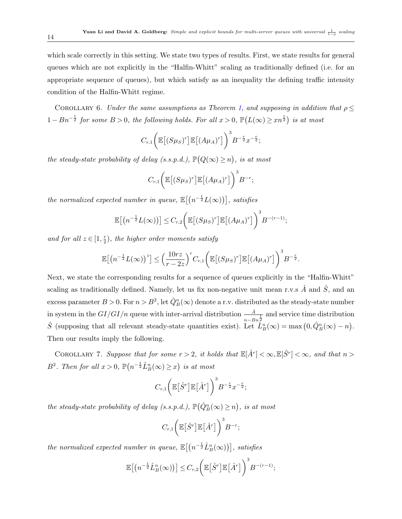which scale correctly in this setting. We state two types of results. First, we state results for general queues which are not explicitly in the "Halfin-Whitt" scaling as traditionally defined (i.e. for an appropriate sequence of queues), but which satisfy as an inequality the defining traffic intensity condition of the Halfin-Whitt regime.

COROLLARY 6. Under the same assumptions as Theorem [1,](#page-10-0) and supposing in addition that  $\rho \leq$  $1 - Bn^{-\frac{1}{2}}$  for some  $B > 0$ , the following holds. For all  $x > 0$ ,  $\mathbb{P}(L(\infty) \geq xn^{\frac{1}{2}})$  is at most

$$
C_{r,1}\bigg(\mathbb{E}\big[(S\mu_S)^r\big]\mathbb{E}\big[(A\mu_A)^r\big]\bigg)^3B^{-\frac{r}{2}}x^{-\frac{r}{2}};
$$

the steady-state probability of delay (s.s.p.d.),  $\mathbb{P}(Q(\infty) \geq n)$ , is at most

$$
C_{r,1}\bigg(\mathbb{E}\big[(S\mu_S)^r\big]\mathbb{E}\big[(A\mu_A)^r\big]\bigg)^3B^{-r};
$$

the normalized expected number in queue,  $\mathbb{E}[(n^{-\frac{1}{2}}L(\infty))]$ , satisfies

$$
\mathbb{E}\big[\big(n^{-\frac{1}{2}}L(\infty)\big)\big]\leq C_{r,2}\bigg(\mathbb{E}\big[(S\mu_S)^r\big]\mathbb{E}\big[(A\mu_A)^r\big]\bigg)^3B^{-(r-1)};
$$

and for all  $z \in [1, \frac{r}{2}]$  $(\frac{r}{2})$ , the higher order moments satisfy

$$
\mathbb{E}\big[\big(n^{-\frac{1}{2}}L(\infty)\big)^{z}\big] \leq \Big(\frac{10rz}{r-2z}\Big)^{r}C_{r,1}\bigg(\mathbb{E}\big[(S\mu_S)^{r}\big]\mathbb{E}\big[(A\mu_A)^{r}\big]\bigg)^{3}B^{-\frac{r}{2}}.
$$

Next, we state the corresponding results for a sequence of queues explicitly in the "Halfin-Whitt" scaling as traditionally defined. Namely, let us fix non-negative unit mean r.v.s  $\hat{A}$  and  $\hat{S}$ , and an excess parameter  $B > 0$ . For  $n > B^2$ , let  $\hat{Q}_B^n(\infty)$  denote a r.v. distributed as the steady-state number in system in the  $GI/GI/n$  queue with inter-arrival distribution  $\frac{\hat{A}}{n-Bn\frac{1}{2}}$  and service time distribution  $\hat{S}$  (supposing that all relevant steady-state quantities exist). Let  $\hat{L}_B^n(\infty) = \max(0, \hat{Q}_B^n(\infty) - n)$ . Then our results imply the following.

COROLLARY 7. Suppose that for some  $r > 2$ , it holds that  $\mathbb{E}[\hat{A}^r] < \infty, \mathbb{E}[\hat{S}^r] < \infty$ , and that  $n >$  $B^2$ . Then for all  $x > 0$ ,  $\mathbb{P}\left(n^{-\frac{1}{2}}\hat{L}_B^n(\infty) \geq x\right)$  is at most

$$
C_{r,1}\bigg(\mathbb{E}\big[\hat{S}^r\big]\mathbb{E}\big[\hat{A}^r\big]\bigg)^3B^{-\frac{r}{2}}x^{-\frac{r}{2}};
$$

the steady-state probability of delay (s.s.p.d.),  $\mathbb{P}(\hat{Q}_{B}^{n}(\infty) \geq n)$ , is at most

$$
C_{r,1}\bigg(\mathbb{E}\big[\hat{S}^r\big]\mathbb{E}\big[\hat{A}^r\big]\bigg)^3B^{-r};
$$

the normalized expected number in queue,  $\mathbb{E}[(n^{-\frac{1}{2}}\hat{L}_B^n(\infty))]$ , satisfies

$$
\mathbb{E}\big[\big(n^{-\frac{1}{2}}\hat{L}_B^n(\infty)\big)\big]\leq C_{r,2}\bigg(\mathbb{E}\big[\hat{S}^r\big]\mathbb{E}\big[\hat{A}^r\big]\bigg)^3B^{-(r-1)};
$$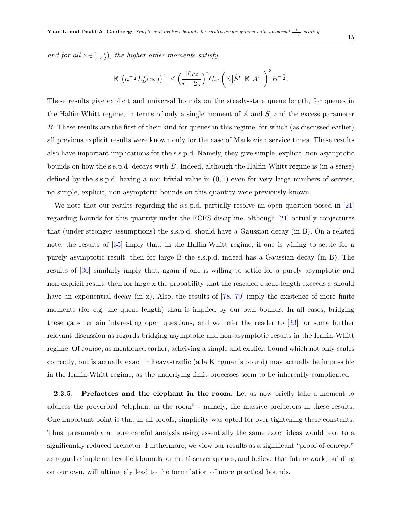and for all  $z \in [1, \frac{r}{2}]$  $(\frac{r}{2})$ , the higher order moments satisfy

$$
\mathbb{E}\big[\big(n^{-\frac{1}{2}}\hat{L}_B^n(\infty)\big)^z\big] \leq \Big(\frac{10rz}{r-2z}\Big)^r C_{r,1}\bigg(\mathbb{E}\big[\hat{S}^r\big]\mathbb{E}\big[\hat{A}^r\big]\bigg)^3 B^{-\frac{r}{2}}.
$$

These results give explicit and universal bounds on the steady-state queue length, for queues in the Halfin-Whitt regime, in terms of only a single moment of  $\hat{A}$  and  $\hat{S}$ , and the excess parameter B. These results are the first of their kind for queues in this regime, for which (as discussed earlier) all previous explicit results were known only for the case of Markovian service times. These results also have important implications for the s.s.p.d. Namely, they give simple, explicit, non-asymptotic bounds on how the s.s.p.d. decays with B. Indeed, although the Halfin-Whitt regime is (in a sense) defined by the s.s.p.d. having a non-trivial value in  $(0, 1)$  even for very large numbers of servers, no simple, explicit, non-asymptotic bounds on this quantity were previously known.

We note that our results regarding the s.s.p.d. partially resolve an open question posed in [\[21\]](#page-50-6) regarding bounds for this quantity under the FCFS discipline, although [\[21\]](#page-50-6) actually conjectures that (under stronger assumptions) the s.s.p.d. should have a Gaussian decay (in B). On a related note, the results of [\[35\]](#page-51-1) imply that, in the Halfin-Whitt regime, if one is willing to settle for a purely asymptotic result, then for large B the s.s.p.d. indeed has a Gaussian decay (in B). The results of [\[30\]](#page-51-0) similarly imply that, again if one is willing to settle for a purely asymptotic and non-explicit result, then for large x the probability that the rescaled queue-length exceeds x should have an exponential decay (in x). Also, the results of  $[78, 79]$  $[78, 79]$  $[78, 79]$  imply the existence of more finite moments (for e.g. the queue length) than is implied by our own bounds. In all cases, bridging these gaps remain interesting open questions, and we refer the reader to [\[33\]](#page-51-8) for some further relevant discussion as regards bridging asymptotic and non-asymptotic results in the Halfin-Whitt regime. Of course, as mentioned earlier, acheiving a simple and explicit bound which not only scales correctly, but is actually exact in heavy-traffic (a la Kingman's bound) may actually be impossible in the Halfin-Whitt regime, as the underlying limit processes seem to be inherently complicated.

2.3.5. Prefactors and the elephant in the room. Let us now briefly take a moment to address the proverbial "elephant in the room" - namely, the massive prefactors in these results. One important point is that in all proofs, simplicity was opted for over tightening these constants. Thus, presumably a more careful analysis using essentially the same exact ideas would lead to a significantly reduced prefactor. Furthermore, we view our results as a significant "proof-of-concept" as regards simple and explicit bounds for multi-server queues, and believe that future work, building on our own, will ultimately lead to the formulation of more practical bounds.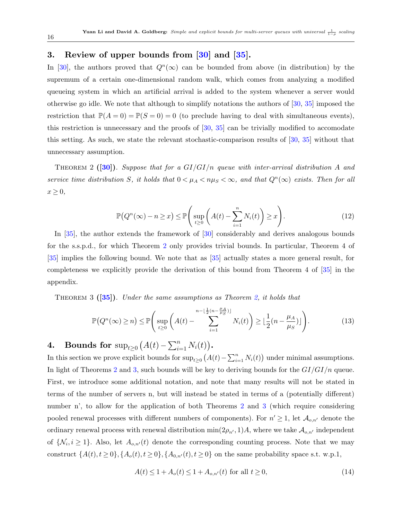### <span id="page-15-0"></span>3. Review of upper bounds from [\[30\]](#page-51-0) and [\[35\]](#page-51-1).

In [\[30\]](#page-51-0), the authors proved that  $Q^{n}(\infty)$  can be bounded from above (in distribution) by the supremum of a certain one-dimensional random walk, which comes from analyzing a modified queueing system in which an artificial arrival is added to the system whenever a server would otherwise go idle. We note that although to simplify notations the authors of [\[30,](#page-51-0) [35\]](#page-51-1) imposed the restriction that  $\mathbb{P}(A=0) = \mathbb{P}(S=0) = 0$  (to preclude having to deal with simultaneous events), this restriction is unnecessary and the proofs of  $[30, 35]$  $[30, 35]$  $[30, 35]$  can be trivially modified to accomodate this setting. As such, we state the relevant stochastic-comparison results of [\[30,](#page-51-0) [35\]](#page-51-1) without that unnecessary assumption.

<span id="page-15-2"></span>THEOREM 2 ([\[30\]](#page-51-0)). Suppose that for a  $GI/GI/n$  queue with inter-arrival distribution A and service time distribution S, it holds that  $0 < \mu_A < n\mu_S < \infty$ , and that  $Q^n(\infty)$  exists. Then for all  $x \geq 0$ ,

<span id="page-15-4"></span>
$$
\mathbb{P}(Q^n(\infty) - n \ge x) \le \mathbb{P}\left(\sup_{t \ge 0} \left(A(t) - \sum_{i=1}^n N_i(t)\right) \ge x\right). \tag{12}
$$

In [\[35\]](#page-51-1), the author extends the framework of [\[30\]](#page-51-0) considerably and derives analogous bounds for the s.s.p.d., for which Theorem [2](#page-15-2) only provides trivial bounds. In particular, Theorem 4 of [\[35\]](#page-51-1) implies the following bound. We note that as [\[35\]](#page-51-1) actually states a more general result, for completeness we explicitly provide the derivation of this bound from Theorem 4 of [\[35\]](#page-51-1) in the appendix.

<span id="page-15-3"></span>THEOREM 3 ([\[35\]](#page-51-1)). Under the same assumptions as Theorem [2,](#page-15-2) it holds that

$$
\mathbb{P}\big(Q^n(\infty)\geq n\big)\leq \mathbb{P}\Bigg(\sup_{t\geq 0}\bigg(A(t)-\sum_{i=1}^{n-\lfloor\frac{1}{2}(n-\frac{\mu_A}{\mu_S})\rfloor}N_i(t)\bigg)\geq \lfloor\frac{1}{2}(n-\frac{\mu_A}{\mu_S})\rfloor\Bigg).
$$
 (13)

## <span id="page-15-1"></span>4. Bounds for  $\sup_{t\geq 0} (A(t) - \sum_{i=1}^n N_i(t)).$

In this section we prove explicit bounds for  $\sup_{t\geq 0} (A(t) - \sum_{i=1}^n N_i(t))$  under minimal assumptions. In light of Theorems [2](#page-15-2) and [3,](#page-15-3) such bounds will be key to deriving bounds for the  $GI/GI/n$  queue. First, we introduce some additional notation, and note that many results will not be stated in terms of the number of servers n, but will instead be stated in terms of a (potentially different) number n', to allow for the application of both Theorems [2](#page-15-2) and [3](#page-15-3) (which require considering pooled renewal processes with different numbers of components). For  $n' \geq 1$ , let  $\mathcal{A}_{o,n'}$  denote the ordinary renewal process with renewal distribution  $\min(2\rho_{n'}, 1)A$ , where we take  $\mathcal{A}_{o,n'}$  independent of  $\{N_i, i \geq 1\}$ . Also, let  $A_{o,n'}(t)$  denote the corresponding counting process. Note that we may construct  $\{A(t), t \geq 0\}, \{A_o(t), t \geq 0\}, \{A_{0,n'}(t), t \geq 0\}$  on the same probability space s.t. w.p.1,

<span id="page-15-5"></span>
$$
A(t) \le 1 + A_o(t) \le 1 + A_{o,n'}(t) \text{ for all } t \ge 0,
$$
\n(14)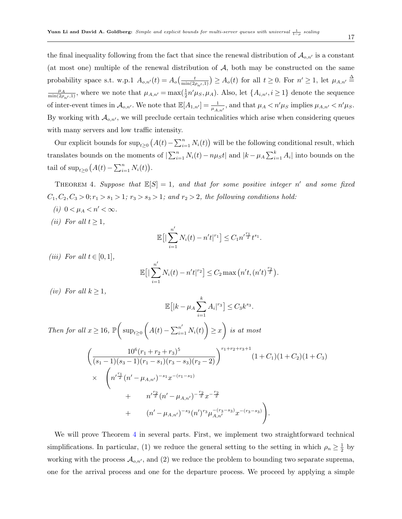the final inequality following from the fact that since the renewal distribution of  $\mathcal{A}_{o,n'}$  is a constant (at most one) multiple of the renewal distribution of  $A$ , both may be constructed on the same probability space s.t. w.p.1  $A_{o,n'}(t) = A_o\left(\frac{t}{\min(2\rho_{n'},1)}\right) \ge A_o(t)$  for all  $t \ge 0$ . For  $n' \ge 1$ , let  $\mu_{A,n'} \triangleq$  $\frac{\mu_A}{\min(2\rho_{n'},1)}$ , where we note that  $\mu_{A,n'} = \max(\frac{1}{2}n'\mu_S,\mu_A)$ . Also, let  $\{A_{i,n'}, i \geq 1\}$  denote the sequence of inter-event times in  $\mathcal{A}_{o,n'}$ . We note that  $\mathbb{E}[A_{1,n'}]=\frac{1}{\mu_{A,n'}},$  and that  $\mu_A < n'\mu_S$  implies  $\mu_{A,n'} < n'\mu_S$ . By working with  $A_{o,n'}$ , we will preclude certain technicalities which arise when considering queues with many servers and low traffic intensity.

Our explicit bounds for  $\sup_{t\geq 0} (A(t) - \sum_{i=1}^n N_i(t))$  will be the following conditional result, which translates bounds on the moments of  $\sum_{i=1}^{n} N_i(t) - n\mu_S t$  and  $|k - \mu_A \sum_{i=1}^{k} A_i|$  into bounds on the tail of  $\sup_{t\geq 0} (A(t) - \sum_{i=1}^n N_i(t)).$ 

<span id="page-16-0"></span>THEOREM 4. Suppose that  $\mathbb{E}[S] = 1$ , and that for some positive integer n' and some fixed  $C_1, C_2, C_3 > 0; r_1 > s_1 > 1; r_3 > s_3 > 1;$  and  $r_2 > 2$ , the following conditions hold:

- (i)  $0 < \mu_A < n' < \infty$ .
- (ii) For all  $t \geq 1$ ,

$$
\mathbb{E}\big[\big|\sum_{i=1}^{n'} N_i(t) - n't|^{r_1}\big] \leq C_1 n'^{\frac{r_1}{2}} t^{s_1}.
$$

(iii) For all  $t \in [0,1]$ ,

$$
\mathbb{E}\big[\big|\sum_{i=1}^{n'} N_i(t) - n't\big|^{r_2}\big] \le C_2 \max\big(n't, (n't)^{\frac{r_2}{2}}\big).
$$

(iv) For all  $k \geq 1$ ,

$$
\mathbb{E}\big[|k - \mu_A \sum_{i=1}^k A_i|^{r_3}\big] \le C_3 k^{s_3}.
$$

Then for all  $x \ge 16$ ,  $\mathbb{P}\left(\sup_{t \ge 0} \left(A(t) - \sum_{i=1}^{n'} N_i(t)\right) \ge x\right)$  is at most

$$
\begin{split}\n&\left(\frac{10^6(r_1+r_2+r_3)^5}{(s_1-1)(s_3-1)(r_1-s_1)(r_3-s_3)(r_2-2)}\right)^{r_1+r_2+r_3+1}(1+C_1)(1+C_2)(1+C_3) \\
&\times \left(n'^{\frac{r_1}{2}}(n'-\mu_{A,n'})^{-s_1}x^{-(r_1-s_1)}\right. \\
&\left.+\left(n'^{\frac{r_2}{2}}(n'-\mu_{A,n'})^{-\frac{r_2}{2}}x^{-\frac{r_2}{2}}\right.\right. \\
&\left.\left.\left.\left(n'-\mu_{A,n'}\right)^{-s_3}(n')^{r_3}\mu_{A,n'}^{-(r_3-s_3)}x^{-(r_3-s_3)}\right.\right).
$$

We will prove Theorem [4](#page-16-0) in several parts. First, we implement two straightforward technical simplifications. In particular, (1) we reduce the general setting to the setting in which  $\rho_n \geq \frac{1}{2}$  $rac{1}{2}$  by working with the process  $\mathcal{A}_{o,n'}$ , and (2) we reduce the problem to bounding two separate suprema, one for the arrival process and one for the departure process. We proceed by applying a simple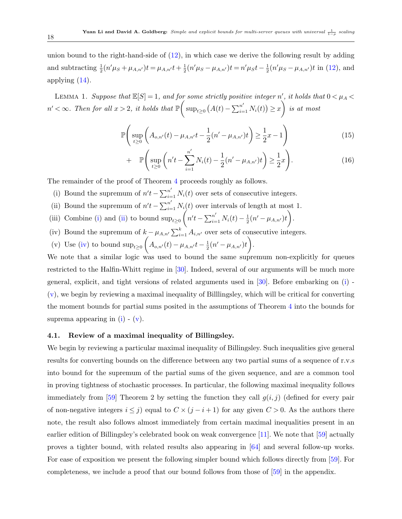<span id="page-17-6"></span>union bound to the right-hand-side of [\(12\)](#page-15-4), in which case we derive the following result by adding and subtracting  $\frac{1}{2}(n'\mu_S + \mu_{A,n'})t = \mu_{A,n'}t + \frac{1}{2}$  $\frac{1}{2}(n'\mu_S - \mu_{A,n'})t = n'\mu_S t - \frac{1}{2}$  $\frac{1}{2}(n'\mu_S - \mu_{A,n'})t$  in [\(12\)](#page-15-4), and applying [\(14\)](#page-15-5).

LEMMA 1. Suppose that  $\mathbb{E}[S] = 1$ , and for some strictly positive integer n', it holds that  $0 < \mu_A <$  $n' < \infty$ . Then for all  $x > 2$ , it holds that  $\mathbb{P} \bigg( \sup_{t \geq 0} (A(t) - \sum_{i=1}^{n'} N_i(t)) \geq x \bigg)$  is at most

<span id="page-17-5"></span>
$$
\mathbb{P}\left(\sup_{t\geq 0} \left(A_{o,n'}(t) - \mu_{A,n'}t - \frac{1}{2}(n'-\mu_{A,n'})t\right) \geq \frac{1}{2}x - 1\right) \tag{15}
$$

+ 
$$
\mathbb{P}\left(\sup_{t\geq 0} \left(n't - \sum_{i=1}^{n'} N_i(t) - \frac{1}{2}(n' - \mu_{A,n'})t\right) \geq \frac{1}{2}x\right).
$$
 (16)

The remainder of the proof of Theorem [4](#page-16-0) proceeds roughly as follows.

- <span id="page-17-0"></span>(i) Bound the supremum of  $n't - \sum_{i=1}^{n'} N_i(t)$  over sets of consecutive integers.
- <span id="page-17-1"></span>(ii) Bound the supremum of  $n't - \sum_{i=1}^{n'} N_i(t)$  over intervals of length at most 1.
- (iii) Combine [\(i\)](#page-17-0) and [\(ii\)](#page-17-1) to bound  $\sup_{t\geq 0} (n't \sum_{i=1}^{n'} N_i(t) \frac{1}{2})$  $\frac{1}{2}(n'-\mu_{A,n'})t\bigg).$
- <span id="page-17-2"></span>(iv) Bound the supremum of  $k - \mu_{A,n'} \sum_{i=1}^{k} A_{i,n'}$  over sets of consecutive integers.
- <span id="page-17-3"></span>(v) Use [\(iv\)](#page-17-2) to bound  $\sup_{t\geq 0} \left(A_{o,n'}(t) - \mu_{A,n'}t - \frac{1}{2}\right)$  $\frac{1}{2}(n'-\mu_{A,n'})t\bigg).$

We note that a similar logic was used to bound the same supremum non-explicitly for queues restricted to the Halfin-Whitt regime in [\[30\]](#page-51-0). Indeed, several of our arguments will be much more general, explicit, and tight versions of related arguments used in [\[30\]](#page-51-0). Before embarking on [\(i\)](#page-17-0) - [\(v\)](#page-17-3), we begin by reviewing a maximal inequality of Billlingsley, which will be critical for converting the moment bounds for partial sums posited in the assumptions of Theorem [4](#page-16-0) into the bounds for suprema appearing in  $(i)$  -  $(v)$ .

### 4.1. Review of a maximal inequality of Billingsley.

<span id="page-17-4"></span>We begin by reviewing a particular maximal inequality of Billingsley. Such inequalities give general results for converting bounds on the difference between any two partial sums of a sequence of r.v.s into bound for the supremum of the partial sums of the given sequence, and are a common tool in proving tightness of stochastic processes. In particular, the following maximal inequality follows immediately from [\[59\]](#page-53-15) Theorem 2 by setting the function they call  $g(i, j)$  (defined for every pair of non-negative integers  $i \leq j$ ) equal to  $C \times (j - i + 1)$  for any given  $C > 0$ . As the authors there note, the result also follows almost immediately from certain maximal inequalities present in an earlier edition of Billingsley's celebrated book on weak convergence [\[11\]](#page-50-14). We note that [\[59\]](#page-53-15) actually proves a tighter bound, with related results also appearing in [\[64\]](#page-53-16) and several follow-up works. For ease of exposition we present the following simpler bound which follows directly from [\[59\]](#page-53-15). For completeness, we include a proof that our bound follows from those of [\[59\]](#page-53-15) in the appendix.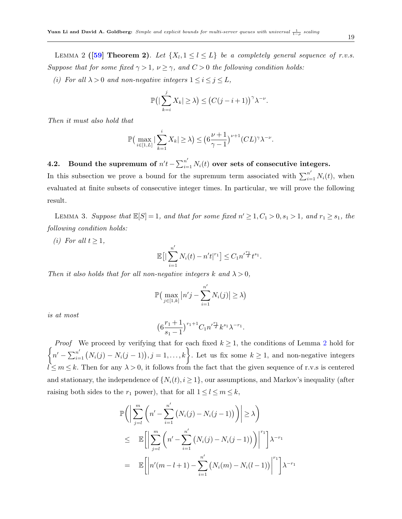(i) For all  $\lambda > 0$  and non-negative integers  $1 \leq i \leq j \leq L$ ,

$$
\mathbb{P}\big(\big|\sum_{k=i}^j X_k\big|\geq \lambda\big) \leq \big(C(j-i+1)\big)^{\gamma}\lambda^{-\nu}.
$$

Then it must also hold that

$$
\mathbb{P}\left(\max_{i\in[1,L]}|\sum_{k=1}^i X_k|\geq\lambda\right)\leq \left(6\frac{\nu+1}{\gamma-1}\right)^{\nu+1}(CL)^{\gamma}\lambda^{-\nu}.
$$

4.2. Bound the supremum of  $n't - \sum_{i=1}^{n'} N_i(t)$  over sets of consecutive integers. In this subsection we prove a bound for the supremum term associated with  $\sum_{i=1}^{n'} N_i(t)$ , when evaluated at finite subsets of consecutive integer times. In particular, we will prove the following result.

<span id="page-18-0"></span>LEMMA 3. Suppose that  $\mathbb{E}[S] = 1$ , and that for some fixed  $n' \geq 1, C_1 > 0, s_1 > 1$ , and  $r_1 \geq s_1$ , the following condition holds:

(i) For all  $t \geq 1$ ,

$$
\mathbb{E}\big[\big|\sum_{i=1}^{n'} N_i(t) - n't|^{r_1}\big] \leq C_1 n'^{\frac{r_1}{2}} t^{s_1}.
$$

Then it also holds that for all non-negative integers k and  $\lambda > 0$ ,

$$
\mathbb{P}\big(\max_{j\in[1,k]}|n'j-\sum_{i=1}^{n'}N_i(j)|\geq\lambda\big)
$$

is at most

$$
\left(6\frac{r_1+1}{s_1-1}\right)^{r_1+1}C_1n'^{\frac{r_1}{2}}k^{s_1}\lambda^{-r_1}.
$$

 $\left\{n' - \sum_{i=1}^{n'} (N_i(j) - N_i(j-1)), j = 1,\ldots,k\right\}$ . Let us fix some  $k \ge 1$ , and non-negative integers *Proof* We proceed by verifying that for each fixed  $k \geq 1$ , the conditions of Lemma [2](#page-17-4) hold for  $l \leq m \leq k$ . Then for any  $\lambda > 0$ , it follows from the fact that the given sequence of r.v.s is centered and stationary, the independence of  $\{N_i(t), i \geq 1\}$ , our assumptions, and Markov's inequality (after raising both sides to the  $r_1$  power), that for all  $1 \le l \le m \le k$ ,

$$
\mathbb{P}\Bigg(\Big|\sum_{j=l}^{m}\Big(n'-\sum_{i=1}^{n'}\big(N_i(j)-N_i(j-1)\big)\Big)\Big|\geq\lambda\Bigg)
$$
  
\n
$$
\leq \mathbb{E}\Big[\Big|\sum_{j=l}^{m}\Big(n'-\sum_{i=1}^{n'}\big(N_i(j)-N_i(j-1)\big)\Big)\Big|^{r_1}\Big]\lambda^{-r_1}
$$
  
\n
$$
= \mathbb{E}\Big[\Big|n'(m-l+1)-\sum_{i=1}^{n'}\big(N_i(m)-N_i(l-1)\big)\Big|^{r_1}\Big]\lambda^{-r_1}
$$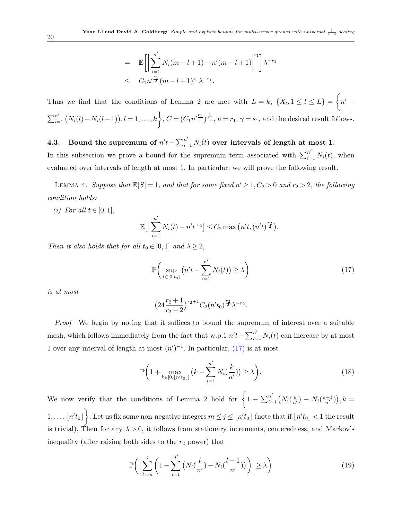$$
= \mathbb{E}\bigg[\bigg|\sum_{i=1}^{n'} N_i(m-l+1) - n'(m-l+1)\bigg|^{r_1}\bigg]\lambda^{-r_1}
$$
  
 
$$
\leq C_1 n'^{\frac{r_1}{2}}(m-l+1)^{s_1}\lambda^{-r_1}.
$$

Thus we find that the conditions of Lemma [2](#page-17-4) are met with  $L = k$ ,  $\{X_l, 1 \leq l \leq L\} = \begin{cases} n' & -l \end{cases}$  $\sum_{i=1}^{n'} (N_i(l) - N_i(l-1)), l = 1, \ldots, k$ ,  $C = (C_1 n'^{\frac{r_1}{2}})^{\frac{1}{s_1}}, \nu = r_1, \gamma = s_1$ , and the desired result follows.

4.3. Bound the supremum of  $n't - \sum_{i=1}^{n'} N_i(t)$  over intervals of length at most 1. In this subsection we prove a bound for the supremum term associated with  $\sum_{i=1}^{n'} N_i(t)$ , when evaluated over intervals of length at most 1. In particular, we will prove the following result.

<span id="page-19-3"></span>LEMMA 4. Suppose that  $\mathbb{E}[S] = 1$ , and that for some fixed  $n' \geq 1, C_2 > 0$  and  $r_2 > 2$ , the following condition holds:

(i) For all  $t \in [0, 1]$ ,

$$
\mathbb{E}\big[\big|\sum_{i=1}^{n'} N_i(t) - n't\big|^{r_2}\big] \le C_2 \max\big(n't, (n't)^{\frac{r_2}{2}}\big).
$$

Then it also holds that for all  $t_0 \in [0,1]$  and  $\lambda \geq 2$ ,

<span id="page-19-0"></span>
$$
\mathbb{P}\bigg(\sup_{t\in[0,t_0]} \big(n't - \sum_{i=1}^{n'} N_i(t)\big) \ge \lambda\bigg) \tag{17}
$$

is at most

$$
\left(24\frac{r_2+1}{r_2-2}\right)^{r_2+1}C_2(n't_0)^{\frac{r_2}{2}}\lambda^{-r_2}.
$$

Proof We begin by noting that it suffices to bound the supremum of interest over a suitable mesh, which follows immediately from the fact that w.p.1  $n't - \sum_{i=1}^{n'} N_i(t)$  can increase by at most 1 over any interval of length at most  $(n')^{-1}$ . In particular,  $(17)$  is at most

<span id="page-19-2"></span>
$$
\mathbb{P}\bigg(1+\max_{k\in[0,\lfloor n't_0\rfloor]} \big(k-\sum_{i=1}^{n'} N_i(\frac{k}{n'})\big) \ge \lambda\bigg). \tag{18}
$$

We now verify that the conditions of Lemma [2](#page-17-4) hold for  $\left\{1-\sum_{i=1}^{n'}\left(N_i(\frac{k}{n'})-N_i(\frac{k-1}{n'})\right),k=1\right\}$  $\{1,\ldots,\lfloor n't_0\rfloor\}$ . Let us fix some non-negative integers  $m\leq j\leq \lfloor n't_0\rfloor$  (note that if  $\lfloor n't_0\rfloor < 1$  the result is trivial). Then for any  $\lambda > 0$ , it follows from stationary increments, centeredness, and Markov's inequality (after raising both sides to the  $r_2$  power) that

<span id="page-19-1"></span>
$$
\mathbb{P}\bigg(\bigg|\sum_{l=m}^{j}\bigg(1-\sum_{i=1}^{n'}\big(N_i(\frac{l}{n'})-N_i(\frac{l-1}{n'})\big)\bigg)\bigg|\ge\lambda\bigg)\tag{19}
$$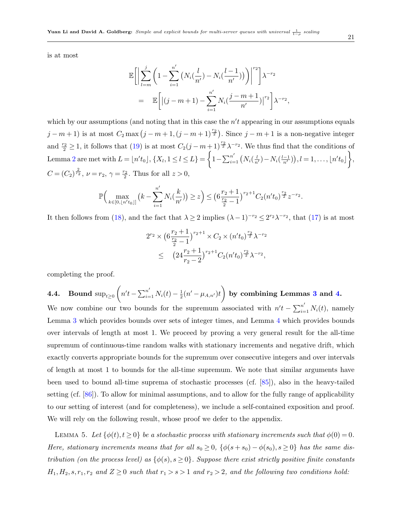is at most

$$
\mathbb{E}\bigg[\bigg|\sum_{l=m}^{j}\bigg(1-\sum_{i=1}^{n'}\big(N_i(\frac{l}{n'})-N_i(\frac{l-1}{n'})\big)\bigg)\bigg|^{r_2}\bigg]\lambda^{-r_2}
$$
  
= 
$$
\mathbb{E}\bigg[\big|(j-m+1)-\sum_{i=1}^{n'}N_i(\frac{j-m+1}{n'})\big|^{r_2}\bigg]\lambda^{-r_2},
$$

which by our assumptions (and noting that in this case the  $n't$  appearing in our assumptions equals  $j-m+1$ ) is at most  $C_2 \max(j-m+1,(j-m+1)^{\frac{r_2}{2}})$ . Since  $j-m+1$  is a non-negative integer and  $\frac{r_2}{2} \geq 1$ , it follows that [\(19\)](#page-19-1) is at most  $C_2(j-m+1)^{\frac{r_2}{2}}\lambda^{-r_2}$ . We thus find that the conditions of Lemma [2](#page-17-4) are met with  $L = \lfloor n't_0 \rfloor, \{X_l, 1 \leq l \leq L\} = \bigg\{1 - \sum_{i=1}^{n'} \big(N_i(\frac{l}{n'}) - N_i(\frac{l-1}{n'})\big), l = 1, \ldots, \lfloor n't_0 \rfloor \bigg\},$  $C = (C_2)^{\frac{2}{r_2}}, \nu = r_2, \gamma = \frac{r_2}{2}.$  Thus for all  $z > 0$ ,

$$
\mathbb{P}\Big(\max_{k\in[0,\lfloor n't_0\rfloor]} \big(k-\sum_{i=1}^{n'} N_i(\frac{k}{n'})\big) \geq z\Big) \leq \big(6\frac{r_2+1}{\frac{r_2}{2}-1}\big)^{r_2+1}C_2(n't_0)^{\frac{r_2}{2}}z^{-r_2}
$$

It then follows from [\(18\)](#page-19-2), and the fact that  $\lambda \geq 2$  implies  $(\lambda - 1)^{-r_2} \leq 2^{r_2} \lambda^{-r_2}$ , that [\(17\)](#page-19-0) is at most

$$
2^{r_2} \times \left(6\frac{r_2+1}{\frac{r_2}{2}-1}\right)^{r_2+1} \times C_2 \times (n't_0)^{\frac{r_2}{2}} \lambda^{-r_2}
$$
  
 
$$
\leq (24\frac{r_2+1}{r_2-2})^{r_2+1} C_2 (n't_0)^{\frac{r_2}{2}} \lambda^{-r_2},
$$

completing the proof.

**4.4.** Bound sup<sub>t≥0</sub> 
$$
\left( n't - \sum_{i=1}^{n'} N_i(t) - \frac{1}{2}(n' - \mu_{A,n'})t \right)
$$
 by combining Lemmas 3 and 4.

We now combine our two bounds for the supremum associated with  $n't - \sum_{i=1}^{n'} N_i(t)$ , namely Lemma [3](#page-18-0) which provides bounds over sets of integer times, and Lemma [4](#page-19-3) which provides bounds over intervals of length at most 1. We proceed by proving a very general result for the all-time supremum of continuous-time random walks with stationary increments and negative drift, which exactly converts appropriate bounds for the supremum over consecutive integers and over intervals of length at most 1 to bounds for the all-time supremum. We note that similar arguments have been used to bound all-time suprema of stochastic processes (cf. [\[85\]](#page-54-15)), also in the heavy-tailed setting (cf. [\[86\]](#page-54-16)). To allow for minimal assumptions, and to allow for the fully range of applicability to our setting of interest (and for completeness), we include a self-contained exposition and proof. We will rely on the following result, whose proof we defer to the appendix.

<span id="page-20-0"></span>LEMMA 5. Let  $\{\phi(t), t \ge 0\}$  be a stochastic process with stationary increments such that  $\phi(0) = 0$ . Here, stationary increments means that for all  $s_0 \geq 0$ ,  $\{\phi(s+s_0) - \phi(s_0), s \geq 0\}$  has the same distribution (on the process level) as  $\{\phi(s), s \geq 0\}$ . Suppose there exist strictly positive finite constants  $H_1, H_2, s, r_1, r_2$  and  $Z \ge 0$  such that  $r_1 > s > 1$  and  $r_2 > 2$ , and the following two conditions hold:

.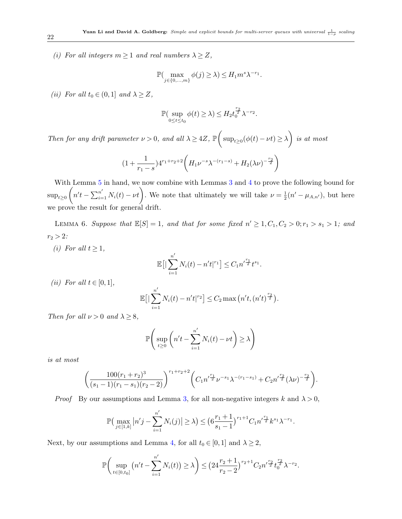(i) For all integers  $m \geq 1$  and real numbers  $\lambda \geq Z$ ,

$$
\mathbb{P}(\max_{j\in\{0,\ldots,m\}}\phi(j)\geq\lambda)\leq H_1 m^s \lambda^{-r_1}.
$$

(ii) For all  $t_0 \in (0,1]$  and  $\lambda \geq Z$ ,

$$
\mathbb{P}(\sup_{0\leq t\leq t_0}\phi(t)\geq\lambda)\leq H_2t_0^{\frac{r_2}{2}}\lambda^{-r_2}.
$$

Then for any drift parameter  $\nu > 0$ , and all  $\lambda \ge 4Z$ ,  $\mathbb{P}\left(\sup_{t\ge 0}(\phi(t)-\nu t)\ge \lambda\right)$  is at most

$$
(1 + \frac{1}{r_1 - s})4^{r_1 + r_2 + 2} \left( H_1 \nu^{-s} \lambda^{-(r_1 - s)} + H_2(\lambda \nu)^{-\frac{r_2}{2}} \right)
$$

With Lemma [5](#page-20-0) in hand, we now combine with Lemmas [3](#page-18-0) and [4](#page-19-3) to prove the following bound for  $\sup_{t\geq 0} (n't - \sum_{i=1}^{n'} N_i(t) - \nu t).$  We note that ultimately we will take  $\nu = \frac{1}{2}$  $\frac{1}{2}(n'-\mu_{A,n'}),$  but here we prove the result for general drift.

<span id="page-21-0"></span>LEMMA 6. Suppose that  $\mathbb{E}[S] = 1$ , and that for some fixed  $n' \geq 1, C_1, C_2 > 0; r_1 > s_1 > 1$ ; and  $r_2 > 2$ :

(i) For all  $t \geq 1$ ,

$$
\mathbb{E}\big[\big|\sum_{i=1}^{n'} N_i(t) - n't|^{r_1}\big] \leq C_1 n'^{\frac{r_1}{2}} t^{s_1}.
$$

(ii) For all  $t \in [0,1]$ ,

$$
\mathbb{E}\big[\big|\sum_{i=1}^{n'} N_i(t) - n't\big|^{r_2}\big] \le C_2 \max\big(n't, (n't)^{\frac{r_2}{2}}\big).
$$

Then for all  $\nu > 0$  and  $\lambda \geq 8$ ,

$$
\mathbb{P}\Bigg(\sup_{t\geq 0} \bigg(n't-\sum_{i=1}^{n'} N_i(t)-\nu t\bigg)\geq \lambda\Bigg)
$$

is at most

$$
\left(\frac{100(r_1+r_2)^3}{(s_1-1)(r_1-s_1)(r_2-2)}\right)^{r_1+r_2+2} \left(C_1 n^{\frac{r_1}{2}} \nu^{-s_1} \lambda^{-(r_1-s_1)} + C_2 n^{\frac{r_2}{2}} (\lambda \nu)^{-\frac{r_2}{2}}\right).
$$

*Proof* By our assumptions and Lemma [3,](#page-18-0) for all non-negative integers k and  $\lambda > 0$ ,

$$
\mathbb{P}\left(\max_{j\in[1,k]}|n'j-\sum_{i=1}^{n'}N_i(j)|\geq\lambda\right)\leq \left(6\frac{r_1+1}{s_1-1}\right)^{r_1+1}C_1n'^{\frac{r_1}{2}}k^{s_1}\lambda^{-r_1}.
$$

Next, by our assumptions and Lemma [4,](#page-19-3) for all  $t_0 \in [0, 1]$  and  $\lambda \geq 2$ ,

$$
\mathbb{P}\bigg(\sup_{t\in[0,t_0]} \big(n't-\sum_{i=1}^{n'} N_i(t)\big)\geq \lambda\bigg) \leq \big(24\frac{r_2+1}{r_2-2}\big)^{r_2+1}C_2n'^{\frac{r_2}{2}}t_0^{\frac{r_2}{2}}\lambda^{-r_2}.
$$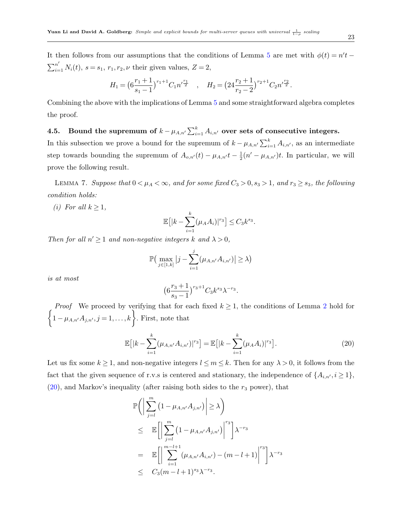It then follows from our assumptions that the conditions of Lemma [5](#page-20-0) are met with  $\phi(t) = n't$  $\sum_{i=1}^{n'} N_i(t)$ ,  $s = s_1, r_1, r_2, \nu$  their given values,  $Z = 2$ ,

$$
H_1 = \left(6\frac{r_1+1}{s_1-1}\right)^{r_1+1}C_1n'^{\frac{r_1}{2}} \quad , \quad H_2 = \left(24\frac{r_2+1}{r_2-2}\right)^{r_2+1}C_2n'^{\frac{r_2}{2}}.
$$

Combining the above with the implications of Lemma [5](#page-20-0) and some straightforward algebra completes the proof.

4.5. Bound the supremum of  $k - \mu_{A,n'} \sum_{i=1}^k A_{i,n'}$  over sets of consecutive integers. In this subsection we prove a bound for the supremum of  $k - \mu_{A,n'} \sum_{i=1}^{k} A_{i,n'}$ , as an intermediate step towards bounding the supremum of  $A_{o,n'}(t) - \mu_{A,n'}t - \frac{1}{2}$  $\frac{1}{2}(n'-\mu_{A,n'})t$ . In particular, we will prove the following result.

<span id="page-22-1"></span>LEMMA 7. Suppose that  $0 < \mu_A < \infty$ , and for some fixed  $C_3 > 0$ ,  $s_3 > 1$ , and  $r_3 \geq s_3$ , the following condition holds:

(i) For all  $k > 1$ ,

$$
\mathbb{E}\big[|k-\sum_{i=1}^k(\mu_AA_i)|^{r_3}\big]\leq C_3k^{s_3}.
$$

Then for all  $n' \geq 1$  and non-negative integers k and  $\lambda > 0$ ,

$$
\mathbb{P}\left(\max_{j\in[1,k]}|j-\sum_{i=1}^j(\mu_{A,n'}A_{i,n'})|\geq\lambda\right)
$$

is at most

$$
\big(6\frac{r_3+1}{s_3-1}\big)^{r_3+1}C_3k^{s_3}\lambda^{-r_3}.
$$

 $\int$ *Proof* We proceed by verifying that for each fixed  $k \geq 1$ , the conditions of Lemma [2](#page-17-4) hold for  $1-\mu_{A,n'}A_{j,n'}, j=1,\ldots,k$ . First, note that

<span id="page-22-0"></span>
$$
\mathbb{E}\big[|k - \sum_{i=1}^{k} (\mu_{A,n'} A_{i,n'})|^{r_3}\big] = \mathbb{E}\big[|k - \sum_{i=1}^{k} (\mu_A A_i)|^{r_3}\big].\tag{20}
$$

Let us fix some  $k \ge 1$ , and non-negative integers  $l \le m \le k$ . Then for any  $\lambda > 0$ , it follows from the fact that the given sequence of r.v.s is centered and stationary, the independence of  $\{A_{i,n'}, i \geq 1\}$ ,  $(20)$ , and Markov's inequality (after raising both sides to the  $r_3$  power), that

$$
\mathbb{P}\Bigg(\Big|\sum_{j=l}^{m} \left(1-\mu_{A,n'}A_{j,n'}\right)\Big|\geq\lambda\Bigg)
$$
\n
$$
\leq \mathbb{E}\Big[\Big|\sum_{j=l}^{m} \left(1-\mu_{A,n'}A_{j,n'}\right)\Big|^{r_{3}}\Big|\lambda^{-r_{3}}
$$
\n
$$
= \mathbb{E}\Big[\Big|\sum_{i=1}^{m-l+1} \left(\mu_{A,n'}A_{i,n'}\right)-\left(m-l+1\right)\Big|^{r_{3}}\Big|\lambda^{-r_{3}}
$$
\n
$$
\leq C_{3}\left(m-l+1\right)^{s_{3}}\lambda^{-r_{3}}.
$$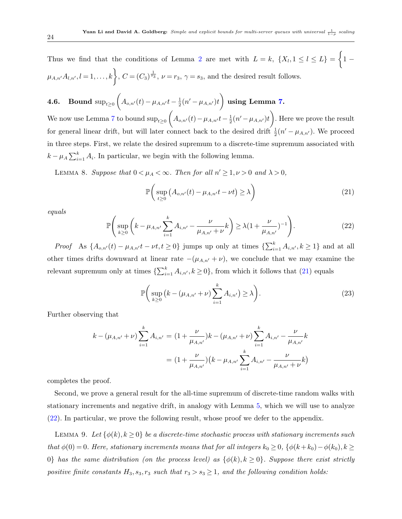Thus we find that the conditions of Lemma [2](#page-17-4) are met with  $L = k$ ,  $\{X_l, 1 \leq l \leq L\} = \begin{cases} 1 \end{cases}$  $\mu_{A,n'}A_{l,n'}, l=1,\ldots,k$ ,  $C=(C_3)^{\frac{1}{s_3}}, \nu=r_3, \gamma=s_3$ , and the desired result follows.

**4.6.** Bound sup<sub>t≥0</sub> 
$$
\left( A_{o,n'}(t) - \mu_{A,n'}t - \frac{1}{2}(n' - \mu_{A,n'})t \right)
$$
 using Lemma 7.

We now use Lemma [7](#page-22-1) to bound  $\sup_{t\geq 0} \left(A_{o,n'}(t) - \mu_{A,n'}t - \frac{1}{2}\right)$  $\frac{1}{2}(n'-\mu_{A,n'})t\bigg)$ . Here we prove the result for general linear drift, but will later connect back to the desired drift  $\frac{1}{2}(n' - \mu_{A,n'})$ . We proceed in three steps. First, we relate the desired supremum to a discrete-time supremum associated with  $k - \mu_A \sum_{i=1}^k A_i$ . In particular, we begin with the following lemma.

LEMMA 8. Suppose that  $0 < \mu_A < \infty$ . Then for all  $n' \geq 1, \nu > 0$  and  $\lambda > 0$ ,

<span id="page-23-2"></span><span id="page-23-0"></span>
$$
\mathbb{P}\bigg(\sup_{t\geq 0} \big(A_{o,n'}(t) - \mu_{A,n'}t - \nu t\big) \geq \lambda\bigg) \tag{21}
$$

equals

<span id="page-23-1"></span>
$$
\mathbb{P}\Bigg(\sup_{k\geq 0} \bigg(k - \mu_{A,n'} \sum_{i=1}^k A_{i,n'} - \frac{\nu}{\mu_{A,n'} + \nu} k\bigg) \geq \lambda \big(1 + \frac{\nu}{\mu_{A,n'}}\big)^{-1}\Bigg). \tag{22}
$$

Proof As  $\{A_{o,n'}(t) - \mu_{A,n'}t - \nu t, t \ge 0\}$  jumps up only at times  $\{\sum_{i=1}^k A_{i,n'}, k \ge 1\}$  and at all other times drifts downward at linear rate  $-(\mu_{A,n'} + \nu)$ , we conclude that we may examine the relevant supremum only at times  $\{\sum_{i=1}^{k} A_{i,n'}, k \ge 0\}$ , from which it follows that [\(21\)](#page-23-0) equals

$$
\mathbb{P}\bigg(\sup_{k\geq 0} \big(k - (\mu_{A,n'} + \nu)\sum_{i=1}^k A_{i,n'}\big) \geq \lambda\bigg). \tag{23}
$$

Further observing that

$$
k - (\mu_{A,n'} + \nu) \sum_{i=1}^{k} A_{i,n'} = (1 + \frac{\nu}{\mu_{A,n'}})k - (\mu_{A,n'} + \nu) \sum_{i=1}^{k} A_{i,n'} - \frac{\nu}{\mu_{A,n'}}k
$$

$$
= (1 + \frac{\nu}{\mu_{A,n'}}) (k - \mu_{A,n'} \sum_{i=1}^{k} A_{i,n'} - \frac{\nu}{\mu_{A,n'} + \nu}k)
$$

completes the proof.

Second, we prove a general result for the all-time supremum of discrete-time random walks with stationary increments and negative drift, in analogy with Lemma [5,](#page-20-0) which we will use to analyze [\(22\)](#page-23-1). In particular, we prove the following result, whose proof we defer to the appendix.

<span id="page-23-3"></span>LEMMA 9. Let  $\{\phi(k), k \geq 0\}$  be a discrete-time stochastic process with stationary increments such that  $\phi(0) = 0$ . Here, stationary increments means that for all integers  $k_0 \geq 0$ ,  $\{\phi(k+k_0)-\phi(k_0), k\geq 0\}$ 0} has the same distribution (on the process level) as  $\{\phi(k), k \ge 0\}$ . Suppose there exist strictly positive finite constants  $H_3$ ,  $s_3$ ,  $r_3$  such that  $r_3 > s_3 \geq 1$ , and the following condition holds: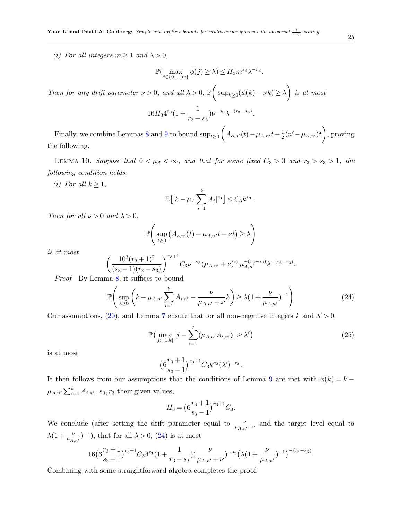(i) For all integers  $m \geq 1$  and  $\lambda > 0$ ,

$$
\mathbb{P}(\max_{j\in\{0,\dots,m\}} \phi(j) \geq \lambda) \leq H_3 m^{s_3} \lambda^{-r_3}.
$$

Then for any drift parameter  $\nu > 0$ , and all  $\lambda > 0$ ,  $\mathbb{P}\left(\sup_{k\geq 0}(\phi(k)-\nu k)\geq \lambda\right)$  is at most

$$
16H_34^{r_3}(1+\frac{1}{r_3-s_3})\nu^{-s_3}\lambda^{-(r_3-s_3)}.
$$

Finally, we combine Lemmas [8](#page-23-2) and [9](#page-23-3) to bound  $\sup_{t\geq 0} \left(A_{o,n'}(t)-\mu_{A,n'}t-\frac{1}{2}\right)$  $\frac{1}{2}(n'-\mu_{A,n'} )t\bigg),$  proving the following.

<span id="page-24-1"></span>LEMMA 10. Suppose that  $0 < \mu_A < \infty$ , and that for some fixed  $C_3 > 0$  and  $r_3 > s_3 > 1$ , the following condition holds:

(i) For all  $k \geq 1$ ,

$$
\mathbb{E}\big[|k - \mu_A \sum_{i=1}^k A_i|^{r_3}\big] \le C_3 k^{s_3}.
$$

Then for all  $\nu > 0$  and  $\lambda > 0$ ,

$$
\mathbb{P}\Bigg(\sup_{t\geq 0}\big(A_{o,n'}(t)-\mu_{A,n'}t-\nu t\big)\geq \lambda\Bigg)
$$

is at most

$$
\left(\frac{10^3(r_3+1)^2}{(s_3-1)(r_3-s_3)}\right)^{r_3+1}C_3\nu^{-s_3}(\mu_{A,n'}+\nu)^{r_3}\mu_{A,n'}^{-(r_3-s_3)}\lambda^{-(r_3-s_3)}.
$$

Proof By Lemma [8,](#page-23-2) it suffices to bound

<span id="page-24-0"></span>
$$
\mathbb{P}\left(\sup_{k\geq 0} \left(k - \mu_{A,n'} \sum_{i=1}^k A_{i,n'} - \frac{\nu}{\mu_{A,n'} + \nu} k\right) \geq \lambda (1 + \frac{\nu}{\mu_{A,n'}})^{-1}\right) \tag{24}
$$

Our assumptions, [\(20\)](#page-22-0), and Lemma [7](#page-22-1) ensure that for all non-negative integers k and  $\lambda' > 0$ ,

$$
\mathbb{P}\left(\max_{j\in[1,k]}|j-\sum_{i=1}^{j}(\mu_{A,n'}A_{i,n'})|\geq\lambda'\right)
$$
 (25)

is at most

$$
\big(6\frac{r_3+1}{s_3-1}\big)^{r_3+1}C_3k^{s_3}(\lambda')^{-r_3}.
$$

It then follows from our assumptions that the conditions of Lemma [9](#page-23-3) are met with  $\phi(k) = k \mu_{A,n'}\sum_{i=1}^k A_{i,n'}$ ,  $s_3, r_3$  their given values,

$$
H_3 = \left(6\frac{r_3+1}{s_3-1}\right)^{r_3+1}C_3.
$$

We conclude (after setting the drift parameter equal to  $\frac{\nu}{\mu_{A,n'}+\nu}$  and the target level equal to  $\lambda(1+\frac{\nu}{\mu_{A,n'}})^{-1}$ , that for all  $\lambda > 0$ , [\(24\)](#page-24-0) is at most

$$
16\big(6\frac{r_3+1}{s_3-1}\big)^{r_3+1}C_34^{r_3}\big(1+\frac{1}{r_3-s_3}\big)\big(\frac{\nu}{\mu_{A,n'}+\nu}\big)^{-s_3}\big(\lambda(1+\frac{\nu}{\mu_{A,n'}})^{-1}\big)^{-(r_3-s_3)}.
$$

Combining with some straightforward algebra completes the proof.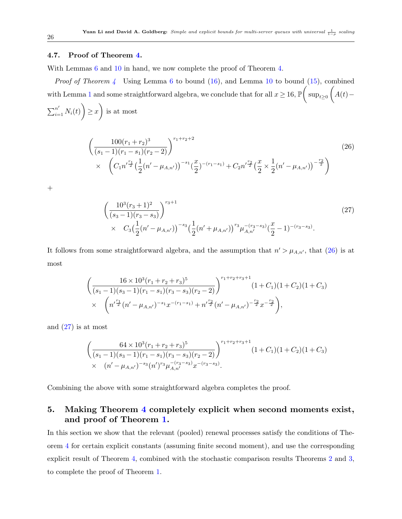#### 4.7. Proof of Theorem [4.](#page-16-0)

With Lemmas [6](#page-21-0) and [10](#page-24-1) in hand, we now complete the proof of Theorem [4.](#page-16-0)

*Proof of Theorem [4](#page-16-0)* Using Lemma [6](#page-21-0) to bound  $(16)$ , and Lemma [10](#page-24-1) to bound  $(15)$ , combined with Lemma [1](#page-17-6) and some straightforward algebra, we conclude that for all  $x \ge 16$ ,  $\mathbb{P} \left( \text{ sup}_{t \ge 0} \left( A(t) - a \right) \right)$  $\sum_{i=1}^{n'} N_i(t)$   $\geq$  x is at most

<span id="page-25-1"></span>
$$
\left(\frac{100(r_1+r_2)^3}{(s_1-1)(r_1-s_1)(r_2-2)}\right)^{r_1+r_2+2} \times \left(C_1 n^{\prime \frac{r_1}{2}} \left(\frac{1}{2}(n^{\prime}-\mu_{A,n^{\prime}})\right)^{-s_1} \left(\frac{x}{2}\right)^{-(r_1-s_1)} + C_2 n^{\prime \frac{r_2}{2}} \left(\frac{x}{2} \times \frac{1}{2}(n^{\prime}-\mu_{A,n^{\prime}})\right)^{-\frac{r_2}{2}}\right)
$$
\n(26)

 $+$ 

<span id="page-25-2"></span>
$$
\left(\frac{10^3(r_3+1)^2}{(s_3-1)(r_3-s_3)}\right)^{r_3+1} \tag{27}
$$
\n
$$
\times \quad C_3\left(\frac{1}{2}(n'-\mu_{A,n'})\right)^{-s_3}\left(\frac{1}{2}(n'+\mu_{A,n'})\right)^{r_3}\mu_{A,n'}^{-(r_3-s_3)}\left(\frac{x}{2}-1\right)^{-(r_3-s_3)}.
$$

It follows from some straightforward algebra, and the assumption that  $n' > \mu_{A,n'}$ , that [\(26\)](#page-25-1) is at most

$$
\begin{aligned}\n&\left(\frac{16\times10^{3}(r_{1}+r_{2}+r_{3})^{5}}{(s_{1}-1)(s_{3}-1)(r_{1}-s_{1})(r_{3}-s_{3})(r_{2}-2)}\right)^{r_{1}+r_{2}+r_{3}+1}(1+C_{1})(1+C_{2})(1+C_{3}) \\
&\times\left(n^{\frac{r_{1}}{2}}(n^{\prime}-\mu_{A,n^{\prime}})^{-s_{1}}x^{-(r_{1}-s_{1})}+n^{\frac{r_{2}}{2}}(n^{\prime}-\mu_{A,n^{\prime}})^{-\frac{r_{2}}{2}}x^{-\frac{r_{2}}{2}}\right),\n\end{aligned}
$$

and [\(27\)](#page-25-2) is at most

$$
\left(\frac{64 \times 10^{3}(r_{1}+r_{2}+r_{3})^{5}}{(s_{1}-1)(s_{3}-1)(r_{1}-s_{1})(r_{3}-s_{3})(r_{2}-2)}\right)^{r_{1}+r_{2}+r_{3}+1} (1+C_{1})(1+C_{2})(1+C_{3})
$$
\n
$$
\times (n'-\mu_{A,n'})^{-s_{3}}(n')^{r_{3}}\mu_{A,n'}^{-(r_{3}-s_{3})}x^{-(r_{3}-s_{3})}.
$$

Combining the above with some straightforward algebra completes the proof.

### <span id="page-25-0"></span>5. Making Theorem [4](#page-16-0) completely explicit when second moments exist, and proof of Theorem [1.](#page-10-0)

In this section we show that the relevant (pooled) renewal processes satisfy the conditions of Theorem [4](#page-16-0) for certain explicit constants (assuming finite second moment), and use the corresponding explicit result of Theorem [4,](#page-16-0) combined with the stochastic comparison results Theorems [2](#page-15-2) and [3,](#page-15-3) to complete the proof of Theorem [1.](#page-10-0)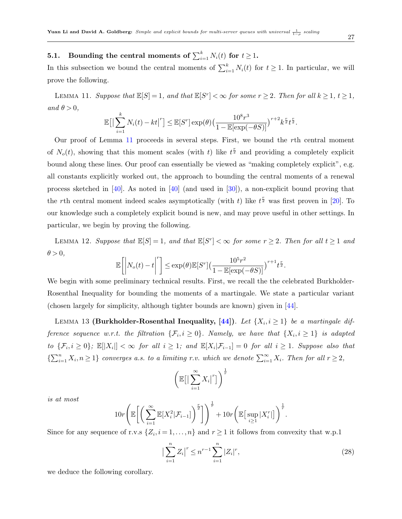### **5.1.** Bounding the central moments of  $\sum_{i=1}^{k} N_i(t)$  for  $t \geq 1$ .

In this subsection we bound the central moments of  $\sum_{i=1}^{k} N_i(t)$  for  $t \geq 1$ . In particular, we will prove the following.

LEMMA 11. Suppose that  $\mathbb{E}[S] = 1$ , and that  $\mathbb{E}[S^r] < \infty$  for some  $r \geq 2$ . Then for all  $k \geq 1$ ,  $t \geq 1$ , and  $\theta > 0$ ,

<span id="page-26-0"></span>
$$
\mathbb{E}\big[\big|\sum_{i=1}^k N_i(t)-kt\big|^r\big] \leq \mathbb{E}[S^r] \exp(\theta) \big(\frac{10^8 r^3}{1-\mathbb{E}[\exp(-\theta S)]}\big)^{r+2} k^{\frac{r}{2}} t^{\frac{r}{2}}.
$$

Our proof of Lemma [11](#page-26-0) proceeds in several steps. First, we bound the rth central moment of  $N_o(t)$ , showing that this moment scales (with t) like  $t^{\frac{r}{2}}$  and providing a completely explicit bound along these lines. Our proof can essentially be viewed as "making completely explicit", e.g. all constants explicitly worked out, the approach to bounding the central moments of a renewal process sketched in [\[40\]](#page-51-13). As noted in [\[40\]](#page-51-13) (and used in [\[30\]](#page-51-0)), a non-explicit bound proving that the rth central moment indeed scales asymptotically (with t) like  $t^{\frac{r}{2}}$  was first proven in [\[20\]](#page-50-15). To our knowledge such a completely explicit bound is new, and may prove useful in other settings. In particular, we begin by proving the following.

LEMMA 12. Suppose that  $\mathbb{E}[S] = 1$ , and that  $\mathbb{E}[S^r] < \infty$  for some  $r \geq 2$ . Then for all  $t \geq 1$  and  $\theta > 0$ ,

<span id="page-26-4"></span>
$$
\mathbb{E}\bigg[\bigg|N_o(t)-t\bigg|^r\bigg]\leq \exp(\theta)\mathbb{E}[S^r]\big(\frac{10^5r^2}{1-\mathbb{E}[\exp(-\theta S)]}\big)^{r+1}t^{\frac{r}{2}}.
$$

We begin with some preliminary technical results. First, we recall the the celebrated Burkholder-Rosenthal Inequality for bounding the moments of a martingale. We state a particular variant (chosen largely for simplicity, although tighter bounds are known) given in [\[44\]](#page-52-13).

LEMMA 13 (Burkholder-Rosenthal Inequality, [\[44\]](#page-52-13)). Let  $\{X_i, i \geq 1\}$  be a martingale difference sequence w.r.t. the filtration  $\{\mathcal{F}_i, i \geq 0\}$ . Namely, we have that  $\{X_i, i \geq 1\}$  is adapted to  $\{\mathcal{F}_i, i \geq 0\}$ ;  $\mathbb{E}[|X_i|] < \infty$  for all  $i \geq 1$ ; and  $\mathbb{E}[X_i|\mathcal{F}_{i-1}] = 0$  for all  $i \geq 1$ . Suppose also that  $\{\sum_{i=1}^n X_i, n \geq 1\}$  converges a.s. to a limiting r.v. which we denote  $\sum_{i=1}^{\infty} X_i$ . Then for all  $r \geq 2$ ,

<span id="page-26-1"></span>
$$
\left(\mathbb{E}\big[\big|\sum_{i=1}^{\infty}X_i\big|^r\big]\right)^{\frac{1}{r}}
$$

is at most

$$
10r\left(\mathbb{E}\bigg[\bigg(\sum_{i=1}^{\infty}\mathbb{E}[X_i^2|\mathcal{F}_{i-1}]\bigg)^{\frac{r}{2}}\bigg]\right)^{\frac{1}{r}}+10r\left(\mathbb{E}\big[\sup_{i\geq 1}|X_i^r|\big]\right)^{\frac{1}{r}}.
$$

Since for any sequence of r.v.s  $\{Z_i, i = 1, \ldots, n\}$  and  $r \ge 1$  it follows from convexity that w.p.1

<span id="page-26-3"></span><span id="page-26-2"></span>
$$
\left|\sum_{i=1}^{n} Z_i\right|^r \le n^{r-1} \sum_{i=1}^{n} |Z_i|^r,\tag{28}
$$

we deduce the following corollary.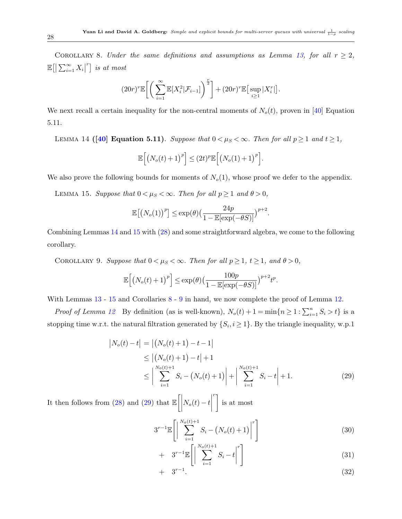COROLLARY 8. Under the same definitions and assumptions as Lemma [13,](#page-26-1) for all  $r \geq 2$ ,  $\mathbb{E}\big[\big|\sum_{i=1}^{\infty}X_i\big|^r\big]$  is at most

$$
(20r)^{r}\mathbb{E}\bigg[\bigg(\sum_{i=1}^{\infty}\mathbb{E}[X_{i}^{2}|\mathcal{F}_{i-1}]\bigg)^{\frac{r}{2}}\bigg]+(20r)^{r}\mathbb{E}\big[\sup_{i\geq 1}|X_{i}^{r}|\big].
$$

<span id="page-27-0"></span>We next recall a certain inequality for the non-central moments of  $N_o(t)$ , proven in [\[40\]](#page-51-13) Equation 5.11.

LEMMA 14 ([\[40\]](#page-51-13) Equation 5.11). Suppose that  $0 < \mu_S < \infty$ . Then for all  $p \ge 1$  and  $t \ge 1$ ,

<span id="page-27-1"></span>
$$
\mathbb{E}\left[\left(N_o(t)+1\right)^p\right] \leq (2t)^p \mathbb{E}\left[\left(N_o(1)+1\right)^p\right].
$$

We also prove the following bounds for moments of  $N<sub>o</sub>(1)$ , whose proof we defer to the appendix.

LEMMA 15. Suppose that  $0 < \mu_S < \infty$ . Then for all  $p \ge 1$  and  $\theta > 0$ ,

$$
\mathbb{E}\big[\big(N_o(1)\big)^p\big] \le \exp(\theta) \big(\frac{24p}{1 - \mathbb{E}[\exp(-\theta S)]}\big)^{p+2}.
$$

<span id="page-27-2"></span>Combining Lemmas [14](#page-27-0) and [15](#page-27-1) with [\(28\)](#page-26-2) and some straightforward algebra, we come to the following corollary.

COROLLARY 9. Suppose that  $0 < \mu_S < \infty$ . Then for all  $p \ge 1$ ,  $t \ge 1$ , and  $\theta > 0$ ,

$$
\mathbb{E}\Big[\big(N_o(t)+1\big)^p\Big] \leq \exp(\theta) \big(\frac{100p}{1-\mathbb{E}[\exp(-\theta S)]}\big)^{p+2} t^p.
$$

With Lemmas  $13 - 15$  $13 - 15$  $13 - 15$  and Corollaries  $8 - 9$  $8 - 9$  $8 - 9$  in hand, we now complete the proof of Lemma [12.](#page-26-4)

*Proof of Lemma [12](#page-26-4)* By definition (as is well-known),  $N_o(t) + 1 = \min\{n \ge 1 : \sum_{i=1}^n S_i > t\}$  is a stopping time w.r.t. the natural filtration generated by  $\{S_i, i \geq 1\}$ . By the triangle inequality, w.p.1

<span id="page-27-3"></span>
$$
\begin{aligned} \left| N_o(t) - t \right| &= \left| \left( N_o(t) + 1 \right) - t - 1 \right| \\ &\le \left| \left( N_o(t) + 1 \right) - t \right| + 1 \\ &\le \left| \sum_{i=1}^{N_o(t)+1} S_i - \left( N_o(t) + 1 \right) \right| + \left| \sum_{i=1}^{N_o(t)+1} S_i - t \right| + 1. \end{aligned} \tag{29}
$$

It then follows from [\(28\)](#page-26-2) and [\(29\)](#page-27-3) that  $\mathbb{E}\left[\left|\right|$  $N_o(t) - t\Big|$  $\int$ <sup>r</sup> is at most

<span id="page-27-4"></span>
$$
3^{r-1} \mathbb{E}\left[\left|\sum_{i=1}^{N_o(t)+1} S_i - \left(N_o(t) + 1\right)\right|^r\right] \tag{30}
$$

$$
+ 3^{r-1} \mathbb{E}\left[\left|\sum_{i=1}^{N_o(t)+1} S_i - t\right|^r\right] \tag{31}
$$

$$
+ 3^{r-1}.
$$
 (32)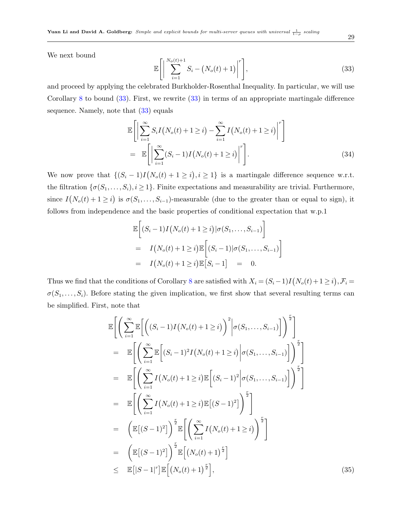We next bound

<span id="page-28-0"></span>
$$
\mathbb{E}\left[\left|\sum_{i=1}^{N_o(t)+1} S_i - \left(N_o(t)+1\right)\right|^r\right],\tag{33}
$$

and proceed by applying the celebrated Burkholder-Rosenthal Inequality. In particular, we will use Corollary [8](#page-26-3) to bound [\(33\)](#page-28-0). First, we rewrite [\(33\)](#page-28-0) in terms of an appropriate martingale difference sequence. Namely, note that [\(33\)](#page-28-0) equals

$$
\mathbb{E}\Bigg[\Big|\sum_{i=1}^{\infty} S_i I\big(N_o(t) + 1 \geq i\big) - \sum_{i=1}^{\infty} I\big(N_o(t) + 1 \geq i\big)\Big|^r\Bigg]
$$
\n
$$
= \mathbb{E}\Bigg[\Big|\sum_{i=1}^{\infty} (S_i - 1) I\big(N_o(t) + 1 \geq i\big)\Big|^r\Bigg].\tag{34}
$$

We now prove that  $\{(S_i - 1)I(N_o(t) + 1 \geq i), i \geq 1\}$  is a martingale difference sequence w.r.t. the filtration  $\{\sigma(S_1,\ldots,S_i), i \geq 1\}$ . Finite expectations and measurability are trivial. Furthermore, since  $I(N_o(t) + 1 \geq i)$  is  $\sigma(S_1, \ldots, S_{i-1})$ -measurable (due to the greater than or equal to sign), it follows from independence and the basic properties of conditional expectation that w.p.1

$$
\mathbb{E}\bigg[(S_i-1)I(N_o(t)+1\geq i)|\sigma(S_1,\ldots,S_{i-1})\bigg]
$$
\n
$$
= I(N_o(t)+1\geq i)\mathbb{E}\bigg[(S_i-1)|\sigma(S_1,\ldots,S_{i-1})\bigg]
$$
\n
$$
= I(N_o(t)+1\geq i)\mathbb{E}\big[S_i-1\big] = 0.
$$

Thus we find that the conditions of Corollary [8](#page-26-3) are satisfied with  $X_i = (S_i - 1)I(N_o(t) + 1 \ge i), \mathcal{F}_i =$  $\sigma(S_1,\ldots,S_i)$ . Before stating the given implication, we first show that several resulting terms can be simplified. First, note that

<span id="page-28-1"></span>
$$
\mathbb{E}\Bigg[\Bigg(\sum_{i=1}^{\infty}\mathbb{E}\Bigg[\Bigg((S_i-1)I(N_o(t)+1\geq i)\Bigg)^2\Bigg|\sigma(S_1,\ldots,S_{i-1})\Bigg]\Bigg)^{\frac{r}{2}}\Bigg]
$$
\n
$$
=\mathbb{E}\Bigg[\Bigg(\sum_{i=1}^{\infty}\mathbb{E}\Bigg[(S_i-1)^2I(N_o(t)+1\geq i)\Bigg|\sigma(S_1,\ldots,S_{i-1})\Bigg]\Bigg)^{\frac{r}{2}}\Bigg]
$$
\n
$$
=\mathbb{E}\Bigg[\Bigg(\sum_{i=1}^{\infty}I(N_o(t)+1\geq i)\mathbb{E}\Big[(S_i-1)^2\Bigg|\sigma(S_1,\ldots,S_{i-1})\Bigg]\Bigg)^{\frac{r}{2}}\Bigg]
$$
\n
$$
=\mathbb{E}\Bigg[\Bigg(\sum_{i=1}^{\infty}I(N_o(t)+1\geq i)\mathbb{E}\big[(S-1)^2\big]\Bigg)^{\frac{r}{2}}\Bigg]
$$
\n
$$
=\Bigg(\mathbb{E}\big[(S-1)^2\big]\Bigg)^{\frac{r}{2}}\mathbb{E}\Bigg[\Bigg(\sum_{i=1}^{\infty}I(N_o(t)+1\geq i)\Bigg)^{\frac{r}{2}}\Bigg]
$$
\n
$$
=\mathbb{E}\Big[\big[(S-1)^2\big]\Bigg)^{\frac{r}{2}}\mathbb{E}\Big[(N_o(t)+1)^{\frac{r}{2}}\Big]
$$
\n
$$
\leq \mathbb{E}[|S-1|^r]\mathbb{E}\Big[(N_o(t)+1)^{\frac{r}{2}}\Big],
$$
\n(35)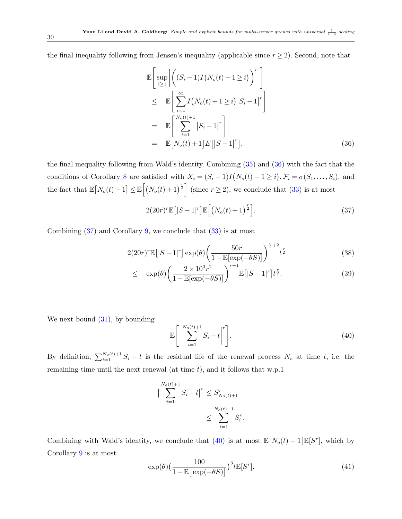the final inequality following from Jensen's inequality (applicable since  $r \geq 2$ ). Second, note that

<span id="page-29-0"></span>
$$
\mathbb{E}\left[\sup_{i\geq 1}\left|\left((S_i-1)I(N_o(t)+1\geq i)\right)^r\right|\right]
$$
\n
$$
\leq \mathbb{E}\left[\sum_{i=1}^{\infty}I(N_o(t)+1\geq i)|S_i-1|^r\right]
$$
\n
$$
=\mathbb{E}\left[\sum_{i=1}^{N_o(t)+1}|S_i-1|^r\right]
$$
\n
$$
=\mathbb{E}\left[N_o(t)+1\right]E\left[|S-1|^r\right],\tag{36}
$$

the final inequality following from Wald's identity. Combining [\(35\)](#page-28-1) and [\(36\)](#page-29-0) with the fact that the conditions of Corollary [8](#page-26-3) are satisfied with  $X_i = (S_i - 1)I(N_o(t) + 1 \ge i), \mathcal{F}_i = \sigma(S_1, \ldots, S_i)$ , and the fact that  $\mathbb{E}[N_o(t) + 1] \leq \mathbb{E}[(N_o(t) + 1)^{\frac{r}{2}}]$  (since  $r \geq 2$ ), we conclude that [\(33\)](#page-28-0) is at most

<span id="page-29-1"></span>
$$
2(20r)^{r}\mathbb{E}\left[|S-1|^{r}\right]\mathbb{E}\left[\left(N_o(t)+1\right)^{\frac{r}{2}}\right].\tag{37}
$$

Combining [\(37\)](#page-29-1) and Corollary [9,](#page-27-2) we conclude that [\(33\)](#page-28-0) is at most

<span id="page-29-3"></span>
$$
2(20r)^{r}\mathbb{E}\left[|S-1|^{r}\right]\exp(\theta)\left(\frac{50r}{1-\mathbb{E}[\exp(-\theta S)]}\right)^{\frac{r}{2}+2}t^{\frac{r}{2}}\tag{38}
$$

$$
\leq \exp(\theta) \left( \frac{2 \times 10^{3} r^{2}}{1 - \mathbb{E}[\exp(-\theta S)]} \right)^{r+1} \mathbb{E}\left[ |S - 1|^{r} \right] t^{\frac{r}{2}}.
$$
\n(39)

We next bound  $(31)$ , by bounding

<span id="page-29-2"></span>
$$
\mathbb{E}\left[\left|\sum_{i=1}^{N_o(t)+1} S_i - t\right|^r\right].\tag{40}
$$

By definition,  $\sum_{i=1}^{N_o(t)+1} S_i - t$  is the residual life of the renewal process  $N_o$  at time t, i.e. the remaining time until the next renewal (at time  $t$ ), and it follows that w.p.1

$$
\left| \sum_{i=1}^{N_o(t)+1} S_i - t \right|^r \leq S_{N_o(t)+1}^r
$$
  

$$
\leq \sum_{i=1}^{N_o(t)+1} S_i^r.
$$

Combining with Wald's identity, we conclude that [\(40\)](#page-29-2) is at most  $\mathbb{E}[N_o(t) + 1]\mathbb{E}[S^r]$ , which by Corollary [9](#page-27-2) is at most

<span id="page-29-4"></span>
$$
\exp(\theta) \left(\frac{100}{1 - \mathbb{E}\left[\exp(-\theta S)\right]}\right)^3 t \mathbb{E}[S^r].\tag{41}
$$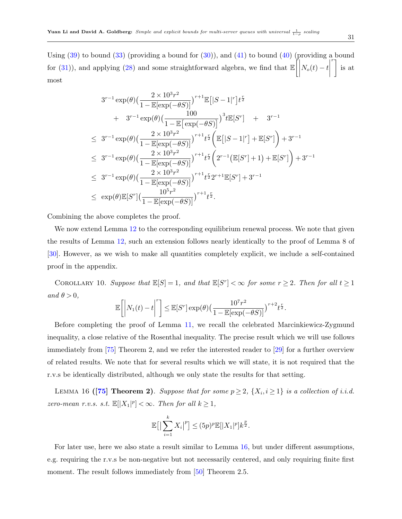Using  $(39)$  to bound  $(33)$  (providing a bound for  $(30)$ ), and  $(41)$  to bound  $(40)$  (providing a bound for [\(31\)](#page-27-4)), and applying [\(28\)](#page-26-2) and some straightforward algebra, we find that  $\mathbb{E}\left[\left|\right|$  $N_o(t) - t\Big|$  $\int$  is at most

$$
3^{r-1} \exp(\theta) \left(\frac{2 \times 10^3 r^2}{1 - \mathbb{E}[\exp(-\theta S)]}\right)^{r+1} \mathbb{E}\left[|S-1|^r\right] t^{\frac{r}{2}} + 3^{r-1} \exp(\theta) \left(\frac{100}{1 - \mathbb{E}\left[\exp(-\theta S)\right]}\right)^3 t \mathbb{E}[S^r] + 3^{r-1} \n\leq 3^{r-1} \exp(\theta) \left(\frac{2 \times 10^3 r^2}{1 - \mathbb{E}[\exp(-\theta S)]}\right)^{r+1} t^{\frac{r}{2}} \left(\mathbb{E}\left[|S-1|^r\right] + \mathbb{E}[S^r]\right) + 3^{r-1} \n\leq 3^{r-1} \exp(\theta) \left(\frac{2 \times 10^3 r^2}{1 - \mathbb{E}[\exp(-\theta S)]}\right)^{r+1} t^{\frac{r}{2}} \left(2^{r-1} \left(\mathbb{E}[S^r] + 1\right) + \mathbb{E}[S^r]\right) + 3^{r-1} \n\leq 3^{r-1} \exp(\theta) \left(\frac{2 \times 10^3 r^2}{1 - \mathbb{E}[\exp(-\theta S)]}\right)^{r+1} t^{\frac{r}{2}} 2^{r+1} \mathbb{E}[S^r] + 3^{r-1} \n\leq \exp(\theta) \mathbb{E}[S^r] \left(\frac{10^5 r^2}{1 - \mathbb{E}[\exp(-\theta S)]}\right)^{r+1} t^{\frac{r}{2}}.
$$

Combining the above completes the proof.

We now extend Lemma [12](#page-26-4) to the corresponding equilibrium renewal process. We note that given the results of Lemma [12,](#page-26-4) such an extension follows nearly identically to the proof of Lemma 8 of [\[30\]](#page-51-0). However, as we wish to make all quantities completely explicit, we include a self-contained proof in the appendix.

<span id="page-30-1"></span>COROLLARY 10. Suppose that  $\mathbb{E}[S] = 1$ , and that  $\mathbb{E}[S^r] < \infty$  for some  $r \geq 2$ . Then for all  $t \geq 1$ and  $\theta > 0$ ,

$$
\mathbb{E}\left[\left|N_1(t)-t\right|^r\right] \leq \mathbb{E}[S^r] \exp(\theta) \left(\frac{10^7 r^2}{1-\mathbb{E}[\exp(-\theta S)]}\right)^{r+2} t^{\frac{r}{2}}.
$$

Before completing the proof of Lemma [11,](#page-26-0) we recall the celebrated Marcinkiewicz-Zygmund inequality, a close relative of the Rosenthal inequality. The precise result which we will use follows immediately from [\[75\]](#page-53-17) Theorem 2, and we refer the interested reader to [\[29\]](#page-51-14) for a further overview of related results. We note that for several results which we will state, it is not required that the r.v.s be identically distributed, although we only state the results for that setting.

<span id="page-30-0"></span>LEMMA 16 ([\[75\]](#page-53-17) Theorem 2). Suppose that for some  $p \geq 2$ ,  $\{X_i, i \geq 1\}$  is a collection of i.i.d. zero-mean r.v.s. s.t.  $\mathbb{E}[|X_1|^p] < \infty$ . Then for all  $k \geq 1$ ,

$$
\mathbb{E}\big[\big|\sum_{i=1}^k X_i\big|^p\big] \le (5p)^p \mathbb{E}[\big|X_1\big|^p]k^{\frac{p}{2}}.
$$

<span id="page-30-2"></span>For later use, here we also state a result similar to Lemma [16,](#page-30-0) but under different assumptions, e.g. requiring the r.v.s be non-negative but not necessarily centered, and only requiring finite first moment. The result follows immediately from [\[50\]](#page-52-14) Theorem 2.5.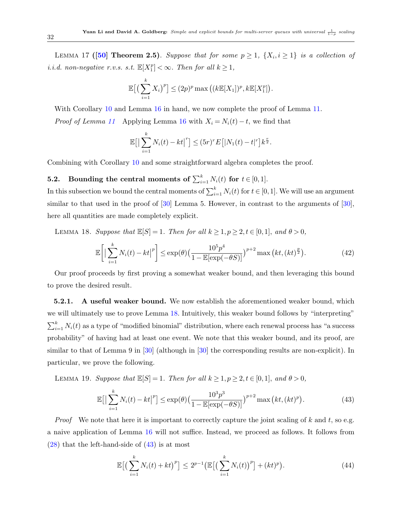LEMMA 17 ([\[50\]](#page-52-14) Theorem 2.5). Suppose that for some  $p \geq 1$ ,  $\{X_i, i \geq 1\}$  is a collection of *i.i.d.* non-negative r.v.s. s.t.  $\mathbb{E}[X_1^p] < \infty$ . Then for all  $k \geq 1$ ,

$$
\mathbb{E}\big[\big(\sum_{i=1}^k X_i\big)^p\big] \leq (2p)^p \max\big(\big(k\mathbb{E}[X_1]\big)^p, k\mathbb{E}[X_1^p]\big).
$$

With Corollary [10](#page-30-1) and Lemma [16](#page-30-0) in hand, we now complete the proof of Lemma [11.](#page-26-0) *Proof of Lemma* [11](#page-26-0) Applying Lemma [16](#page-30-0) with  $X_i = N_i(t) - t$ , we find that

$$
\mathbb{E}\big[\big|\sum_{i=1}^k N_i(t) - kt\big|^r\big] \leq (5r)^r E\big[|N_1(t) - t|^r\big]k^{\frac{r}{2}}.
$$

Combining with Corollary [10](#page-30-1) and some straightforward algebra completes the proof.

### **5.2.** Bounding the central moments of  $\sum_{i=1}^{k} N_i(t)$  for  $t \in [0,1]$ .

In this subsection we bound the central moments of  $\sum_{i=1}^{k} N_i(t)$  for  $t \in [0, 1]$ . We will use an argument similar to that used in the proof of [\[30\]](#page-51-0) Lemma 5. However, in contrast to the arguments of [\[30\]](#page-51-0), here all quantities are made completely explicit.

<span id="page-31-0"></span>LEMMA 18. Suppose that  $\mathbb{E}[S] = 1$ . Then for all  $k \geq 1, p \geq 2, t \in [0,1]$ , and  $\theta > 0$ ,

<span id="page-31-4"></span>
$$
\mathbb{E}\bigg[\big|\sum_{i=1}^k N_i(t) - kt\big|^p\bigg] \le \exp(\theta) \big(\frac{10^5 p^4}{1 - \mathbb{E}[\exp(-\theta S)]}\big)^{p+2} \max\big(kt, (kt)^{\frac{p}{2}}\big).
$$
 (42)

Our proof proceeds by first proving a somewhat weaker bound, and then leveraging this bound to prove the desired result.

**5.2.1.** A useful weaker bound. We now establish the aforementioned weaker bound, which we will ultimately use to prove Lemma [18.](#page-31-0) Intuitively, this weaker bound follows by "interpreting"  $\sum_{i=1}^{k} N_i(t)$  as a type of "modified binomial" distribution, where each renewal process has "a success" probability" of having had at least one event. We note that this weaker bound, and its proof, are similar to that of Lemma 9 in [\[30\]](#page-51-0) (although in [\[30\]](#page-51-0) the corresponding results are non-explicit). In particular, we prove the following.

<span id="page-31-3"></span>LEMMA 19. Suppose that  $\mathbb{E}[S] = 1$ . Then for all  $k \geq 1, p \geq 2, t \in [0,1]$ , and  $\theta > 0$ ,

<span id="page-31-1"></span>
$$
\mathbb{E}\big[\big|\sum_{i=1}^{k} N_i(t) - kt\big|^p\big] \le \exp(\theta) \big(\frac{10^3 p^3}{1 - \mathbb{E}[\exp(-\theta S)]}\big)^{p+2} \max\big(kt, (kt)^p\big). \tag{43}
$$

*Proof* We note that here it is important to correctly capture the joint scaling of k and t, so e.g. a naive application of Lemma [16](#page-30-0) will not suffice. Instead, we proceed as follows. It follows from  $(28)$  that the left-hand-side of  $(43)$  is at most

<span id="page-31-2"></span>
$$
\mathbb{E}\big[\big(\sum_{i=1}^{k} N_i(t) + kt\big)^p\big] \le 2^{p-1} \big(\mathbb{E}\big[\big(\sum_{i=1}^{k} N_i(t)\big)^p\big] + (kt)^p\big). \tag{44}
$$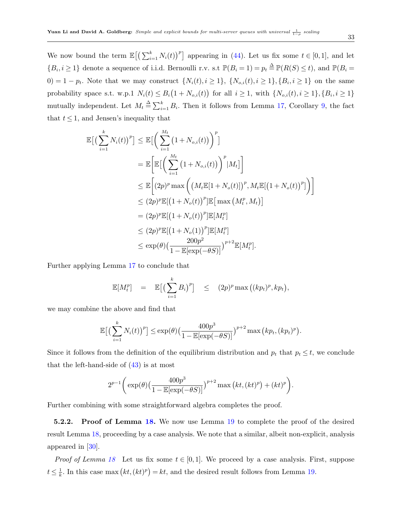We now bound the term  $\mathbb{E}\left[\left(\sum_{i=1}^k N_i(t)\right)^p\right]$  appearing in [\(44\)](#page-31-2). Let us fix some  $t \in [0,1]$ , and let  ${B_i, i \geq 1}$  denote a sequence of i.i.d. Bernoulli r.v. s.t  $\mathbb{P}(B_i = 1) = p_t \triangleq \mathbb{P}(R(S) \leq t)$ , and  $\mathbb{P}(B_i = 1)$  $(0) = 1 - p_t$ . Note that we may construct  $\{N_i(t), i \geq 1\}$ ,  $\{N_{o,i}(t), i \geq 1\}$ ,  $\{B_i, i \geq 1\}$  on the same probability space s.t. w.p.1  $N_i(t) \leq B_i(1 + N_{o,i}(t))$  for all  $i \geq 1$ , with  $\{N_{o,i}(t), i \geq 1\}, \{B_i, i \geq 1\}$ mutually independent. Let  $M_t \triangleq \sum_{i=1}^k B_i$ . Then it follows from Lemma [17,](#page-30-2) Corollary [9,](#page-27-2) the fact that  $t \leq 1$ , and Jensen's inequality that

$$
\mathbb{E}\big[\big(\sum_{i=1}^{k} N_i(t)\big)^p\big] \leq \mathbb{E}\big[\bigg(\sum_{i=1}^{M_t} \big(1+N_{o,i}(t)\big)\bigg)^p\big]
$$
\n
$$
= \mathbb{E}\bigg[\mathbb{E}\big[\bigg(\sum_{i=1}^{M_t} \big(1+N_{o,i}(t)\big)\bigg)^p |M_t]\bigg]
$$
\n
$$
\leq \mathbb{E}\bigg[\big(2p)^p \max\bigg(\big(M_t \mathbb{E}[1+N_o(t)]\big)^p, M_t \mathbb{E}[(1+N_o(t))^p]\bigg)\bigg]
$$
\n
$$
\leq (2p)^p \mathbb{E}[(1+N_o(t))^p] \mathbb{E}\big[\max(M_t^p, M_t)\big]
$$
\n
$$
= (2p)^p \mathbb{E}[(1+N_o(t))^p] \mathbb{E}[M_t^p]
$$
\n
$$
\leq (2p)^p \mathbb{E}[(1+N_o(1))^p] \mathbb{E}[M_t^p]
$$
\n
$$
\leq \exp(\theta)\big(\frac{200p^2}{1-\mathbb{E}[\exp(-\theta S)]}\big)^{p+2} \mathbb{E}[M_t^p].
$$

Further applying Lemma [17](#page-30-2) to conclude that

$$
\mathbb{E}[M_t^p] = \mathbb{E}\big[\big(\sum_{i=1}^k B_i\big)^p\big] \leq (2p)^p \max\big((kp_t)^p, kp_t\big),
$$

we may combine the above and find that

$$
\mathbb{E}\big[\big(\sum_{i=1}^k N_i(t)\big)^p\big] \le \exp(\theta) \big(\frac{400p^3}{1-\mathbb{E}[\exp(-\theta S)]}\big)^{p+2} \max\big(k p_t, (kp_t)^p\big).
$$

Since it follows from the definition of the equilibrium distribution and  $p_t$  that  $p_t \leq t$ , we conclude that the left-hand-side of  $(43)$  is at most

$$
2^{p-1}\bigg(\exp(\theta)\left(\frac{400p^3}{1-\mathbb{E}[\exp(-\theta S)]}\right)^{p+2}\max\big(kt,(kt)^p\big)+(kt)^p\bigg).
$$

Further combining with some straightforward algebra completes the proof.

5.2.2. Proof of Lemma [18.](#page-31-0) We now use Lemma [19](#page-31-3) to complete the proof of the desired result Lemma [18,](#page-31-0) proceeding by a case analysis. We note that a similar, albeit non-explicit, analysis appeared in [\[30\]](#page-51-0).

*Proof of Lemma [18](#page-31-0)* Let us fix some  $t \in [0, 1]$ . We proceed by a case analysis. First, suppose  $t\leq \frac{1}{k}$  $\frac{1}{k}$ . In this case max  $(kt, (kt)^p) = kt$ , and the desired result follows from Lemma [19.](#page-31-3)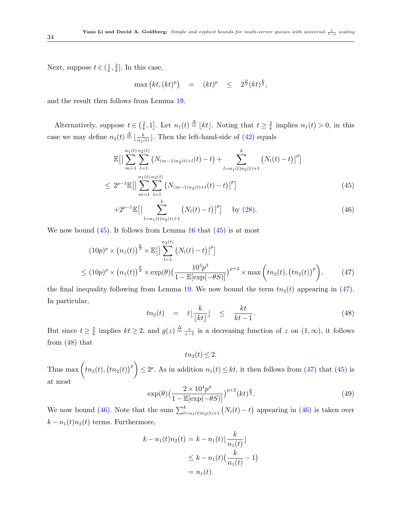Next, suppose  $t \in (\frac{1}{k})$  $\frac{1}{k}, \frac{2}{k}$  $\frac{2}{k}$ . In this case,

$$
\max\left(kt,(kt)^p\right) \quad = \quad (kt)^p \quad \leq \quad 2^{\frac{p}{2}}(kt)^{\frac{p}{2}},
$$

and the result then follows from Lemma [19.](#page-31-3)

Alternatively, suppose  $t \in \left(\frac{2}{k}\right)$  $\left[\frac{2}{k}, 1\right]$ . Let  $n_1(t) \triangleq \lfloor kt \rfloor$ . Noting that  $t \geq \frac{2}{k}$  $\frac{2}{k}$  implies  $n_1(t) > 0$ , in this case we may define  $n_2(t) \stackrel{\Delta}{=} \lfloor \frac{k}{n_1(t)} \rfloor$  $\frac{k}{n_1(t)}$ . Then the left-hand-side of  $(42)$  equals

<span id="page-33-0"></span>
$$
\mathbb{E}\big[\big|\sum_{m=1}^{n_1(t)}\sum_{l=1}^{n_2(t)}\big(N_{(m-1)n_2(t)+l}(t)-t\big)+\sum_{l=n_1(t)n_2(t)+1}^{k}\big(N_l(t)-t\big)\big|^p\big]\n\n\le 2^{p-1}\mathbb{E}\big[\big|\sum_{m=1}^{n_1(t)}\sum_{l=1}^{n_2(t)}\big(N_{(m-1)n_2(t)+l}(t)-t\big)\big|^p\big]\n \tag{45}
$$

$$
+2^{p-1}\mathbb{E}\big[\Big|\sum_{l=n_1(t)n_2(t)+1}^k \big(N_l(t)-t\big)\big|^p\big] \quad \text{by (28).}\tag{46}
$$

We now bound  $(45)$ . It follows from Lemma [16](#page-30-0) that  $(45)$  is at most

<span id="page-33-1"></span>
$$
(10p)^{p} \times (n_{1}(t))^{\frac{p}{2}} \times \mathbb{E}\Big[\Big|\sum_{l=1}^{n_{2}(t)} (N_{l}(t) - t)\Big|^{p}\Big]\n\n\leq (10p)^{p} \times (n_{1}(t))^{\frac{p}{2}} \times \exp(\theta)\Big(\frac{10^{3}p^{3}}{1 - \mathbb{E}[\exp(-\theta S)]}\Big)^{p+2} \times \max\left(tn_{2}(t), (tn_{2}(t))^{p}\right),
$$
\n(47)

the final inequality following from Lemma [19.](#page-31-3) We now bound the term  $tn_2(t)$  appearing in [\(47\)](#page-33-1). In particular,

<span id="page-33-2"></span>
$$
tn_2(t) = t\lfloor \frac{k}{\lfloor kt \rfloor} \rfloor \leq \frac{kt}{kt-1}.
$$
\n(48)

But since  $t \geq \frac{2}{k}$  $\frac{2}{k}$  implies  $kt \geq 2$ , and  $g(z) \stackrel{\Delta}{=} \frac{z}{z-1}$  is a decreasing function of z on  $(1, \infty)$ , it follows from [\(48\)](#page-33-2) that

 $tn_2(t) \leq 2.$ 

Thus max  $(tn_2(t), (tn_2(t))^p) \leq 2^p$ . As in addition  $n_1(t) \leq kt$ , it then follows from [\(47\)](#page-33-1) that [\(45\)](#page-33-0) is at most

<span id="page-33-3"></span>
$$
\exp(\theta) \left(\frac{2 \times 10^4 p^4}{1 - \mathbb{E}[\exp(-\theta S)]}\right)^{p+2} (kt)^{\frac{p}{2}}.
$$
\n
$$
(49)
$$

We now bound [\(46\)](#page-33-0). Note that the sum  $\sum_{l=n_1(t)n_2(t)+1}^{k} (N_l(t)-t)$  appearing in (46) is taken over  $k - n_1(t)n_2(t)$  terms. Furthermore,

$$
k - n_1(t)n_2(t) = k - n_1(t) \lfloor \frac{k}{n_1(t)} \rfloor
$$
  
 
$$
\leq k - n_1(t) \left( \frac{k}{n_1(t)} - 1 \right)
$$
  
 
$$
= n_1(t).
$$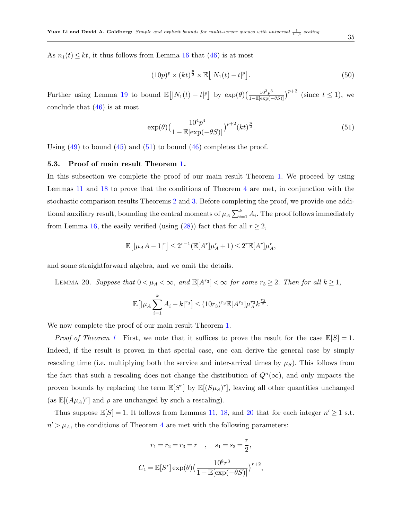As  $n_1(t) \leq kt$ , it thus follows from Lemma [16](#page-30-0) that [\(46\)](#page-33-0) is at most

$$
(10p)^p \times (kt)^{\frac{p}{2}} \times \mathbb{E}\left[|N_1(t) - t|^p\right].
$$
\n(50)

Further using Lemma [19](#page-31-3) to bound  $\mathbb{E}[|N_1(t) - t|^p]$  by  $\exp(\theta) \left(\frac{10^3 p^3}{1 - \mathbb{E}[\exp(-\theta S)]}\right)^{p+2}$  (since  $t \le 1$ ), we conclude that [\(46\)](#page-33-0) is at most

<span id="page-34-0"></span>
$$
\exp(\theta) \left(\frac{10^4 p^4}{1 - \mathbb{E}[\exp(-\theta S)]}\right)^{p+2} (kt)^{\frac{p}{2}}.
$$
\n
$$
(51)
$$

Using  $(49)$  to bound  $(45)$  and  $(51)$  to bound  $(46)$  completes the proof.

#### 5.3. Proof of main result Theorem [1.](#page-10-0)

In this subsection we complete the proof of our main result Theorem [1.](#page-10-0) We proceed by using Lemmas [11](#page-26-0) and [18](#page-31-0) to prove that the conditions of Theorem [4](#page-16-0) are met, in conjunction with the stochastic comparison results Theorems [2](#page-15-2) and [3.](#page-15-3) Before completing the proof, we provide one additional auxiliary result, bounding the central moments of  $\mu_A \sum_{i=1}^k A_i$ . The proof follows immediately from Lemma [16,](#page-30-0) the easily verified (using [\(28\)](#page-26-2)) fact that for all  $r \geq 2$ ,

<span id="page-34-1"></span>
$$
\mathbb{E}\!\left[|\mu_A A-1|^r\right]\leq 2^{r-1}(\mathbb{E}[A^r]\mu_A^r+1)\leq 2^r\mathbb{E}[A^r]\mu_A^r,
$$

and some straightforward algebra, and we omit the details.

LEMMA 20. Suppose that  $0 < \mu_A < \infty$ , and  $\mathbb{E}[A^{r_3}] < \infty$  for some  $r_3 \geq 2$ . Then for all  $k \geq 1$ ,

$$
\mathbb{E}\big[|\mu_A \sum_{i=1}^k A_i - k|^{r_3}\big] \le (10r_3)^{r_3} \mathbb{E}[A^{r_3}]\mu_A^{r_3} k^{\frac{r_3}{2}}.
$$

We now complete the proof of our main result Theorem [1.](#page-10-0)

*Proof of Theorem [1](#page-10-0)* First, we note that it suffices to prove the result for the case  $\mathbb{E}[S] = 1$ . Indeed, if the result is proven in that special case, one can derive the general case by simply rescaling time (i.e. multiplying both the service and inter-arrival times by  $\mu_S$ ). This follows from the fact that such a rescaling does not change the distribution of  $Q^{n}(\infty)$ , and only impacts the proven bounds by replacing the term  $\mathbb{E}[S^r]$  by  $\mathbb{E}[(S\mu_S)^r]$ , leaving all other quantities unchanged (as  $\mathbb{E}[(A\mu_A)^r]$  and  $\rho$  are unchanged by such a rescaling).

Thus suppose  $\mathbb{E}[S] = 1$ . It follows from Lemmas [11,](#page-26-0) [18,](#page-31-0) and [20](#page-34-1) that for each integer  $n' \geq 1$  s.t.  $n' > \mu_A$ , the conditions of Theorem [4](#page-16-0) are met with the following parameters:

$$
r_1 = r_2 = r_3 = r \quad , \quad s_1 = s_3 = \frac{r}{2},
$$
  

$$
C_1 = \mathbb{E}[S^r] \exp(\theta) \left(\frac{10^8 r^3}{1 - \mathbb{E}[\exp(-\theta S)]}\right)^{r+2},
$$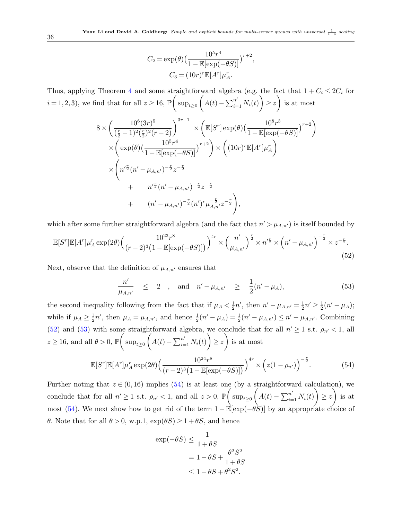$$
C_2 = \exp(\theta) \left( \frac{10^5 r^4}{1 - \mathbb{E}[\exp(-\theta S)]} \right)^{r+2},
$$
  

$$
C_3 = (10r)^r \mathbb{E}[A^r] \mu_A^r.
$$

Thus, applying Theorem [4](#page-16-0) and some straightforward algebra (e.g. the fact that  $1 + C_i \leq 2C_i$  for  $i = 1, 2, 3$ ), we find that for all  $z \ge 16$ ,  $\mathbb{P}\left(\sup_{t \ge 0} \left(A(t) - \sum_{i=1}^{n'} N_i(t)\right) \ge z\right)$  is at most

$$
8 \times \left(\frac{10^6 (3r)^5}{(\frac{r}{2}-1)^2(\frac{r}{2})^2(r-2)}\right)^{3r+1} \times \left(\mathbb{E}[S^r] \exp(\theta) \left(\frac{10^8 r^3}{1-\mathbb{E}[\exp(-\theta S)]}\right)^{r+2}\right) \times \left(\exp(\theta) \left(\frac{10^5 r^4}{1-\mathbb{E}[\exp(-\theta S)]}\right)^{r+2}\right) \times \left((10r)^r \mathbb{E}[A^r] \mu_A^r\right) \times \left(n'^{\frac{r}{2}} (n' - \mu_{A,n'})^{-\frac{r}{2}} z^{-\frac{r}{2}} + n'^{\frac{r}{2}} (n' - \mu_{A,n'})^{-\frac{r}{2}} z^{-\frac{r}{2}} + (n' - \mu_{A,n'})^{-\frac{r}{2}} (n')^r \mu_{A,n'}^{-\frac{r}{2}} z^{-\frac{r}{2}}\right),
$$

which after some further straightforward algebra (and the fact that  $n' > \mu_{A,n'}$ ) is itself bounded by

<span id="page-35-0"></span>
$$
\mathbb{E}[S^r]\mathbb{E}[A^r]\mu_A^r \exp(2\theta) \left(\frac{10^{23}r^8}{(r-2)^3\left(1-\mathbb{E}[\exp(-\theta S)]\right)}\right)^{4r} \times \left(\frac{n'}{\mu_{A,n'}}\right)^{\frac{r}{2}} \times n'^{\frac{r}{2}} \times \left(n'-\mu_{A,n'}\right)^{-\frac{r}{2}} \times z^{-\frac{r}{2}}.
$$
\n(52)

Next, observe that the definition of  $\mu_{A,n'}$  ensures that

<span id="page-35-1"></span>
$$
\frac{n'}{\mu_{A,n'}} \leq 2 , \text{ and } n' - \mu_{A,n'} \geq \frac{1}{2}(n' - \mu_A), \tag{53}
$$

the second inequality following from the fact that if  $\mu_A < \frac{1}{2}$  $\frac{1}{2}n'$ , then  $n' - \mu_{A,n'} = \frac{1}{2}$  $\frac{1}{2}n' \geq \frac{1}{2}$  $\frac{1}{2}(n' - \mu_A);$ while if  $\mu_A \geq \frac{1}{2}$  $\frac{1}{2}n'$ , then  $\mu_A = \mu_{A,n'}$ , and hence  $\frac{1}{2}(n' - \mu_A) = \frac{1}{2}(n' - \mu_{A,n'}) \leq n' - \mu_{A,n'}$ . Combining [\(52\)](#page-35-0) and [\(53\)](#page-35-1) with some straightforward algebra, we conclude that for all  $n' \geq 1$  s.t.  $\rho_{n'} < 1$ , all  $z \ge 16$ , and all  $\theta > 0$ ,  $\mathbb{P}\left(\sup_{t \ge 0} \left(A(t) - \sum_{i=1}^{n'} N_i(t)\right) \ge z\right)$  is at most

<span id="page-35-2"></span>
$$
\mathbb{E}[S^r] \mathbb{E}[A^r] \mu_A^r \exp(2\theta) \left( \frac{10^{24} r^8}{(r-2)^3 \left(1 - \mathbb{E}[\exp(-\theta S)]\right)} \right)^{4r} \times \left( z(1 - \rho_{n'}) \right)^{-\frac{r}{2}}.
$$
 (54)

Further noting that  $z \in (0, 16)$  implies [\(54\)](#page-35-2) is at least one (by a straightforward calculation), we conclude that for all  $n' \geq 1$  s.t.  $\rho_{n'} < 1$ , and all  $z > 0$ ,  $\mathbb{P}\left(\sup_{t \geq 0} \left(A(t) - \sum_{i=1}^{n'} N_i(t)\right) \geq z\right)$  is at most [\(54\)](#page-35-2). We next show how to get rid of the term  $1 - \mathbb{E}[\exp(-\theta S)]$  by an appropriate choice of θ. Note that for all  $θ > 0$ , w.p.1,  $exp(θS) \ge 1 + θS$ , and hence

$$
\exp(-\theta S) \le \frac{1}{1+\theta S}
$$
  
=  $1 - \theta S + \frac{\theta^2 S^2}{1+\theta S}$   
 $\le 1 - \theta S + \theta^2 S^2$ .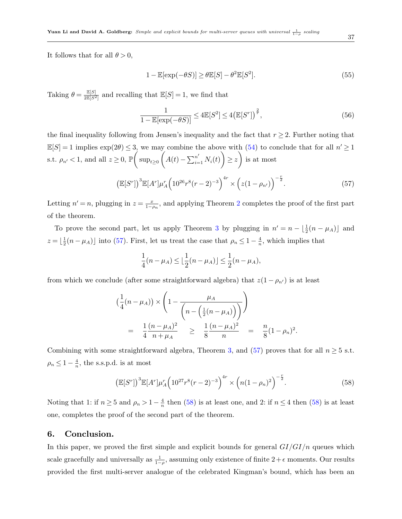It follows that for all  $\theta > 0$ ,

$$
1 - \mathbb{E}[\exp(-\theta S)] \ge \theta \mathbb{E}[S] - \theta^2 \mathbb{E}[S^2].\tag{55}
$$

Taking  $\theta = \frac{\mathbb{E}[S]}{2\mathbb{E}[S^2]}$  $\frac{\mathbb{E}[S]}{2\mathbb{E}[S^2]}$  and recalling that  $\mathbb{E}[S] = 1$ , we find that

$$
\frac{1}{1 - \mathbb{E}[\exp(-\theta S)]} \le 4\mathbb{E}[S^2] \le 4\left(\mathbb{E}[S^r]\right)^{\frac{2}{r}},\tag{56}
$$

the final inequality following from Jensen's inequality and the fact that  $r \geq 2$ . Further noting that  $\mathbb{E}[S] = 1$  implies  $\exp(2\theta) \leq 3$ , we may combine the above with  $(54)$  to conclude that for all  $n' \geq 1$ s.t.  $\rho_{n'} < 1$ , and all  $z \geq 0$ ,  $\mathbb{P}\left(\sup_{t \geq 0} \left(A(t) - \sum_{i=1}^{n'} N_i(t)\right) \geq z\right)$  is at most

<span id="page-36-1"></span>
$$
\left(\mathbb{E}[S^r]\right)^3 \mathbb{E}[A^r] \mu_A^r \left(10^{26} r^8 (r-2)^{-3}\right)^{4r} \times \left(z(1-\rho_{n'})\right)^{-\frac{r}{2}}.\tag{57}
$$

Letting  $n' = n$ , plugging in  $z = \frac{x}{1-\rho_n}$ , and applying Theorem [2](#page-15-2) completes the proof of the first part of the theorem.

To prove the second part, let us apply Theorem [3](#page-15-3) by plugging in  $n' = n - \lfloor \frac{1}{2}(n - \mu_A) \rfloor$  and  $z=\lfloor \frac{1}{2}$  $\frac{1}{2}(n-\mu_A)\sin 6(57)$  $\frac{1}{2}(n-\mu_A)\sin 6(57)$ . First, let us treat the case that  $\rho_n \leq 1-\frac{4}{n}$  $\frac{4}{n}$ , which implies that

$$
\frac{1}{4}(n - \mu_A) \le \lfloor \frac{1}{2}(n - \mu_A) \rfloor \le \frac{1}{2}(n - \mu_A),
$$

from which we conclude (after some straightforward algebra) that  $z(1 - \rho_{n'})$  is at least

$$
\left(\frac{1}{4}(n-\mu_A)\right) \times \left(1 - \frac{\mu_A}{\left(n - \left(\frac{1}{2}(n-\mu_A)\right)\right)}\right)
$$
\n
$$
= \frac{1}{4} \frac{(n-\mu_A)^2}{n+\mu_A} \ge \frac{1}{8} \frac{(n-\mu_A)^2}{n} = \frac{n}{8}(1-\rho_n)^2.
$$

Combining with some straightforward algebra, Theorem [3,](#page-15-3) and [\(57\)](#page-36-1) proves that for all  $n \geq 5$  s.t.  $\rho_n \leq 1 - \frac{4}{n}$  $\frac{4}{n}$ , the s.s.p.d. is at most

<span id="page-36-2"></span>
$$
\left(\mathbb{E}[S^r]\right)^3 \mathbb{E}[A^r] \mu_A^r \left(10^{27} r^8 (r-2)^{-3}\right)^{4r} \times \left(n(1-\rho_n)^2\right)^{-\frac{r}{2}}.\tag{58}
$$

Noting that 1: if  $n \geq 5$  and  $\rho_n > 1-\frac{4}{n}$  $\frac{4}{n}$  then [\(58\)](#page-36-2) is at least one, and 2: if  $n \leq 4$  then (58) is at least one, completes the proof of the second part of the theorem.

### <span id="page-36-0"></span>6. Conclusion.

In this paper, we proved the first simple and explicit bounds for general  $GI/GI/n$  queues which scale gracefully and universally as  $\frac{1}{1-\rho}$ , assuming only existence of finite  $2+\epsilon$  moments. Our results provided the first multi-server analogue of the celebrated Kingman's bound, which has been an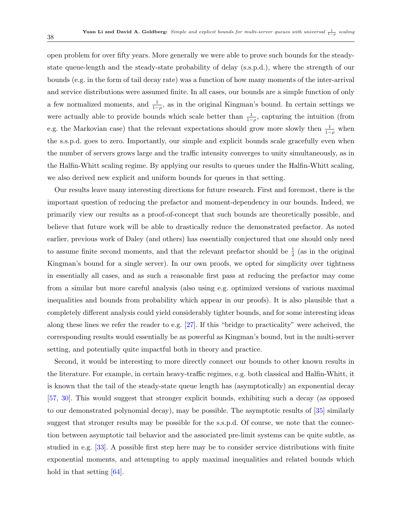open problem for over fifty years. More generally we were able to prove such bounds for the steadystate queue-length and the steady-state probability of delay (s.s.p.d.), where the strength of our bounds (e.g. in the form of tail decay rate) was a function of how many moments of the inter-arrival and service distributions were assumed finite. In all cases, our bounds are a simple function of only a few normalized moments, and  $\frac{1}{1-\rho}$ , as in the original Kingman's bound. In certain settings we were actually able to provide bounds which scale better than  $\frac{1}{1-\rho}$ , capturing the intuition (from e.g. the Markovian case) that the relevant expectations should grow more slowly then  $\frac{1}{1-\rho}$  when the s.s.p.d. goes to zero. Importantly, our simple and explicit bounds scale gracefully even when the number of servers grows large and the traffic intensity converges to unity simultaneously, as in the Halfin-Whitt scaling regime. By applying our results to queues under the Halfin-Whitt scaling, we also derived new explicit and uniform bounds for queues in that setting.

Our results leave many interesting directions for future research. First and foremost, there is the important question of reducing the prefactor and moment-dependency in our bounds. Indeed, we primarily view our results as a proof-of-concept that such bounds are theoretically possible, and believe that future work will be able to drastically reduce the demonstrated prefactor. As noted earlier, previous work of Daley (and others) has essentially conjectured that one should only need to assume finite second moments, and that the relevant prefactor should be  $\frac{1}{2}$  (as in the original Kingman's bound for a single server). In our own proofs, we opted for simplicity over tightness in essentially all cases, and as such a reasonable first pass at reducing the prefactor may come from a similar but more careful analysis (also using e.g. optimized versions of various maximal inequalities and bounds from probability which appear in our proofs). It is also plausible that a completely different analysis could yield considerably tighter bounds, and for some interesting ideas along these lines we refer the reader to e.g. [\[27\]](#page-51-10). If this "bridge to practicality" were acheived, the corresponding results would essentially be as powerful as Kingman's bound, but in the multi-server setting, and potentially quite impactful both in theory and practice.

Second, it would be interesting to more directly connect our bounds to other known results in the literature. For example, in certain heavy-traffic regimes, e.g. both classical and Halfin-Whitt, it is known that the tail of the steady-state queue length has (asymptotically) an exponential decay [\[57,](#page-52-4) [30\]](#page-51-0). This would suggest that stronger explicit bounds, exhibiting such a decay (as opposed to our demonstrated polynomial decay), may be possible. The asymptotic results of [\[35\]](#page-51-1) similarly suggest that stronger results may be possible for the s.s.p.d. Of course, we note that the connection between asymptotic tail behavior and the associated pre-limit systems can be quite subtle, as studied in e.g. [\[33\]](#page-51-8). A possible first step here may be to consider service distributions with finite exponential moments, and attempting to apply maximal inequalities and related bounds which hold in that setting  $[64]$ .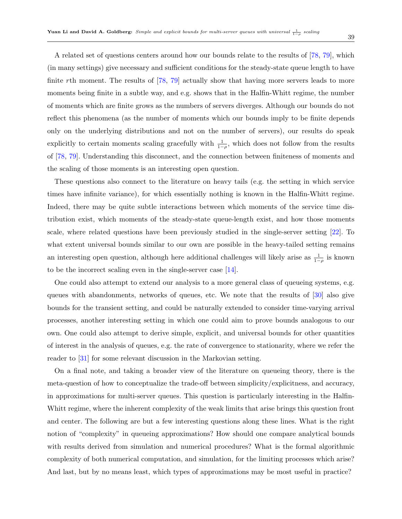39

A related set of questions centers around how our bounds relate to the results of [\[78,](#page-54-2) [79\]](#page-54-3), which (in many settings) give necessary and sufficient conditions for the steady-state queue length to have finite rth moment. The results of [\[78,](#page-54-2) [79\]](#page-54-3) actually show that having more servers leads to more moments being finite in a subtle way, and e.g. shows that in the Halfin-Whitt regime, the number of moments which are finite grows as the numbers of servers diverges. Although our bounds do not reflect this phenomena (as the number of moments which our bounds imply to be finite depends only on the underlying distributions and not on the number of servers), our results do speak explicitly to certain moments scaling gracefully with  $\frac{1}{1-\rho}$ , which does not follow from the results of [\[78,](#page-54-2) [79\]](#page-54-3). Understanding this disconnect, and the connection between finiteness of moments and the scaling of those moments is an interesting open question.

These questions also connect to the literature on heavy tails (e.g. the setting in which service times have infinite variance), for which essentially nothing is known in the Halfin-Whitt regime. Indeed, there may be quite subtle interactions between which moments of the service time distribution exist, which moments of the steady-state queue-length exist, and how those moments scale, where related questions have been previously studied in the single-server setting [\[22\]](#page-50-16). To what extent universal bounds similar to our own are possible in the heavy-tailed setting remains an interesting open question, although here additional challenges will likely arise as  $\frac{1}{1-\rho}$  is known to be the incorrect scaling even in the single-server case [\[14\]](#page-50-17).

One could also attempt to extend our analysis to a more general class of queueing systems, e.g. queues with abandonments, networks of queues, etc. We note that the results of [\[30\]](#page-51-0) also give bounds for the transient setting, and could be naturally extended to consider time-varying arrival processes, another interesting setting in which one could aim to prove bounds analogous to our own. One could also attempt to derive simple, explicit, and universal bounds for other quantities of interest in the analysis of queues, e.g. the rate of convergence to stationarity, where we refer the reader to [\[31\]](#page-51-15) for some relevant discussion in the Markovian setting.

On a final note, and taking a broader view of the literature on queueing theory, there is the meta-question of how to conceptualize the trade-off between simplicity/explicitness, and accuracy, in approximations for multi-server queues. This question is particularly interesting in the Halfin-Whitt regime, where the inherent complexity of the weak limits that arise brings this question front and center. The following are but a few interesting questions along these lines. What is the right notion of "complexity" in queueing approximations? How should one compare analytical bounds with results derived from simulation and numerical procedures? What is the formal algorithmic complexity of both numerical computation, and simulation, for the limiting processes which arise? And last, but by no means least, which types of approximations may be most useful in practice?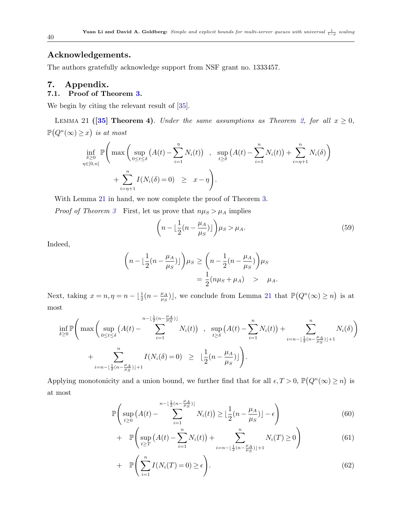### Acknowledgements.

The authors gratefully acknowledge support from NSF grant no. 1333457.

### <span id="page-39-0"></span>7. Appendix.

### 7.1. Proof of Theorem [3.](#page-15-3)

We begin by citing the relevant result of  $[35]$ .

<span id="page-39-1"></span>LEMMA 21 ([\[35\]](#page-51-1) Theorem 4). Under the same assumptions as Theorem [2,](#page-15-2) for all  $x \ge 0$ ,  $\mathbb{P}(Q^n(\infty) \geq x)$  is at most

$$
\inf_{\delta \geq 0} \mathbb{P}\left(\max\left(\sup_{0 \leq t \leq \delta} (A(t) - \sum_{i=1}^{\eta} N_i(t)) \right), \sup_{t \geq \delta} (A(t) - \sum_{i=1}^{\eta} N_i(t)) + \sum_{i=\eta+1}^{\eta} N_i(\delta) \right) + \sum_{i=\eta+1}^{\eta} I(N_i(\delta) = 0) \geq x - \eta \right).
$$

With Lemma [21](#page-39-1) in hand, we now complete the proof of Theorem [3.](#page-15-3)

*Proof of Theorem [3](#page-15-3)* First, let us prove that  $n\mu_S > \mu_A$  implies

<span id="page-39-3"></span>
$$
\left(n - \lfloor \frac{1}{2} (n - \frac{\mu_A}{\mu_S}) \rfloor \right) \mu_S > \mu_A. \tag{59}
$$

Indeed,

$$
\left(n - \lfloor \frac{1}{2}(n - \frac{\mu_A}{\mu_S})\rfloor\right)\mu_S \ge \left(n - \frac{1}{2}(n - \frac{\mu_A}{\mu_S})\right)\mu_S
$$
  
=  $\frac{1}{2}(n\mu_S + \mu_A) > \mu_A.$ 

Next, taking  $x = n, \eta = n - \lfloor \frac{1}{2}(n - \frac{\mu_A}{\mu_S}) \rfloor$  $\left[\mu_A\atop \mu_S\right]$ , we conclude from Lemma [21](#page-39-1) that  $\mathbb{P}\big(Q^n(\infty)\geq n\big)$  is at most

$$
\inf_{\delta \geq 0} \mathbb{P}\Bigg( \max \Bigg( \sup_{0 \leq t \leq \delta} (A(t) - \sum_{i=1}^{n-\lfloor \frac{1}{2}(n-\frac{\mu_{A}}{\mu_{S}}) \rfloor} N_{i}(t)) \Bigg), \sup_{t \geq \delta} (A(t) - \sum_{i=1}^{n} N_{i}(t)) + \sum_{i=n-\lfloor \frac{1}{2}(n-\frac{\mu_{A}}{\mu_{S}}) \rfloor+1}^{n} N_{i}(\delta) \Bigg) + \sum_{i=n-\lfloor \frac{1}{2}(n-\frac{\mu_{A}}{\mu_{S}}) \rfloor+1}^{n} I(N_{i}(\delta) = 0) \geq \Big(\frac{1}{2}(n-\frac{\mu_{A}}{\mu_{S}})\Big)\Bigg).
$$

Applying monotonicity and a union bound, we further find that for all  $\epsilon, T > 0$ ,  $\mathbb{P}(Q^n(\infty) \geq n)$  is at most

$$
\mathbb{P}\left(\sup_{t\geq 0} \left(A(t) - \sum_{i=1}^{n-\lfloor \frac{1}{2}(n-\frac{\mu_A}{\mu_S}) \rfloor} N_i(t)\right) \geq \lfloor \frac{1}{2}(n-\frac{\mu_A}{\mu_S}) \rfloor - \epsilon\right) \tag{60}
$$

<span id="page-39-2"></span>+ 
$$
\mathbb{P}\left(\sup_{t\geq T}\left(A(t)-\sum_{i=1}^{n}N_i(t)\right)+\sum_{i=n-\lfloor\frac{1}{2}(n-\frac{\mu_A}{\mu_S})\rfloor+1}^{n}N_i(T)\geq 0\right)
$$
 (61)

$$
+\mathbb{P}\Bigg(\sum_{i=1}^{n}I(N_i(T)=0)\geq\epsilon\Bigg). \tag{62}
$$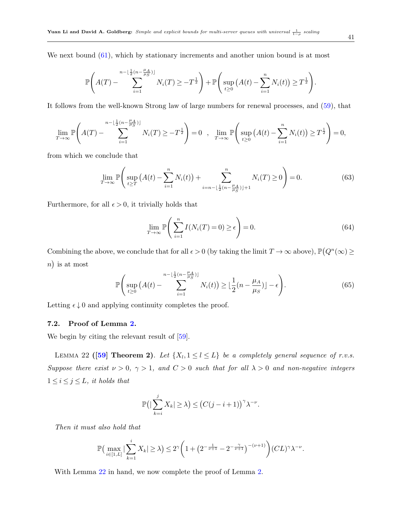We next bound  $(61)$ , which by stationary increments and another union bound is at most

$$
\mathbb{P}\Bigg(A(T) - \sum_{i=1}^{n-\lfloor \frac{1}{2}(n-\frac{\mu_A}{\mu_S}) \rfloor} N_i(T) \geq -T^{\frac{1}{2}}\Bigg) + \mathbb{P}\Bigg(\sup_{t\geq 0} (A(t) - \sum_{i=1}^{n} N_i(t)) \geq T^{\frac{1}{2}}\Bigg).
$$

It follows from the well-known Strong law of large numbers for renewal processes, and [\(59\)](#page-39-3), that

$$
\lim_{T \to \infty} \mathbb{P}\left(A(T) - \sum_{i=1}^{n-\lfloor \frac{1}{2}(n-\frac{\mu_A}{\mu_S}) \rfloor} N_i(T) \geq -T^{\frac{1}{2}}\right) = 0 \quad , \quad \lim_{T \to \infty} \mathbb{P}\left(\sup_{t \geq 0} \left(A(t) - \sum_{i=1}^{n} N_i(t)\right) \geq T^{\frac{1}{2}}\right) = 0,
$$

from which we conclude that

$$
\lim_{T \to \infty} \mathbb{P}\left(\sup_{t \ge T} \left( A(t) - \sum_{i=1}^n N_i(t) \right) + \sum_{i=n-\lfloor \frac{1}{2}(n-\frac{\mu_A}{\mu_S}) \rfloor + 1}^n N_i(T) \ge 0 \right) = 0. \tag{63}
$$

Furthermore, for all  $\epsilon > 0$ , it trivially holds that

$$
\lim_{T \to \infty} \mathbb{P}\left(\sum_{i=1}^{n} I(N_i(T) = 0) \ge \epsilon\right) = 0.
$$
\n(64)

Combining the above, we conclude that for all  $\epsilon > 0$  (by taking the limit  $T \to \infty$  above),  $\mathbb{P}(Q^n(\infty) \geq 0)$ n) is at most

$$
\mathbb{P}\Bigg(\sup_{t\geq 0} \left(A(t) - \sum_{i=1}^{n-\lfloor \frac{1}{2}(n-\frac{\mu_A}{\mu_S}) \rfloor} N_i(t)\right) \geq \lfloor \frac{1}{2}(n-\frac{\mu_A}{\mu_S}) \rfloor - \epsilon\Bigg). \tag{65}
$$

Letting  $\epsilon \downarrow 0$  and applying continuity completes the proof.

### 7.2. Proof of Lemma [2.](#page-17-4)

<span id="page-40-0"></span>We begin by citing the relevant result of  $[59]$ .

LEMMA 22 ([\[59\]](#page-53-15) Theorem 2). Let  $\{X_l, 1 \leq l \leq L\}$  be a completely general sequence of r.v.s. Suppose there exist  $\nu > 0$ ,  $\gamma > 1$ , and  $C > 0$  such that for all  $\lambda > 0$  and non-negative integers  $1 \leq i \leq j \leq L$ , it holds that

$$
\mathbb{P}\big(\big|\sum_{k=i}^j X_k\big|\geq \lambda\big) \leq \big(C(j-i+1)\big)^{\gamma}\lambda^{-\nu}.
$$

Then it must also hold that

$$
\mathbb{P}\Big(\max_{i\in[1,L]}|\sum_{k=1}^i X_k|\geq \lambda\Big)\leq 2^{\gamma}\bigg(1+\big(2^{-\frac{1}{\nu+1}}-2^{-\frac{\gamma}{\nu+1}}\big)^{-(\nu+1)}\bigg)(CL)^{\gamma}\lambda^{-\nu}.
$$

With Lemma  $22$  in hand, we now complete the proof of Lemma [2.](#page-17-4)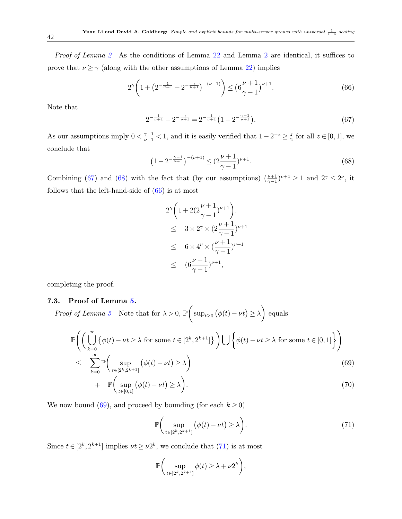Proof of Lemma [2](#page-17-4) As the conditions of Lemma [22](#page-40-0) and Lemma 2 are identical, it suffices to prove that  $\nu \ge \gamma$  (along with the other assumptions of Lemma [22\)](#page-40-0) implies

<span id="page-41-2"></span>
$$
2^{\gamma} \left( 1 + \left( 2^{-\frac{1}{\nu+1}} - 2^{-\frac{\gamma}{\nu+1}} \right)^{-(\nu+1)} \right) \le \left( 6\frac{\nu+1}{\gamma-1} \right)^{\nu+1} . \tag{66}
$$

Note that

<span id="page-41-0"></span>
$$
2^{-\frac{1}{\nu+1}} - 2^{-\frac{\gamma}{\nu+1}} = 2^{-\frac{1}{\nu+1}} \left( 1 - 2^{-\frac{\gamma-1}{\nu+1}} \right).
$$
 (67)

As our assumptions imply  $0 < \frac{\gamma - 1}{\nu + 1} < 1$ , and it is easily verified that  $1 - 2^{-z} \ge \frac{z}{2}$  $\frac{z}{2}$  for all  $z \in [0,1]$ , we conclude that

<span id="page-41-1"></span>
$$
\left(1 - 2^{-\frac{\gamma - 1}{\nu + 1}}\right)^{-(\nu + 1)} \leq \left(2\frac{\nu + 1}{\gamma - 1}\right)^{\nu + 1}.\tag{68}
$$

Combining [\(67\)](#page-41-0) and [\(68\)](#page-41-1) with the fact that (by our assumptions)  $(\frac{\nu+1}{\gamma-1})^{\nu+1} \geq 1$  and  $2^{\gamma} \leq 2^{\nu}$ , it follows that the left-hand-side of  $(66)$  is at most

$$
2^{\gamma} \left( 1 + 2(2 \frac{\nu + 1}{\gamma - 1})^{\nu + 1} \right) .
$$
  
\n
$$
\leq 3 \times 2^{\gamma} \times (2 \frac{\nu + 1}{\gamma - 1})^{\nu + 1}
$$
  
\n
$$
\leq 6 \times 4^{\nu} \times (\frac{\nu + 1}{\gamma - 1})^{\nu + 1}
$$
  
\n
$$
\leq (6 \frac{\nu + 1}{\gamma - 1})^{\nu + 1},
$$

completing the proof.

### 7.3. Proof of Lemma [5.](#page-20-0)

Proof of Lemma [5](#page-20-0) Note that for  $\lambda > 0$ ,  $\mathbb{P}\left(\sup_{t\geq 0} (\phi(t)-\nu t)\geq \lambda\right)$  equals

<span id="page-41-3"></span>
$$
\mathbb{P}\left(\left(\bigcup_{k=0}^{\infty} \{\phi(t) - \nu t \ge \lambda \text{ for some } t \in [2^k, 2^{k+1}]\}\right) \bigcup \{\phi(t) - \nu t \ge \lambda \text{ for some } t \in [0, 1]\}\right)
$$
  
\n
$$
\leq \sum_{k=0}^{\infty} \mathbb{P}\left(\sup_{\phi(t) - \nu t \ge \lambda} \phi(t) - \nu t \ge \lambda\right) \tag{69}
$$

$$
\begin{aligned}\n &\sum_{k=0} \left( \sum_{t \in [2^k, 2^{k+1}]} \left( \sum_{t \in [0, 1]} (f(t) - \nu t) \right) \right) \\
 &\quad + \quad \mathbb{P} \left( \sup_{t \in [0, 1]} (\phi(t) - \nu t) \ge \lambda \right).\n \end{aligned} \tag{70}
$$

We now bound [\(69\)](#page-41-3), and proceed by bounding (for each  $k \ge 0$ )

<span id="page-41-4"></span>
$$
\mathbb{P}\bigg(\sup_{t\in[2^k,2^{k+1}]}\big(\phi(t)-\nu t\big)\ge\lambda\bigg).
$$
\n(71)

Since  $t \in [2^k, 2^{k+1}]$  implies  $\nu t \geq \nu 2^k$ , we conclude that [\(71\)](#page-41-4) is at most

$$
\mathbb{P}\bigg(\sup_{t\in[2^k,2^{k+1}]}\phi(t)\geq\lambda+\nu 2^k\bigg),
$$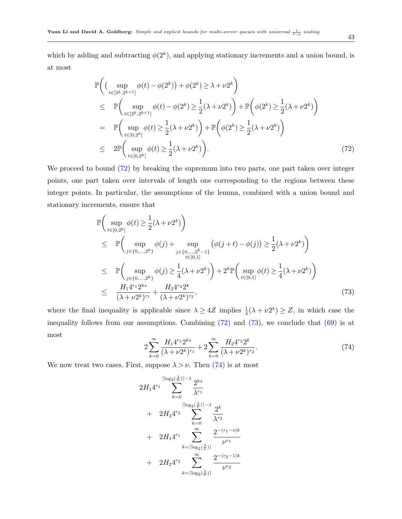which by adding and subtracting  $\phi(2^k)$ , and applying stationary increments and a union bound, is at most

<span id="page-42-0"></span>
$$
\mathbb{P}\left((\sup_{t\in[2^k,2^{k+1}]}\phi(t)-\phi(2^k))+\phi(2^k)\geq\lambda+\nu 2^k\right) \n\leq \mathbb{P}\left(\sup_{t\in[2^k,2^{k+1}]}\phi(t)-\phi(2^k)\geq\frac{1}{2}(\lambda+\nu 2^k)\right)+\mathbb{P}\left(\phi(2^k)\geq\frac{1}{2}(\lambda+\nu 2^k)\right) \n= \mathbb{P}\left(\sup_{t\in[0,2^k]}\phi(t)\geq\frac{1}{2}(\lambda+\nu 2^k)\right)+\mathbb{P}\left(\phi(2^k)\geq\frac{1}{2}(\lambda+\nu 2^k)\right) \n\leq 2\mathbb{P}\left(\sup_{t\in[0,2^k]}\phi(t)\geq\frac{1}{2}(\lambda+\nu 2^k)\right).
$$
\n(72)

We proceed to bound  $(72)$  by breaking the supremum into two parts, one part taken over integer points, one part taken over intervals of length one corresponding to the regions between these integer points. In particular, the assumptions of the lemma, combined with a union bound and stationary increments, ensure that

<span id="page-42-1"></span>
$$
\mathbb{P}\left(\sup_{t\in[0,2^k]}\phi(t)\geq\frac{1}{2}(\lambda+\nu 2^k)\right) \n\leq \mathbb{P}\left(\sup_{j\in\{0,\ldots,2^k\}}\phi(j)+\sup_{j\in\{0,\ldots,2^{k}-1\}}\left(\phi(j+t)-\phi(j)\right)\geq\frac{1}{2}(\lambda+\nu 2^k)\right) \n\leq \mathbb{P}\left(\sup_{j\in\{0,\ldots,2^k\}}\phi(j)\geq\frac{1}{4}(\lambda+\nu 2^k)\right)+2^k\mathbb{P}\left(\sup_{t\in[0,1]}\phi(t)\geq\frac{1}{4}(\lambda+\nu 2^k)\right) \n\leq \frac{H_14^{r_1}2^{ks}}{(\lambda+\nu 2^k)^{r_1}}+\frac{H_24^{r_2}2^k}{(\lambda+\nu 2^k)^{r_2}},
$$
\n(73)

where the final inequality is applicable since  $\lambda \geq 4Z$  implies  $\frac{1}{4}(\lambda + \nu 2^k) \geq Z$ , in which case the inequality follows from our assumptions. Combining  $(72)$  and  $(73)$ , we conclude that  $(69)$  is at most

<span id="page-42-2"></span>
$$
2\sum_{k=0}^{\infty} \frac{H_1 4^{r_1} 2^{ks}}{(\lambda + \nu 2^k)^{r_1}} + 2\sum_{k=0}^{\infty} \frac{H_2 4^{r_2} 2^k}{(\lambda + \nu 2^k)^{r_2}}.
$$
\n(74)

We now treat two cases. First, suppose  $\lambda > \nu$ . Then [\(74\)](#page-42-2) is at most

$$
2H_1 4^{r_1} \sum_{k=0}^{\lceil \log_2(\frac{\lambda}{\nu}) \rceil - 1} \frac{2^{ks}}{\lambda^{r_1}}
$$
  
+ 
$$
2H_2 4^{r_2} \sum_{k=0}^{\lceil \log_2(\frac{\lambda}{\nu}) \rceil - 1} \frac{2^k}{\lambda^{r_2}}
$$
  
+ 
$$
2H_1 4^{r_1} \sum_{k=\lceil \log_2(\frac{\lambda}{\nu}) \rceil}^{\infty} \frac{2^{-(r_1-s)k}}{\nu^{r_1}}
$$
  
+ 
$$
2H_2 4^{r_2} \sum_{k=\lceil \log_2(\frac{\lambda}{\nu}) \rceil}^{\infty} \frac{2^{-(r_2-1)k}}{\nu^{r_2}}
$$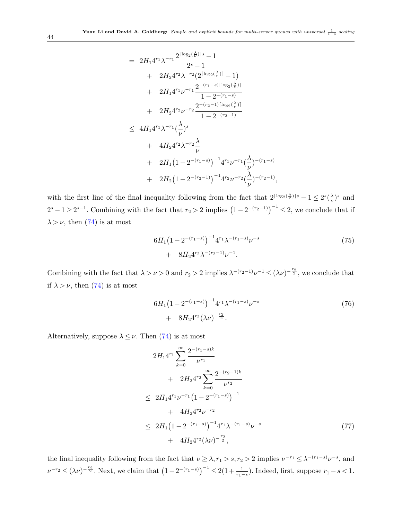$$
= 2H_1 4^{r_1} \lambda^{-r_1} \frac{2^{\lceil \log_2(\frac{\lambda}{\nu}) \rceil s} - 1}{2^s - 1} + 2H_2 4^{r_2} \lambda^{-r_2} (2^{\lceil \log_2(\frac{\lambda}{\nu}) \rceil} - 1) + 2H_1 4^{r_1} \nu^{-r_1} \frac{2^{-(r_1 - s)\lceil \log_2(\frac{\lambda}{\nu}) \rceil}}{1 - 2^{-(r_1 - s)}} + 2H_2 4^{r_2} \nu^{-r_2} \frac{2^{-(r_2 - 1)\lceil \log_2(\frac{\lambda}{\nu}) \rceil}}{1 - 2^{-(r_2 - 1)}} + 4H_2 4^{r_2} \lambda^{-r_2} \frac{\lambda}{\nu} + 2H_1 (1 - 2^{-(r_1 - s)})^{-1} 4^{r_1} \nu^{-r_1} (\frac{\lambda}{\nu})^{-(r_1 - s)} + 2H_2 (1 - 2^{-(r_2 - 1)})^{-1} 4^{r_2} \nu^{-r_2} (\frac{\lambda}{\nu})^{-(r_2 - 1)},
$$

with the first line of the final inequality following from the fact that  $2^{\lceil \log_2(\frac{\lambda}{\nu}) \rceil s} - 1 \leq 2^s(\frac{\lambda}{\nu})$  $(\frac{\lambda}{\nu})^s$  and  $2^{s}-1\geq 2^{s-1}$ . Combining with the fact that  $r_2>2$  implies  $(1-2^{-(r_2-1)})^{-1}\leq 2$ , we conclude that if  $\lambda > \nu$ , then [\(74\)](#page-42-2) is at most

$$
6H_1\left(1-2^{-(r_1-s)}\right)^{-1}4^{r_1}\lambda^{-(r_1-s)}\nu^{-s}
$$
  
+ 
$$
8H_24^{r_2}\lambda^{-(r_2-1)}\nu^{-1}.
$$
 (75)

Combining with the fact that  $\lambda > \nu > 0$  and  $r_2 > 2$  implies  $\lambda^{-(r_2-1)}\nu^{-1} \leq (\lambda \nu)^{-\frac{r_2}{2}}$ , we conclude that if  $\lambda > \nu$ , then [\(74\)](#page-42-2) is at most

<span id="page-43-0"></span>
$$
6H_1\left(1-2^{-(r_1-s)}\right)^{-1}4^{r_1}\lambda^{-(r_1-s)}\nu^{-s}
$$
  
+ 
$$
8H_24^{r_2}(\lambda\nu)^{-\frac{r_2}{2}}.
$$
 (76)

Alternatively, suppose  $\lambda \leq \nu$ . Then [\(74\)](#page-42-2) is at most

<span id="page-43-1"></span>
$$
2H_1 4^{r_1} \sum_{k=0}^{\infty} \frac{2^{-(r_1-s)k}}{\nu^{r_1}} + 2H_2 4^{r_2} \sum_{k=0}^{\infty} \frac{2^{-(r_2-1)k}}{\nu^{r_2}} \n\leq 2H_1 4^{r_1} \nu^{-r_1} (1 - 2^{-(r_1-s)})^{-1} \n+ 4H_2 4^{r_2} \nu^{-r_2} \n\leq 2H_1 (1 - 2^{-(r_1-s)})^{-1} 4^{r_1} \lambda^{-(r_1-s)} \nu^{-s} \n+ 4H_2 4^{r_2} (\lambda \nu)^{-\frac{r_2}{2}},
$$
\n(77)

the final inequality following from the fact that  $\nu \geq \lambda, r_1 > s, r_2 > 2$  implies  $\nu^{-r_1} \leq \lambda^{-(r_1 - s)} \nu^{-s}$ , and  $\nu^{-r_2} \leq (\lambda \nu)^{-\frac{r_2}{2}}$ . Next, we claim that  $(1 - 2^{-(r_1 - s)})^{-1} \leq 2(1 + \frac{1}{r_1 - s})$ . Indeed, first, suppose  $r_1 - s < 1$ .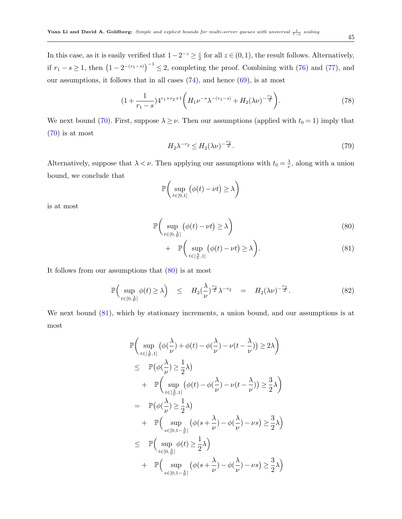In this case, as it is easily verified that  $1-2^{-z} \geq \frac{z}{2}$  $\frac{z}{2}$  for all  $z \in (0, 1)$ , the result follows. Alternatively, if  $r_1 - s \geq 1$ , then  $(1 - 2^{-(r_1 - s)})^{-1} \leq 2$ , completing the proof. Combining with [\(76\)](#page-43-0) and [\(77\)](#page-43-1), and our assumptions, it follows that in all cases  $(74)$ , and hence  $(69)$ , is at most

<span id="page-44-4"></span>
$$
(1 + \frac{1}{r_1 - s})4^{r_1 + r_2 + 1} \left( H_1 \nu^{-s} \lambda^{-(r_1 - s)} + H_2(\lambda \nu)^{-\frac{r_2}{2}} \right).
$$
 (78)

We next bound [\(70\)](#page-41-3). First, suppose  $\lambda \geq \nu$ . Then our assumptions (applied with  $t_0 = 1$ ) imply that [\(70\)](#page-41-3) is at most

<span id="page-44-3"></span>
$$
H_2 \lambda^{-r_2} \le H_2(\lambda \nu)^{-\frac{r_2}{2}}.
$$
\n(79)

Alternatively, suppose that  $\lambda < \nu$ . Then applying our assumptions with  $t_0 = \frac{\lambda}{\nu}$  $\frac{\lambda}{\nu}$ , along with a union bound, we conclude that

$$
\mathbb{P}\bigg(\sup_{t\in[0,1]}(\phi(t)-\nu t)\geq\lambda\bigg)
$$

is at most

<span id="page-44-0"></span>
$$
\mathbb{P}\left(\sup_{t\in[0,\frac{\lambda}{\nu}]} \left(\phi(t)-\nu t\right) \ge \lambda\right) \tag{80}
$$

+ 
$$
\mathbb{P}\left(\sup_{t\in[\frac{\lambda}{\nu},1]}(\phi(t)-\nu t)\geq\lambda\right).
$$
 (81)

It follows from our assumptions that [\(80\)](#page-44-0) is at most

<span id="page-44-1"></span>
$$
\mathbb{P}\Big(\sup_{t\in[0,\frac{\lambda}{\nu}]} \phi(t) \ge \lambda\Big) \quad \le \quad H_2\left(\frac{\lambda}{\nu}\right)^{\frac{r_2}{2}} \lambda^{-r_2} \quad = \quad H_2(\lambda \nu)^{-\frac{r_2}{2}}.\tag{82}
$$

We next bound  $(81)$ , which by stationary increments, a union bound, and our assumptions is at most

<span id="page-44-2"></span>
$$
\begin{aligned} &\mathbb{P}\bigg(\sup_{t\in[\frac{\lambda}{\nu},1]} \big(\phi(\frac{\lambda}{\nu})+\phi(t)-\phi(\frac{\lambda}{\nu})-\nu(t-\frac{\lambda}{\nu})\big)\geq 2\lambda\bigg)\\ &\leq & \mathbb{P}\big(\phi(\frac{\lambda}{\nu})\geq\frac{1}{2}\lambda\big)\\ &+\quad\mathbb{P}\bigg(\sup_{t\in[\frac{\lambda}{\nu},1]} \big(\phi(t)-\phi(\frac{\lambda}{\nu})-\nu(t-\frac{\lambda}{\nu})\big)\geq\frac{3}{2}\lambda\bigg)\\ &=& \quad\mathbb{P}\big(\phi(\frac{\lambda}{\nu})\geq\frac{1}{2}\lambda\big)\\ &+\quad\mathbb{P}\bigg(\sup_{s\in[0,1-\frac{\lambda}{\nu}]} \big(\phi(s+\frac{\lambda}{\nu})-\phi(\frac{\lambda}{\nu})-\nu s\big)\geq\frac{3}{2}\lambda\big)\\ &\leq & \quad\mathbb{P}\bigg(\sup_{t\in[0,\frac{\lambda}{\nu}]} \phi(t)\geq\frac{1}{2}\lambda\big)\\ &+\quad\mathbb{P}\bigg(\sup_{s\in[0,1-\frac{\lambda}{\nu}]} \big(\phi(s+\frac{\lambda}{\nu})-\phi(\frac{\lambda}{\nu})-\nu s\big)\geq\frac{3}{2}\lambda\big) \end{aligned}
$$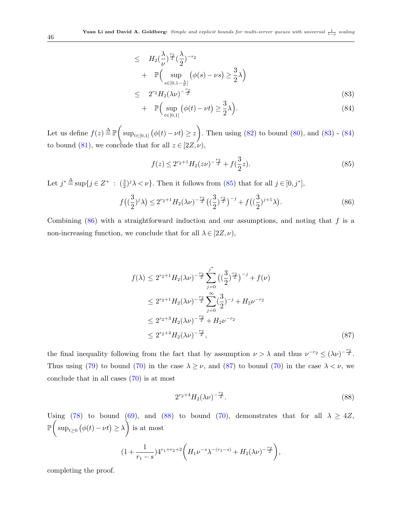$$
\leq H_2\left(\frac{\lambda}{\nu}\right)^{\frac{r_2}{2}}\left(\frac{\lambda}{2}\right)^{-r_2}
$$
  
+ 
$$
\mathbb{P}\left(\sup_{s\in[0,1-\frac{\lambda}{\nu}]} \left(\phi(s)-\nu s\right) \geq \frac{3}{2}\lambda\right)
$$
  

$$
\leq 2^{r_2}H_2(\lambda \nu)^{-\frac{r_2}{2}}
$$
 (83)

+ 
$$
\mathbb{P}\left(\sup_{t\in[0,1]} \left(\phi(t)-\nu t\right) \ge \frac{3}{2}\lambda\right).
$$
 (84)

Let us define  $f(z) \triangleq \mathbb{P}\left(\sup_{t\in[0,1]} (\phi(t)-\nu t) \geq z\right)$ . Then using [\(82\)](#page-44-1) to bound [\(80\)](#page-44-0), and [\(83\)](#page-44-2) - [\(84\)](#page-44-2) to bound [\(81\)](#page-44-0), we conclude that for all  $z \in [2Z, \nu)$ ,

<span id="page-45-0"></span>
$$
f(z) \le 2^{r_2+1} H_2(z\nu)^{-\frac{r_2}{2}} + f(\frac{3}{2}z). \tag{85}
$$

Let  $j^* \triangleq \sup\{j \in \mathbb{Z}^+ : (\frac{3}{2})^j \lambda < \nu\}$ . Then it follows from [\(85\)](#page-45-0) that for all  $j \in [0, j^*]$ ,

<span id="page-45-1"></span>
$$
f\left(\left(\frac{3}{2}\right)^j \lambda\right) \le 2^{r_2+1} H_2(\lambda \nu)^{-\frac{r_2}{2}} \left(\left(\frac{3}{2}\right)^{\frac{r_2}{2}}\right)^{-j} + f\left(\left(\frac{3}{2}\right)^{j+1} \lambda\right). \tag{86}
$$

Combining  $(86)$  with a straightforward induction and our assumptions, and noting that f is a non-increasing function, we conclude that for all  $\lambda \in [2Z, \nu)$ ,

<span id="page-45-2"></span>
$$
f(\lambda) \le 2^{r_2+1} H_2(\lambda \nu)^{-\frac{r_2}{2}} \sum_{j=0}^{j^*} \left( \left(\frac{3}{2}\right)^{\frac{r_2}{2}} \right)^{-j} + f(\nu)
$$
  
\n
$$
\le 2^{r_2+1} H_2(\lambda \nu)^{-\frac{r_2}{2}} \sum_{j=0}^{\infty} \left( \frac{3}{2} \right)^{-j} + H_2 \nu^{-r_2}
$$
  
\n
$$
\le 2^{r_2+3} H_2(\lambda \nu)^{-\frac{r_2}{2}} + H_2 \nu^{-r_2}
$$
  
\n
$$
\le 2^{r_2+4} H_2(\lambda \nu)^{-\frac{r_2}{2}}, \tag{87}
$$

the final inequality following from the fact that by assumption  $\nu > \lambda$  and thus  $\nu^{-r_2} \le (\lambda \nu)^{-\frac{r_2}{2}}$ . Thus using [\(79\)](#page-44-3) to bound [\(70\)](#page-41-3) in the case  $\lambda \geq \nu$ , and [\(87\)](#page-45-2) to bound (70) in the case  $\lambda < \nu$ , we conclude that in all cases [\(70\)](#page-41-3) is at most

<span id="page-45-3"></span>
$$
2^{r_2+4}H_2(\lambda\nu)^{-\frac{r_2}{2}}.\t(88)
$$

Using [\(78\)](#page-44-4) to bound [\(69\)](#page-41-3), and [\(88\)](#page-45-3) to bound [\(70\)](#page-41-3), demonstrates that for all  $\lambda \geq 4Z$ ,  $\mathbb{P}\left(\sup_{t\geq0}\big(\phi(t)-\nu t\big)\geq\lambda\right)$  is at most  $(1 + \frac{1}{\cdots})$  $r_1 - s$  $)4^{r_1+r_2+2}\left(H_1\nu^{-s}\lambda^{-(r_1-s)}+H_2(\lambda\nu)^{-\frac{r_2}{2}}\right),$ 

completing the proof.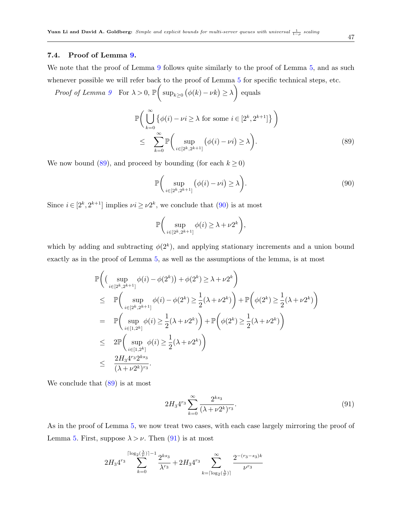### 7.4. Proof of Lemma [9.](#page-23-3)

We note that the proof of Lemma [9](#page-23-3) follows quite similarly to the proof of Lemma [5,](#page-20-0) and as such whenever possible we will refer back to the proof of Lemma  $5$  for specific technical steps, etc.

Proof of Lemma [9](#page-23-3) For  $\lambda > 0$ ,  $\mathbb{P}\left(\sup_{k\geq 0} (\phi(k) - \nu k) \geq \lambda\right)$  equals

<span id="page-46-0"></span>
$$
\mathbb{P}\bigg(\bigcup_{k=0}^{\infty} \{\phi(i) - \nu i \ge \lambda \text{ for some } i \in [2^k, 2^{k+1}]\}\bigg)
$$
  

$$
\leq \sum_{k=0}^{\infty} \mathbb{P}\bigg(\sup_{i \in [2^k, 2^{k+1}]} (\phi(i) - \nu i) \ge \lambda\bigg).
$$
 (89)

We now bound [\(89\)](#page-46-0), and proceed by bounding (for each  $k \ge 0$ )

<span id="page-46-1"></span>
$$
\mathbb{P}\bigg(\sup_{i\in[2^k,2^{k+1}]} \big(\phi(i)-\nu i\big) \ge \lambda\bigg). \tag{90}
$$

Since  $i \in [2^k, 2^{k+1}]$  implies  $\nu i \geq \nu 2^k$ , we conclude that [\(90\)](#page-46-1) is at most

$$
\mathbb{P}\bigg(\sup_{i\in[2^k,2^{k+1}]}\phi(i)\geq\lambda+\nu 2^k\bigg),\,
$$

which by adding and subtracting  $\phi(2^k)$ , and applying stationary increments and a union bound exactly as in the proof of Lemma [5,](#page-20-0) as well as the assumptions of the lemma, is at most

<span id="page-46-2"></span>
$$
\mathbb{P}\left((\sup_{i\in[2^k,2^{k+1}]}\phi(i)-\phi(2^k))+\phi(2^k)\geq\lambda+\nu 2^k\right) \n\leq \mathbb{P}\left(\sup_{i\in[2^k,2^{k+1}]}\phi(i)-\phi(2^k)\geq\frac{1}{2}(\lambda+\nu 2^k)\right)+\mathbb{P}\left(\phi(2^k)\geq\frac{1}{2}(\lambda+\nu 2^k)\right) \n= \mathbb{P}\left(\sup_{i\in[1,2^k]}\phi(i)\geq\frac{1}{2}(\lambda+\nu 2^k)\right)+\mathbb{P}\left(\phi(2^k)\geq\frac{1}{2}(\lambda+\nu 2^k)\right) \n\leq 2\mathbb{P}\left(\sup_{i\in[1,2^k]}\phi(i)\geq\frac{1}{2}(\lambda+\nu 2^k)\right) \n\leq \frac{2H_34^{r_3}2^{k_3_3}}{(\lambda+\nu 2^k)^{r_3}}.
$$

We conclude that  $(89)$  is at most

$$
2H_3 4^{r_3} \sum_{k=0}^{\infty} \frac{2^{ks_3}}{(\lambda + \nu 2^k)^{r_3}}.
$$
\n(91)

As in the proof of Lemma [5,](#page-20-0) we now treat two cases, with each case largely mirroring the proof of Lemma [5.](#page-20-0) First, suppose  $\lambda > \nu$ . Then [\(91\)](#page-46-2) is at most

<span id="page-46-3"></span>
$$
2H_34^{r_3}\sum_{k=0}^{\lceil \log_2(\frac{\lambda}{\nu}) \rceil-1} \frac{2^{ks_3}}{\lambda^{r_3}}+2H_34^{r_3}\sum_{k=\lceil \log_2(\frac{\lambda}{\nu}) \rceil}^{\infty} \frac{2^{-(r_3-s_3)k}}{\nu^{r_3}}
$$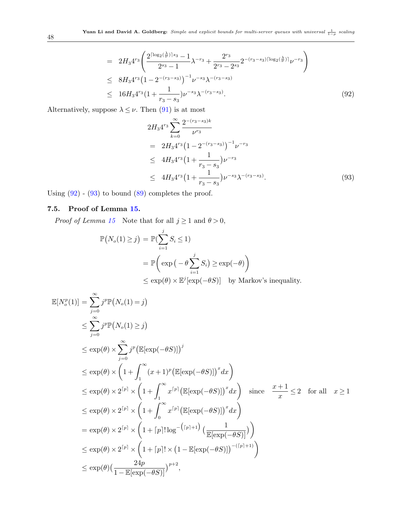$$
= 2H_3 4^{r_3} \left( \frac{2^{\lceil \log_2(\frac{\lambda}{\nu}) \rceil s_3} - 1}{2^{s_3} - 1} \lambda^{-r_3} + \frac{2^{r_3}}{2^{r_3} - 2^{s_3}} 2^{-(r_3 - s_3) \lceil \log_2(\frac{\lambda}{\nu}) \rceil} \nu^{-r_3} \right)
$$
  
\n
$$
\leq 8H_3 4^{r_3} \left( 1 - 2^{-(r_3 - s_3)} \right)^{-1} \nu^{-s_3} \lambda^{-(r_3 - s_3)}
$$
  
\n
$$
\leq 16H_3 4^{r_3} \left( 1 + \frac{1}{r_3 - s_3} \right) \nu^{-s_3} \lambda^{-(r_3 - s_3)}.
$$
\n(92)

Alternatively, suppose  $\lambda \leq \nu$ . Then [\(91\)](#page-46-2) is at most

<span id="page-47-0"></span>
$$
2H_3 4^{r_3} \sum_{k=0}^{\infty} \frac{2^{-(r_3 - s_3)k}}{\nu^{r_3}}
$$
  
= 
$$
2H_3 4^{r_3} (1 - 2^{-(r_3 - s_3)})^{-1} \nu^{-r_3}
$$
  

$$
\leq 4H_3 4^{r_3} (1 + \frac{1}{r_3 - s_3}) \nu^{-r_3}
$$
  

$$
\leq 4H_3 4^{r_3} (1 + \frac{1}{r_3 - s_3}) \nu^{-s_3} \lambda^{-(r_3 - s_3)}.
$$
 (93)

Using  $(92)$  -  $(93)$  to bound  $(89)$  completes the proof.

### 7.5. Proof of Lemma [15.](#page-27-1)

*Proof of Lemma [15](#page-27-1)* Note that for all  $j \ge 1$  and  $\theta > 0$ ,

$$
\mathbb{P}(N_o(1) \ge j) = \mathbb{P}(\sum_{i=1}^j S_i \le 1)
$$
  
= 
$$
\mathbb{P}\left(\exp(-\theta \sum_{i=1}^j S_i) \ge \exp(-\theta)\right)
$$
  

$$
\le \exp(\theta) \times \mathbb{E}^j[\exp(-\theta S)] \text{ by Markov's inequality.}
$$

$$
\mathbb{E}[N_o^p(1)] = \sum_{j=0}^{\infty} j^p \mathbb{P}(N_o(1) = j)
$$
\n
$$
\leq \sum_{j=0}^{\infty} j^p \mathbb{P}(N_o(1) \geq j)
$$
\n
$$
\leq \exp(\theta) \times \sum_{j=0}^{\infty} j^p \left( \mathbb{E}[\exp(-\theta S)] \right)^j
$$
\n
$$
\leq \exp(\theta) \times \left( 1 + \int_1^{\infty} (x+1)^p \left( \mathbb{E}[\exp(-\theta S)] \right)^x dx \right)
$$
\n
$$
\leq \exp(\theta) \times 2^{\lceil p \rceil} \times \left( 1 + \int_1^{\infty} x^{\lceil p \rceil} \left( \mathbb{E}[\exp(-\theta S)] \right)^x dx \right) \text{ since } \frac{x+1}{x} \leq 2 \text{ for all } x \geq 1
$$
\n
$$
\leq \exp(\theta) \times 2^{\lceil p \rceil} \times \left( 1 + \int_0^{\infty} x^{\lceil p \rceil} \left( \mathbb{E}[\exp(-\theta S)] \right)^x dx \right)
$$
\n
$$
= \exp(\theta) \times 2^{\lceil p \rceil} \times \left( 1 + \lceil p \rceil! \log^{-\lceil (p+1) \rceil} \left( \frac{1}{\mathbb{E}[\exp(-\theta S)]} \right) \right)
$$
\n
$$
\leq \exp(\theta) \times 2^{\lceil p \rceil} \times \left( 1 + \lceil p \rceil! \times \left( 1 - \mathbb{E}[\exp(-\theta S)] \right)^{-(\lceil p \rceil + 1)} \right)
$$
\n
$$
\leq \exp(\theta) \left( \frac{24p}{1 - \mathbb{E}[\exp(-\theta S)]} \right)^{p+2},
$$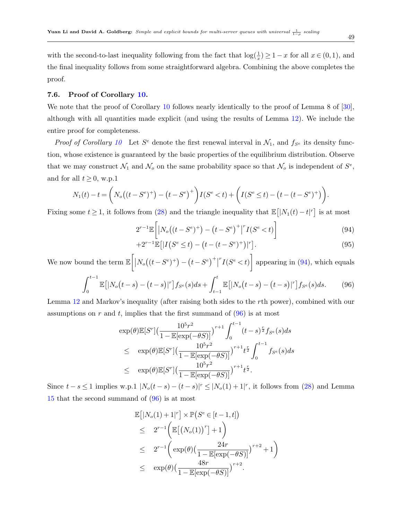with the second-to-last inequality following from the fact that  $\log(\frac{1}{x}) \geq 1 - x$  for all  $x \in (0,1)$ , and the final inequality follows from some straightforward algebra. Combining the above completes the proof.

### 7.6. Proof of Corollary [10.](#page-30-1)

We note that the proof of Corollary [10](#page-30-1) follows nearly identically to the proof of Lemma 8 of [\[30\]](#page-51-0), although with all quantities made explicit (and using the results of Lemma [12\)](#page-26-4). We include the entire proof for completeness.

*Proof of Corollary [10](#page-30-1)* Let  $S^e$  denote the first renewal interval in  $\mathcal{N}_1$ , and  $f_{S^e}$  its density function, whose existence is guaranteed by the basic properties of the equilibrium distribution. Observe that we may construct  $\mathcal{N}_1$  and  $\mathcal{N}_0$  on the same probability space so that  $\mathcal{N}_0$  is independent of  $S^e$ , and for all  $t \geq 0$ , w.p.1

$$
N_1(t) - t = \left( N_o((t - S^e)^+) - (t - S^e)^+ \right) I(S^e < t) + \left( I(S^e \le t) - (t - (t - S^e)^+) \right).
$$

Fixing some  $t \geq 1$ , it follows from [\(28\)](#page-26-2) and the triangle inequality that  $\mathbb{E}[|N_1(t) - t|^r]$  is at most

$$
2^{r-1} \mathbb{E}\left[|N_o((t - S^e)^+) - (t - S^e)^+|^r I(S^e < t)\right] \tag{94}
$$

<span id="page-48-0"></span>
$$
+2^{r-1}\mathbb{E}\left[|I(S^e \le t) - (t - (t - S^e)^+)|^r\right].\tag{95}
$$

We now bound the term  $\mathbb{E}\bigg[\big|N_o((t-S^e)^+\big) - \big(t-S^e\big)^+\big|$  $\left[ \int_{0}^{r} I(S^e \lt t) \right]$  appearing in [\(94\)](#page-48-0), which equals

<span id="page-48-1"></span>
$$
\int_0^{t-1} \mathbb{E}[|N_o(t-s) - (t-s)|^r] f_{S^e}(s) ds + \int_{t-1}^t \mathbb{E}[|N_o(t-s) - (t-s)|^r] f_{S^e}(s) ds. \tag{96}
$$

Lemma [12](#page-26-4) and Markov's inequality (after raising both sides to the rth power), combined with our assumptions on r and t, implies that the first summand of  $(96)$  is at most

$$
\exp(\theta) \mathbb{E}[S^r] \left( \frac{10^5 r^2}{1 - \mathbb{E}[\exp(-\theta S)]} \right)^{r+1} \int_0^{t-1} (t-s)^{\frac{r}{2}} f_{S^e}(s) ds \n\leq \exp(\theta) \mathbb{E}[S^r] \left( \frac{10^5 r^2}{1 - \mathbb{E}[\exp(-\theta S)]} \right)^{r+1} t^{\frac{r}{2}} \int_0^{t-1} f_{S^e}(s) ds \n\leq \exp(\theta) \mathbb{E}[S^r] \left( \frac{10^5 r^2}{1 - \mathbb{E}[\exp(-\theta S)]} \right)^{r+1} t^{\frac{r}{2}}.
$$

Since  $t - s \leq 1$  implies w.p.1  $|N_o(t - s) - (t - s)|^r \leq |N_o(1) + 1|^r$ , it follows from [\(28\)](#page-26-2) and Lemma [15](#page-27-1) that the second summand of [\(96\)](#page-48-1) is at most

$$
\mathbb{E}[|N_o(1) + 1|^r] \times \mathbb{P}(S^e \in [t-1, t])
$$
\n
$$
\leq 2^{r-1} \left( \mathbb{E}[(N_o(1))^r] + 1 \right)
$$
\n
$$
\leq 2^{r-1} \left( \exp(\theta) \left( \frac{24r}{1 - \mathbb{E}[\exp(-\theta S)]} \right)^{r+2} + 1 \right)
$$
\n
$$
\leq \exp(\theta) \left( \frac{48r}{1 - \mathbb{E}[\exp(-\theta S)]} \right)^{r+2}.
$$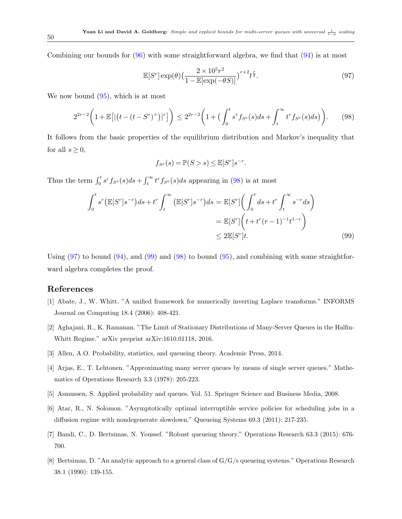Combining our bounds for [\(96\)](#page-48-1) with some straightforward algebra, we find that [\(94\)](#page-48-0) is at most

<span id="page-49-9"></span>
$$
\mathbb{E}[S^r] \exp(\theta) \left(\frac{2 \times 10^5 r^2}{1 - \mathbb{E}[\exp(-\theta S)]}\right)^{r+2} t^{\frac{r}{2}}.
$$
\n
$$
(97)
$$

We now bound  $(95)$ , which is at most

<span id="page-49-8"></span>
$$
2^{2r-2}\left(1+\mathbb{E}\left[|(t-(t-S^e)^+)|^r\right]\right) \le 2^{2r-2}\left(1+\left(\int_0^t s^r f_{S^e}(s)ds + \int_t^\infty t^r f_{S^e}(s)ds\right)\right). \tag{98}
$$

It follows from the basic properties of the equilibrium distribution and Markov's inequality that for all  $s \geq 0$ ,

$$
f_{S^e}(s) = \mathbb{P}(S > s) \le \mathbb{E}[S^r]s^{-r}.
$$

Thus the term  $\int_0^t s^r f_{S^e}(s)ds + \int_t^\infty t^r f_{S^e}(s)ds$  appearing in [\(98\)](#page-49-8) is at most

<span id="page-49-10"></span>
$$
\int_0^t s^r \left( \mathbb{E}[S^r] s^{-r} \right) ds + t^r \int_t^\infty \left( \mathbb{E}[S^r] s^{-r} \right) ds = \mathbb{E}[S^r] \left( \int_0^t ds + t^r \int_t^\infty s^{-r} ds \right)
$$

$$
= \mathbb{E}[S^r] \left( t + t^r (r - 1)^{-1} t^{1-r} \right)
$$

$$
\leq 2 \mathbb{E}[S^r] t. \tag{99}
$$

Using  $(97)$  to bound  $(94)$ , and  $(99)$  and  $(98)$  to bound  $(95)$ , and combining with some straightforward algebra completes the proof.

### <span id="page-49-6"></span>References

- [1] Abate, J., W. Whitt. "A unified framework for numerically inverting Laplace transforms." INFORMS Journal on Computing 18.4 (2006): 408-421.
- <span id="page-49-2"></span>[2] Aghajani, R., K. Ramanan. "The Limit of Stationary Distributions of Many-Server Queues in the Halfin-Whitt Regime." arXiv preprint arXiv:1610.01118, 2016.
- <span id="page-49-4"></span>[3] Allen, A.O. Probability, statistics, and queueing theory. Academic Press, 2014.
- <span id="page-49-0"></span>[4] Arjas, E., T. Lehtonen. "Approximating many server queues by means of single server queues." Mathematics of Operations Research 3.3 (1978): 205-223.
- <span id="page-49-7"></span>[5] Asmussen, S. Applied probability and queues. Vol. 51. Springer Science and Business Media, 2008.
- <span id="page-49-3"></span>[6] Atar, R., N. Solomon. "Asymptotically optimal interruptible service policies for scheduling jobs in a diffusion regime with nondegenerate slowdown." Queueing Systems 69.3 (2011): 217-235.
- <span id="page-49-1"></span>[7] Bandi, C., D. Bertsimas, N. Youssef. "Robust queueing theory." Operations Research 63.3 (2015): 676- 700.
- <span id="page-49-5"></span>[8] Bertsimas, D. "An analytic approach to a general class of G/G/s queueing systems." Operations Research 38.1 (1990): 139-155.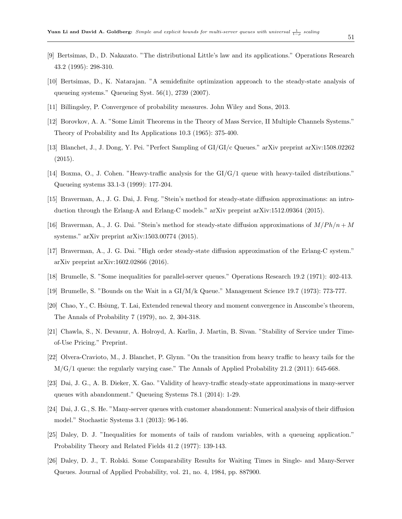- <span id="page-50-0"></span>[9] Bertsimas, D., D. Nakazato. "The distributional Little's law and its applications." Operations Research 43.2 (1995): 298-310.
- <span id="page-50-13"></span>[10] Bertsimas, D., K. Natarajan. "A semidefinite optimization approach to the steady-state analysis of queueing systems." Queueing Syst. 56(1), 2739 (2007).
- <span id="page-50-14"></span>[11] Billingsley, P. Convergence of probability measures. John Wiley and Sons, 2013.
- <span id="page-50-2"></span>[12] Borovkov, A. A. "Some Limit Theorems in the Theory of Mass Service, II Multiple Channels Systems." Theory of Probability and Its Applications 10.3 (1965): 375-400.
- <span id="page-50-11"></span>[13] Blanchet, J., J. Dong, Y. Pei. "Perfect Sampling of GI/GI/c Queues." arXiv preprint arXiv:1508.02262 (2015).
- <span id="page-50-17"></span>[14] Boxma, O., J. Cohen. "Heavy-traffic analysis for the GI/G/1 queue with heavy-tailed distributions." Queueing systems 33.1-3 (1999): 177-204.
- <span id="page-50-10"></span>[15] Braverman, A., J. G. Dai, J. Feng. "Stein's method for steady-state diffusion approximations: an introduction through the Erlang-A and Erlang-C models." arXiv preprint arXiv:1512.09364 (2015).
- <span id="page-50-8"></span>[16] Braverman, A., J. G. Dai. "Stein's method for steady-state diffusion approximations of  $M/Ph/n + M$ systems." arXiv preprint arXiv:1503.00774 (2015).
- <span id="page-50-9"></span>[17] Braverman, A., J. G. Dai. "High order steady-state diffusion approximation of the Erlang-C system." arXiv preprint arXiv:1602.02866 (2016).
- <span id="page-50-3"></span>[18] Brumelle, S. "Some inequalities for parallel-server queues." Operations Research 19.2 (1971): 402-413.
- <span id="page-50-4"></span>[19] Brumelle, S. "Bounds on the Wait in a GI/M/k Queue." Management Science 19.7 (1973): 773-777.
- <span id="page-50-15"></span>[20] Chao, Y., C. Hsiung, T. Lai, Extended renewal theory and moment convergence in Anscombe's theorem, The Annals of Probability 7 (1979), no. 2, 304-318.
- <span id="page-50-6"></span>[21] Chawla, S., N. Devanur, A. Holroyd, A. Karlin, J. Martin, B. Sivan. "Stability of Service under Timeof-Use Pricing." Preprint.
- <span id="page-50-16"></span>[22] Olvera-Cravioto, M., J. Blanchet, P. Glynn. "On the transition from heavy traffic to heavy tails for the M/G/1 queue: the regularly varying case." The Annals of Applied Probability 21.2 (2011): 645-668.
- <span id="page-50-7"></span>[23] Dai, J. G., A. B. Dieker, X. Gao. "Validity of heavy-traffic steady-state approximations in many-server queues with abandonment." Queueing Systems 78.1 (2014): 1-29.
- <span id="page-50-12"></span>[24] Dai, J. G., S. He. "Many-server queues with customer abandonment: Numerical analysis of their diffusion model." Stochastic Systems 3.1 (2013): 96-146.
- <span id="page-50-1"></span>[25] Daley, D. J. "Inequalities for moments of tails of random variables, with a queueing application." Probability Theory and Related Fields 41.2 (1977): 139-143.
- <span id="page-50-5"></span>[26] Daley, D. J., T. Rolski. Some Comparability Results for Waiting Times in Single- and Many-Server Queues. Journal of Applied Probability, vol. 21, no. 4, 1984, pp. 887900.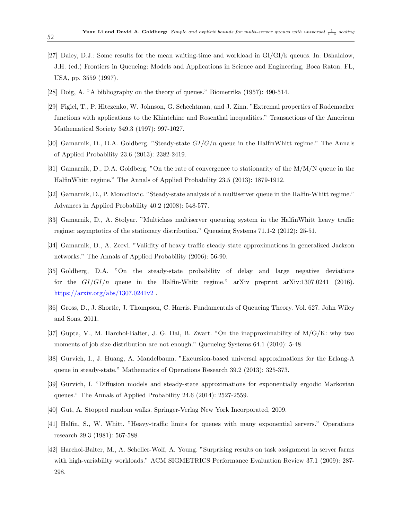- <span id="page-51-10"></span>[27] Daley, D.J.: Some results for the mean waiting-time and workload in GI/GI/k queues. In: Dshalalow, J.H. (ed.) Frontiers in Queueing: Models and Applications in Science and Engineering, Boca Raton, FL, USA, pp. 3559 (1997).
- <span id="page-51-9"></span>[28] Doig, A. "A bibliography on the theory of queues." Biometrika (1957): 490-514.
- <span id="page-51-14"></span>[29] Figiel, T., P. Hitczenko, W. Johnson, G. Schechtman, and J. Zinn. "Extremal properties of Rademacher functions with applications to the Khintchine and Rosenthal inequalities." Transactions of the American Mathematical Society 349.3 (1997): 997-1027.
- <span id="page-51-0"></span>[30] Gamarnik, D., D.A. Goldberg. "Steady-state  $GI/G/n$  queue in the HalfinWhitt regime." The Annals of Applied Probability 23.6 (2013): 2382-2419.
- <span id="page-51-15"></span>[31] Gamarnik, D., D.A. Goldberg. "On the rate of convergence to stationarity of the M/M/N queue in the HalfinWhitt regime." The Annals of Applied Probability 23.5 (2013): 1879-1912.
- <span id="page-51-6"></span>[32] Gamarnik, D., P. Momcilovic. "Steady-state analysis of a multiserver queue in the Halfin-Whitt regime." Advances in Applied Probability 40.2 (2008): 548-577.
- <span id="page-51-8"></span>[33] Gamarnik, D., A. Stolyar. "Multiclass multiserver queueing system in the HalfinWhitt heavy traffic regime: asymptotics of the stationary distribution." Queueing Systems 71.1-2 (2012): 25-51.
- <span id="page-51-7"></span>[34] Gamarnik, D., A. Zeevi. "Validity of heavy traffic steady-state approximations in generalized Jackson networks." The Annals of Applied Probability (2006): 56-90.
- <span id="page-51-1"></span>[35] Goldberg, D.A. "On the steady-state probability of delay and large negative deviations for the  $GI/GI/n$  queue in the Halfin-Whitt regime." arXiv preprint arXiv:1307.0241 (2016). <https://arxiv.org/abs/1307.0241v2> .
- <span id="page-51-11"></span>[36] Gross, D., J. Shortle, J. Thompson, C. Harris. Fundamentals of Queueing Theory. Vol. 627. John Wiley and Sons, 2011.
- <span id="page-51-12"></span>[37] Gupta, V., M. Harchol-Balter, J. G. Dai, B. Zwart. "On the inapproximability of M/G/K: why two moments of job size distribution are not enough." Queueing Systems 64.1 (2010): 5-48.
- <span id="page-51-4"></span>[38] Gurvich, I., J. Huang, A. Mandelbaum. "Excursion-based universal approximations for the Erlang-A queue in steady-state." Mathematics of Operations Research 39.2 (2013): 325-373.
- <span id="page-51-5"></span>[39] Gurvich, I. "Diffusion models and steady-state approximations for exponentially ergodic Markovian queues." The Annals of Applied Probability 24.6 (2014): 2527-2559.
- <span id="page-51-13"></span>[40] Gut, A. Stopped random walks. Springer-Verlag New York Incorporated, 2009.
- <span id="page-51-2"></span>[41] Halfin, S., W. Whitt. "Heavy-traffic limits for queues with many exponential servers." Operations research 29.3 (1981): 567-588.
- <span id="page-51-3"></span>[42] Harchol-Balter, M., A. Scheller-Wolf, A. Young. "Surprising results on task assignment in server farms with high-variability workloads." ACM SIGMETRICS Performance Evaluation Review 37.1 (2009): 287- 298.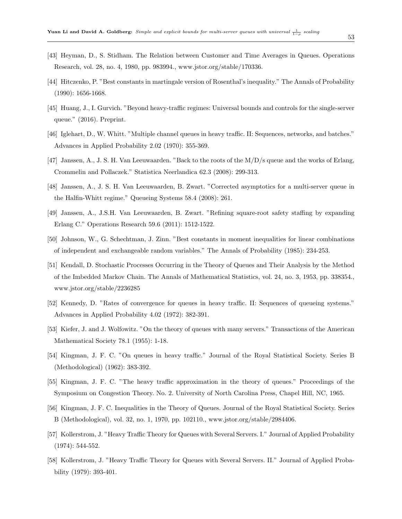- [43] Heyman, D., S. Stidham. The Relation between Customer and Time Averages in Queues. Operations Research, vol. 28, no. 4, 1980, pp. 983994., www.jstor.org/stable/170336.
- <span id="page-52-13"></span>[44] Hitczenko, P. "Best constants in martingale version of Rosenthal's inequality." The Annals of Probability (1990): 1656-1668.
- <span id="page-52-12"></span>[45] Huang, J., I. Gurvich. "Beyond heavy-traffic regimes: Universal bounds and controls for the single-server queue." (2016). Preprint.
- <span id="page-52-5"></span>[46] Iglehart, D., W. Whitt. "Multiple channel queues in heavy traffic. II: Sequences, networks, and batches." Advances in Applied Probability 2.02 (1970): 355-369.
- <span id="page-52-0"></span>[47] Janssen, A., J. S. H. Van Leeuwaarden. "Back to the roots of the M/D/s queue and the works of Erlang, Crommelin and Pollaczek." Statistica Neerlandica 62.3 (2008): 299-313.
- <span id="page-52-10"></span>[48] Janssen, A., J. S. H. Van Leeuwaarden, B. Zwart. "Corrected asymptotics for a multi-server queue in the Halfin-Whitt regime." Queueing Systems 58.4 (2008): 261.
- <span id="page-52-11"></span>[49] Janssen, A., J.S.H. Van Leeuwaarden, B. Zwart. "Refining square-root safety staffing by expanding Erlang C." Operations Research 59.6 (2011): 1512-1522.
- <span id="page-52-14"></span>[50] Johnson, W., G. Schechtman, J. Zinn. "Best constants in moment inequalities for linear combinations of independent and exchangeable random variables." The Annals of Probability (1985): 234-253.
- <span id="page-52-1"></span>[51] Kendall, D. Stochastic Processes Occurring in the Theory of Queues and Their Analysis by the Method of the Imbedded Markov Chain. The Annals of Mathematical Statistics, vol. 24, no. 3, 1953, pp. 338354., www.jstor.org/stable/2236285
- <span id="page-52-8"></span>[52] Kennedy, D. "Rates of convergence for queues in heavy traffic. II: Sequences of queueing systems." Advances in Applied Probability 4.02 (1972): 382-391.
- <span id="page-52-6"></span>[53] Kiefer, J. and J. Wolfowitz. "On the theory of queues with many servers." Transactions of the American Mathematical Society 78.1 (1955): 1-18.
- <span id="page-52-2"></span>[54] Kingman, J. F. C. "On queues in heavy traffic." Journal of the Royal Statistical Society. Series B (Methodological) (1962): 383-392.
- <span id="page-52-3"></span>[55] Kingman, J. F. C. "The heavy traffic approximation in the theory of queues." Proceedings of the Symposium on Congestion Theory. No. 2. University of North Carolina Press, Chapel Hill, NC, 1965.
- <span id="page-52-9"></span>[56] Kingman, J. F. C. Inequalities in the Theory of Queues. Journal of the Royal Statistical Society. Series B (Methodological), vol. 32, no. 1, 1970, pp. 102110., www.jstor.org/stable/2984406.
- <span id="page-52-4"></span>[57] Kollerstrom, J. "Heavy Traffic Theory for Queues with Several Servers. I." Journal of Applied Probability (1974): 544-552.
- <span id="page-52-7"></span>[58] Kollerstrom, J. "Heavy Traffic Theory for Queues with Several Servers. II." Journal of Applied Probability (1979): 393-401.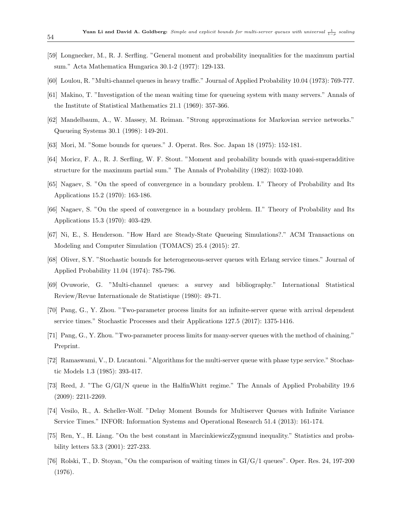- <span id="page-53-15"></span>[59] Longnecker, M., R. J. Serfling. "General moment and probability inequalities for the maximum partial sum." Acta Mathematica Hungarica 30.1-2 (1977): 129-133.
- <span id="page-53-0"></span>[60] Loulou, R. "Multi-channel queues in heavy traffic." Journal of Applied Probability 10.04 (1973): 769-777.
- <span id="page-53-5"></span>[61] Makino, T. "Investigation of the mean waiting time for queueing system with many servers." Annals of the Institute of Statistical Mathematics 21.1 (1969): 357-366.
- <span id="page-53-8"></span>[62] Mandelbaum, A., W. Massey, M. Reiman. "Strong approximations for Markovian service networks." Queueing Systems 30.1 (1998): 149-201.
- <span id="page-53-3"></span>[63] Mori, M. "Some bounds for queues." J. Operat. Res. Soc. Japan 18 (1975): 152-181.
- <span id="page-53-16"></span>[64] Moricz, F. A., R. J. Serfling, W. F. Stout. "Moment and probability bounds with quasi-superadditive structure for the maximum partial sum." The Annals of Probability (1982): 1032-1040.
- <span id="page-53-1"></span>[65] Nagaev, S. "On the speed of convergence in a boundary problem. I." Theory of Probability and Its Applications 15.2 (1970): 163-186.
- <span id="page-53-2"></span>[66] Nagaev, S. "On the speed of convergence in a boundary problem. II." Theory of Probability and Its Applications 15.3 (1970): 403-429.
- <span id="page-53-11"></span>[67] Ni, E., S. Henderson. "How Hard are Steady-State Queueing Simulations?." ACM Transactions on Modeling and Computer Simulation (TOMACS) 25.4 (2015): 27.
- <span id="page-53-6"></span>[68] Oliver, S.Y. "Stochastic bounds for heterogeneous-server queues with Erlang service times." Journal of Applied Probability 11.04 (1974): 785-796.
- <span id="page-53-10"></span>[69] Ovuworie, G. "Multi-channel queues: a survey and bibliography." International Statistical Review/Revue Internationale de Statistique (1980): 49-71.
- <span id="page-53-13"></span>[70] Pang, G., Y. Zhou. "Two-parameter process limits for an infinite-server queue with arrival dependent service times." Stochastic Processes and their Applications 127.5 (2017): 1375-1416.
- <span id="page-53-14"></span>[71] Pang, G., Y. Zhou. "Two-parameter process limits for many-server queues with the method of chaining." Preprint.
- <span id="page-53-12"></span>[72] Ramaswami, V., D. Lucantoni. "Algorithms for the multi-server queue with phase type service." Stochastic Models 1.3 (1985): 393-417.
- <span id="page-53-9"></span>[73] Reed, J. "The G/GI/N queue in the HalfinWhitt regime." The Annals of Applied Probability 19.6 (2009): 2211-2269.
- <span id="page-53-4"></span>[74] Vesilo, R., A. Scheller-Wolf. "Delay Moment Bounds for Multiserver Queues with Infinite Variance Service Times." INFOR: Information Systems and Operational Research 51.4 (2013): 161-174.
- <span id="page-53-17"></span>[75] Ren, Y., H. Liang. "On the best constant in MarcinkiewiczZygmund inequality." Statistics and probability letters 53.3 (2001): 227-233.
- <span id="page-53-7"></span>[76] Rolski, T., D. Stoyan, "On the comparison of waiting times in GI/G/1 queues". Oper. Res. 24, 197-200 (1976).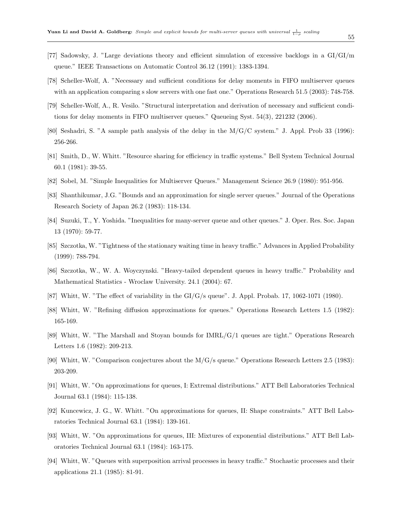- <span id="page-54-9"></span>[77] Sadowsky, J. "Large deviations theory and efficient simulation of excessive backlogs in a GI/GI/m queue." IEEE Transactions on Automatic Control 36.12 (1991): 1383-1394.
- <span id="page-54-2"></span>[78] Scheller-Wolf, A. "Necessary and sufficient conditions for delay moments in FIFO multiserver queues with an application comparing s slow servers with one fast one." Operations Research 51.5 (2003): 748-758.
- <span id="page-54-3"></span>[79] Scheller-Wolf, A., R. Vesilo. "Structural interpretation and derivation of necessary and sufficient conditions for delay moments in FIFO multiserver queues." Queueing Syst. 54(3), 221232 (2006).
- <span id="page-54-5"></span>[80] Seshadri, S. "A sample path analysis of the delay in the M/G/C system." J. Appl. Prob 33 (1996): 256-266.
- <span id="page-54-8"></span>[81] Smith, D., W. Whitt. "Resource sharing for efficiency in traffic systems." Bell System Technical Journal 60.1 (1981): 39-55.
- <span id="page-54-13"></span>[82] Sobel, M. "Simple Inequalities for Multiserver Queues." Management Science 26.9 (1980): 951-956.
- <span id="page-54-14"></span>[83] Shanthikumar, J.G. "Bounds and an approximation for single server queues." Journal of the Operations Research Society of Japan 26.2 (1983): 118-134.
- <span id="page-54-4"></span>[84] Suzuki, T., Y. Yoshida. "Inequalities for many-server queue and other queues." J. Oper. Res. Soc. Japan 13 (1970): 59-77.
- <span id="page-54-15"></span>[85] Szczotka, W. "Tightness of the stationary waiting time in heavy traffic." Advances in Applied Probability (1999): 788-794.
- <span id="page-54-16"></span>[86] Szczotka, W., W. A. Woyczynski. "Heavy-tailed dependent queues in heavy traffic." Probability and Mathematical Statistics - Wroclaw University. 24.1 (2004): 67.
- <span id="page-54-6"></span>[87] Whitt, W. "The effect of variability in the GI/G/s queue". J. Appl. Probab. 17, 1062-1071 (1980).
- <span id="page-54-0"></span>[88] Whitt, W. "Refining diffusion approximations for queues." Operations Research Letters 1.5 (1982): 165-169.
- <span id="page-54-1"></span>[89] Whitt, W. "The Marshall and Stoyan bounds for IMRL/G/1 queues are tight." Operations Research Letters 1.6 (1982): 209-213.
- <span id="page-54-7"></span>[90] Whitt, W. "Comparison conjectures about the M/G/s queue." Operations Research Letters 2.5 (1983): 203-209.
- <span id="page-54-10"></span>[91] Whitt, W. "On approximations for queues, I: Extremal distributions." ATT Bell Laboratories Technical Journal 63.1 (1984): 115-138.
- <span id="page-54-11"></span>[92] Kuncewicz, J. G., W. Whitt. "On approximations for queues, II: Shape constraints." ATT Bell Laboratories Technical Journal 63.1 (1984): 139-161.
- <span id="page-54-12"></span>[93] Whitt, W. "On approximations for queues, III: Mixtures of exponential distributions." ATT Bell Laboratories Technical Journal 63.1 (1984): 163-175.
- [94] Whitt, W. "Queues with superposition arrival processes in heavy traffic." Stochastic processes and their applications 21.1 (1985): 81-91.